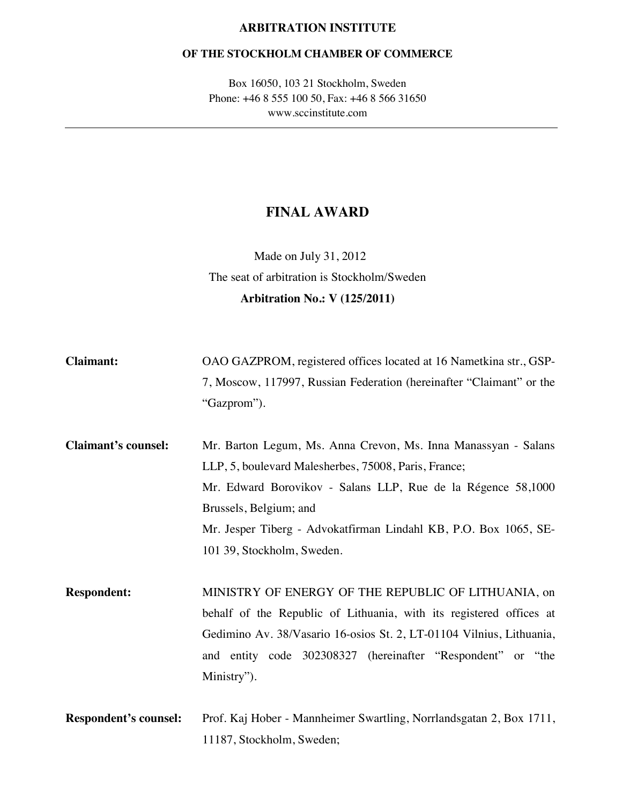#### **ARBITRATION INSTITUTE**

#### **OF THE STOCKHOLM CHAMBER OF COMMERCE**

Box 16050, 103 21 Stockholm, Sweden Phone: +46 8 555 100 50, Fax: +46 8 566 31650 www.sccinstitute.com

## **FINAL AWARD**

Made on July 31, 2012 The seat of arbitration is Stockholm/Sweden **Arbitration No.: V (125/2011)** 

| <b>Claimant:</b> | OAO GAZPROM, registered offices located at 16 Nametkina str., GSP-   |
|------------------|----------------------------------------------------------------------|
|                  | 7, Moscow, 117997, Russian Federation (hereinafter "Claimant" or the |
|                  | "Gazprom").                                                          |

**Claimant's counsel:** Mr. Barton Legum, Ms. Anna Crevon, Ms. Inna Manassyan - Salans LLP, 5, boulevard Malesherbes, 75008, Paris, France; Mr. Edward Borovikov - Salans LLP, Rue de la Régence 58,1000 Brussels, Belgium; and Mr. Jesper Tiberg - Advokatfirman Lindahl KB, P.O. Box 1065, SE-101 39, Stockholm, Sweden.

**Respondent:** MINISTRY OF ENERGY OF THE REPUBLIC OF LITHUANIA, on behalf of the Republic of Lithuania, with its registered offices at Gedimino Av. 38/Vasario 16-osios St. 2, LT-01104 Vilnius, Lithuania, and entity code 302308327 (hereinafter "Respondent" or "the Ministry").

**Respondent's counsel:** Prof. Kaj Hober - Mannheimer Swartling, Norrlandsgatan 2, Box 1711, 11187, Stockholm, Sweden;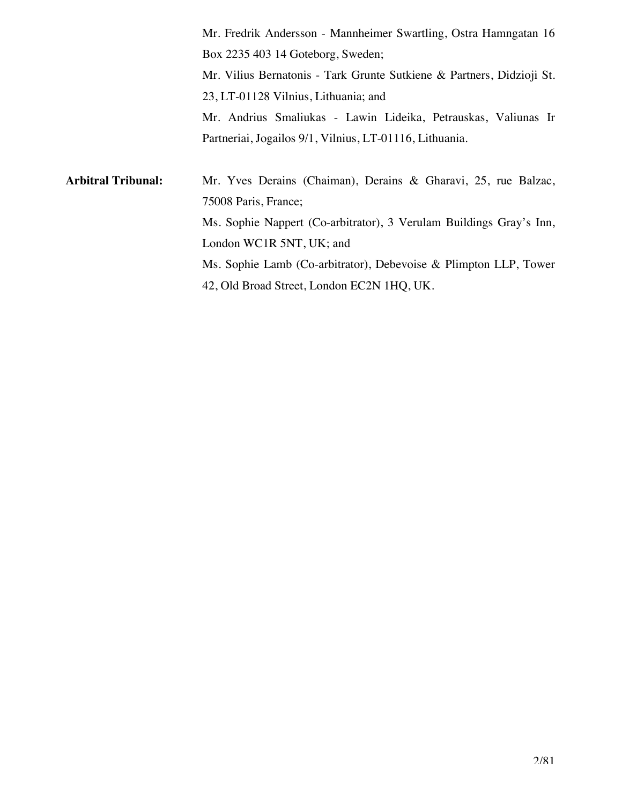Mr. Fredrik Andersson - Mannheimer Swartling, Ostra Hamngatan 16 Box 2235 403 14 Goteborg, Sweden; Mr. Vilius Bernatonis - Tark Grunte Sutkiene & Partners, Didzioji St. 23, LT-01128 Vilnius, Lithuania; and Mr. Andrius Smaliukas - Lawin Lideika, Petrauskas, Valiunas Ir Partneriai, Jogailos 9/1, Vilnius, LT-01116, Lithuania.

**Arbitral Tribunal:** Mr. Yves Derains (Chaiman), Derains & Gharavi, 25, rue Balzac, 75008 Paris, France; Ms. Sophie Nappert (Co-arbitrator), 3 Verulam Buildings Gray's Inn, London WC1R 5NT, UK; and Ms. Sophie Lamb (Co-arbitrator), Debevoise & Plimpton LLP, Tower 42, Old Broad Street, London EC2N 1HQ, UK.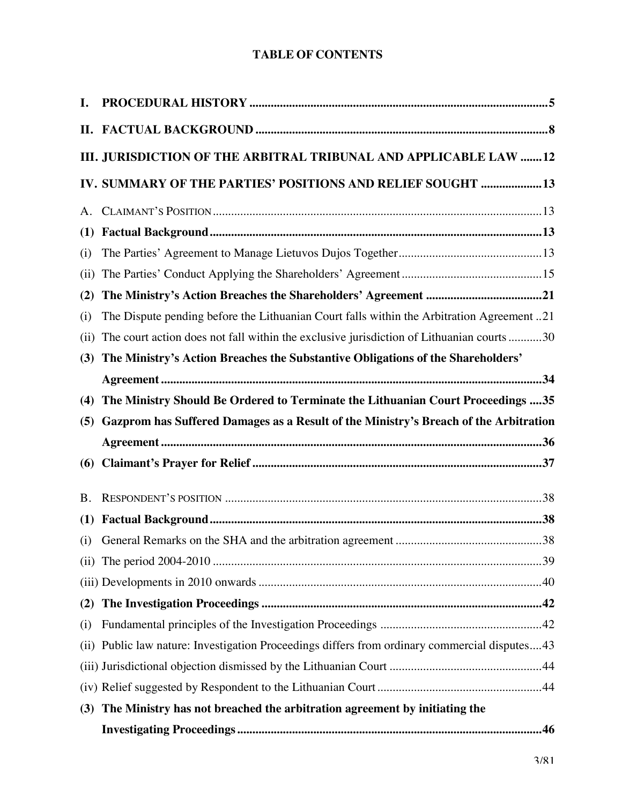## **TABLE OF CONTENTS**

| I.        |                                                                                               |  |
|-----------|-----------------------------------------------------------------------------------------------|--|
|           |                                                                                               |  |
|           | III. JURISDICTION OF THE ARBITRAL TRIBUNAL AND APPLICABLE LAW 12                              |  |
|           | IV. SUMMARY OF THE PARTIES' POSITIONS AND RELIEF SOUGHT  13                                   |  |
|           |                                                                                               |  |
| (1)       |                                                                                               |  |
| (i)       |                                                                                               |  |
| (ii)      |                                                                                               |  |
| (2)       |                                                                                               |  |
| (i)       | The Dispute pending before the Lithuanian Court falls within the Arbitration Agreement 21     |  |
| (ii)      | The court action does not fall within the exclusive jurisdiction of Lithuanian courts 30      |  |
| (3)       | The Ministry's Action Breaches the Substantive Obligations of the Shareholders'               |  |
|           |                                                                                               |  |
| (4)       | The Ministry Should Be Ordered to Terminate the Lithuanian Court Proceedings  35              |  |
|           | (5) Gazprom has Suffered Damages as a Result of the Ministry's Breach of the Arbitration      |  |
|           |                                                                                               |  |
| (6)       |                                                                                               |  |
| <b>B.</b> |                                                                                               |  |
| (1)       |                                                                                               |  |
| (i)       |                                                                                               |  |
|           |                                                                                               |  |
|           |                                                                                               |  |
| (2)       |                                                                                               |  |
| (i)       |                                                                                               |  |
|           | (ii) Public law nature: Investigation Proceedings differs from ordinary commercial disputes43 |  |
|           |                                                                                               |  |
|           |                                                                                               |  |
|           | (3) The Ministry has not breached the arbitration agreement by initiating the                 |  |
|           |                                                                                               |  |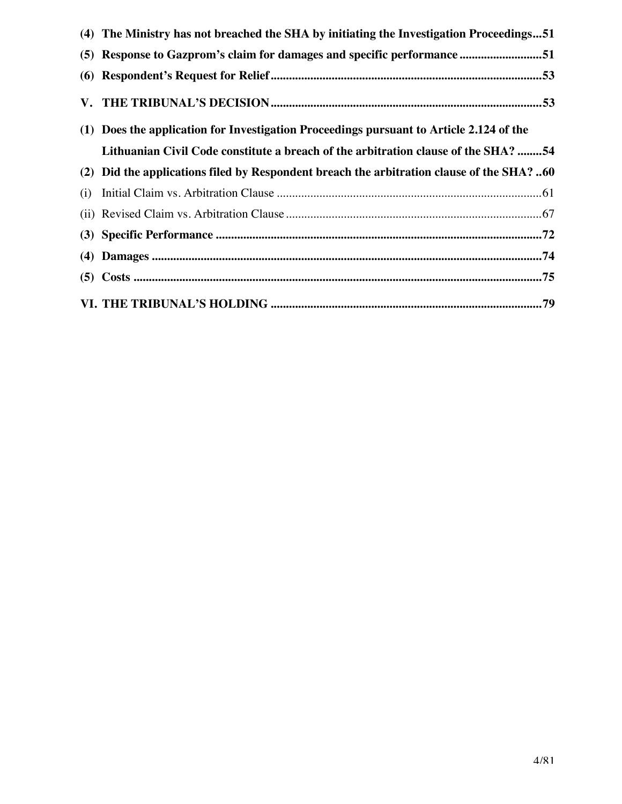|     | (4) The Ministry has not breached the SHA by initiating the Investigation Proceedings51   |  |
|-----|-------------------------------------------------------------------------------------------|--|
|     | (5) Response to Gazprom's claim for damages and specific performance 51                   |  |
|     |                                                                                           |  |
|     |                                                                                           |  |
|     | (1) Does the application for Investigation Proceedings pursuant to Article 2.124 of the   |  |
|     | Lithuanian Civil Code constitute a breach of the arbitration clause of the SHA? 54        |  |
|     | (2) Did the applications filed by Respondent breach the arbitration clause of the SHA? 60 |  |
| (i) |                                                                                           |  |
|     |                                                                                           |  |
|     |                                                                                           |  |
|     |                                                                                           |  |
|     |                                                                                           |  |
|     |                                                                                           |  |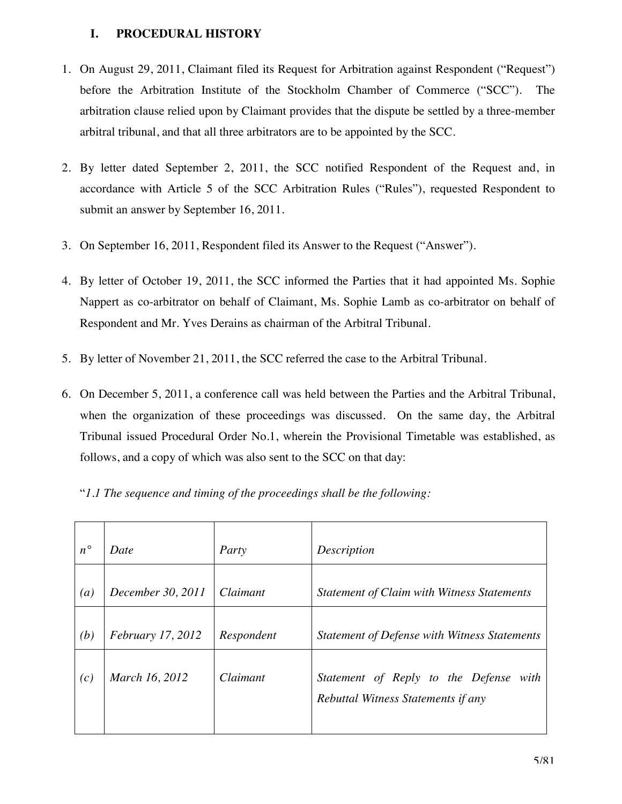## **I. PROCEDURAL HISTORY**

- 1. On August 29, 2011, Claimant filed its Request for Arbitration against Respondent ("Request") before the Arbitration Institute of the Stockholm Chamber of Commerce ("SCC"). The arbitration clause relied upon by Claimant provides that the dispute be settled by a three-member arbitral tribunal, and that all three arbitrators are to be appointed by the SCC.
- 2. By letter dated September 2, 2011, the SCC notified Respondent of the Request and, in accordance with Article 5 of the SCC Arbitration Rules ("Rules"), requested Respondent to submit an answer by September 16, 2011.
- 3. On September 16, 2011, Respondent filed its Answer to the Request ("Answer").
- 4. By letter of October 19, 2011, the SCC informed the Parties that it had appointed Ms. Sophie Nappert as co-arbitrator on behalf of Claimant, Ms. Sophie Lamb as co-arbitrator on behalf of Respondent and Mr. Yves Derains as chairman of the Arbitral Tribunal.
- 5. By letter of November 21, 2011, the SCC referred the case to the Arbitral Tribunal.
- 6. On December 5, 2011, a conference call was held between the Parties and the Arbitral Tribunal, when the organization of these proceedings was discussed. On the same day, the Arbitral Tribunal issued Procedural Order No.1, wherein the Provisional Timetable was established, as follows, and a copy of which was also sent to the SCC on that day:
	- "*1.1 The sequence and timing of the proceedings shall be the following:*

| $n^{\circ}$      | Date                     | Party      | Description                                         |
|------------------|--------------------------|------------|-----------------------------------------------------|
| $\left(a\right)$ | December 30, 2011        | Claimant   | Statement of Claim with Witness Statements          |
| (b)              | <i>February 17, 2012</i> | Respondent | <b>Statement of Defense with Witness Statements</b> |
| (c)              | March 16, 2012           | Claimant   | Statement of Reply to the Defense with              |
|                  |                          |            | Rebuttal Witness Statements if any                  |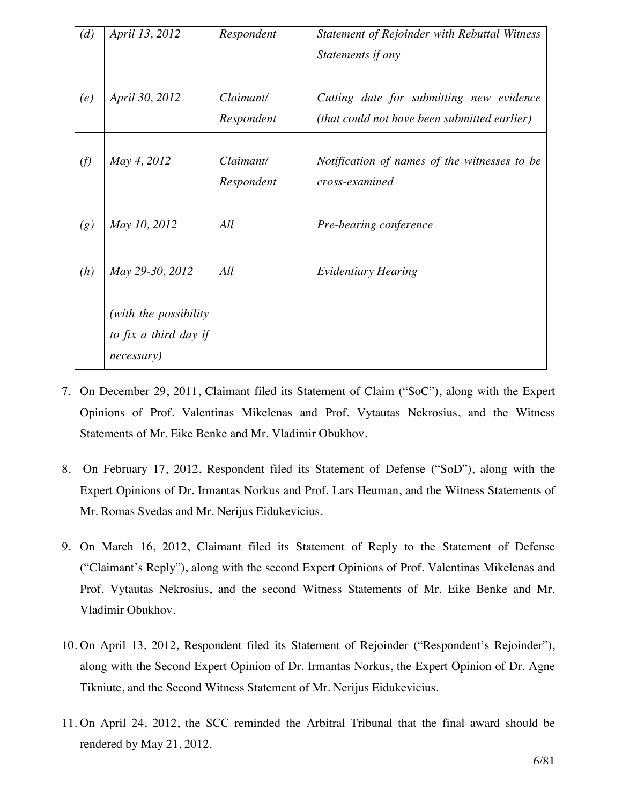| (d) | April 13, 2012         | Respondent              | Statement of Rejoinder with Rebuttal Witness<br>Statements if any                        |
|-----|------------------------|-------------------------|------------------------------------------------------------------------------------------|
| (e) | April 30, 2012         | Claimant/<br>Respondent | Cutting date for submitting new evidence<br>(that could not have been submitted earlier) |
| (f) | May 4, 2012            | Claimant/<br>Respondent | Notification of names of the witnesses to be<br>cross-examined                           |
| (g) | May 10, 2012           | All                     | Pre-hearing conference                                                                   |
| (h) | May 29-30, 2012        | All                     | <b>Evidentiary Hearing</b>                                                               |
|     | (with the possibility) |                         |                                                                                          |
|     | to fix a third day if  |                         |                                                                                          |
|     | necessary)             |                         |                                                                                          |

- 7. On December 29, 2011, Claimant filed its Statement of Claim ("SoC"), along with the Expert Opinions of Prof. Valentinas Mikelenas and Prof. Vytautas Nekrosius, and the Witness Statements of Mr. Eike Benke and Mr. Vladimir Obukhov.
- 8. On February 17, 2012, Respondent filed its Statement of Defense ("SoD"), along with the Expert Opinions of Dr. Irmantas Norkus and Prof. Lars Heuman, and the Witness Statements of Mr. Romas Svedas and Mr. Nerijus Eidukevicius.
- 9. On March 16, 2012, Claimant filed its Statement of Reply to the Statement of Defense ("Claimant's Reply"), along with the second Expert Opinions of Prof. Valentinas Mikelenas and Prof. Vytautas Nekrosius, and the second Witness Statements of Mr. Eike Benke and Mr. Vladimir Obukhov.
- 10. On April 13, 2012, Respondent filed its Statement of Rejoinder ("Respondent's Rejoinder"), along with the Second Expert Opinion of Dr. Irmantas Norkus, the Expert Opinion of Dr. Agne Tikniute, and the Second Witness Statement of Mr. Nerijus Eidukevicius.
- 11. On April 24, 2012, the SCC reminded the Arbitral Tribunal that the final award should be rendered by May 21, 2012.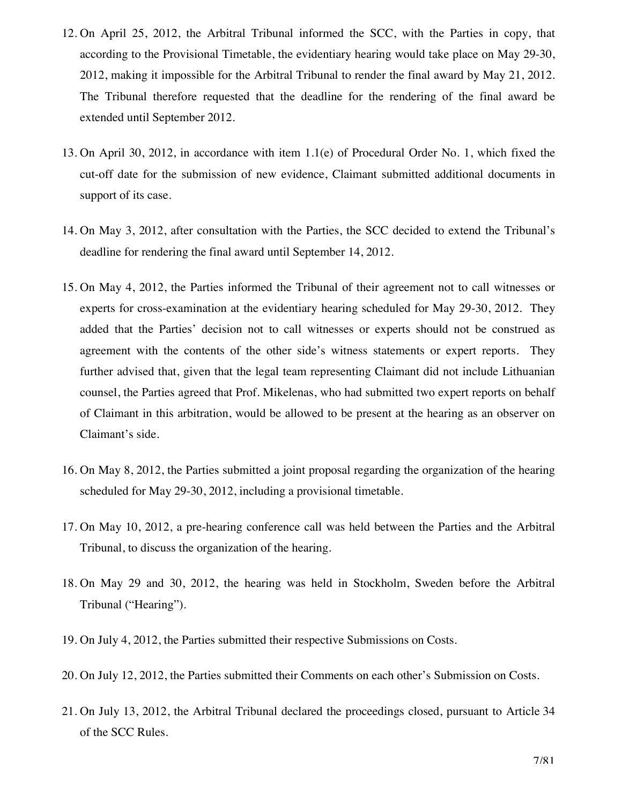- 12. On April 25, 2012, the Arbitral Tribunal informed the SCC, with the Parties in copy, that according to the Provisional Timetable, the evidentiary hearing would take place on May 29-30, 2012, making it impossible for the Arbitral Tribunal to render the final award by May 21, 2012. The Tribunal therefore requested that the deadline for the rendering of the final award be extended until September 2012.
- 13. On April 30, 2012, in accordance with item 1.1(e) of Procedural Order No. 1, which fixed the cut-off date for the submission of new evidence, Claimant submitted additional documents in support of its case.
- 14. On May 3, 2012, after consultation with the Parties, the SCC decided to extend the Tribunal's deadline for rendering the final award until September 14, 2012.
- 15. On May 4, 2012, the Parties informed the Tribunal of their agreement not to call witnesses or experts for cross-examination at the evidentiary hearing scheduled for May 29-30, 2012. They added that the Parties' decision not to call witnesses or experts should not be construed as agreement with the contents of the other side's witness statements or expert reports. They further advised that, given that the legal team representing Claimant did not include Lithuanian counsel, the Parties agreed that Prof. Mikelenas, who had submitted two expert reports on behalf of Claimant in this arbitration, would be allowed to be present at the hearing as an observer on Claimant's side.
- 16. On May 8, 2012, the Parties submitted a joint proposal regarding the organization of the hearing scheduled for May 29-30, 2012, including a provisional timetable.
- 17. On May 10, 2012, a pre-hearing conference call was held between the Parties and the Arbitral Tribunal, to discuss the organization of the hearing.
- 18. On May 29 and 30, 2012, the hearing was held in Stockholm, Sweden before the Arbitral Tribunal ("Hearing").
- 19. On July 4, 2012, the Parties submitted their respective Submissions on Costs.
- 20. On July 12, 2012, the Parties submitted their Comments on each other's Submission on Costs.
- 21. On July 13, 2012, the Arbitral Tribunal declared the proceedings closed, pursuant to Article 34 of the SCC Rules.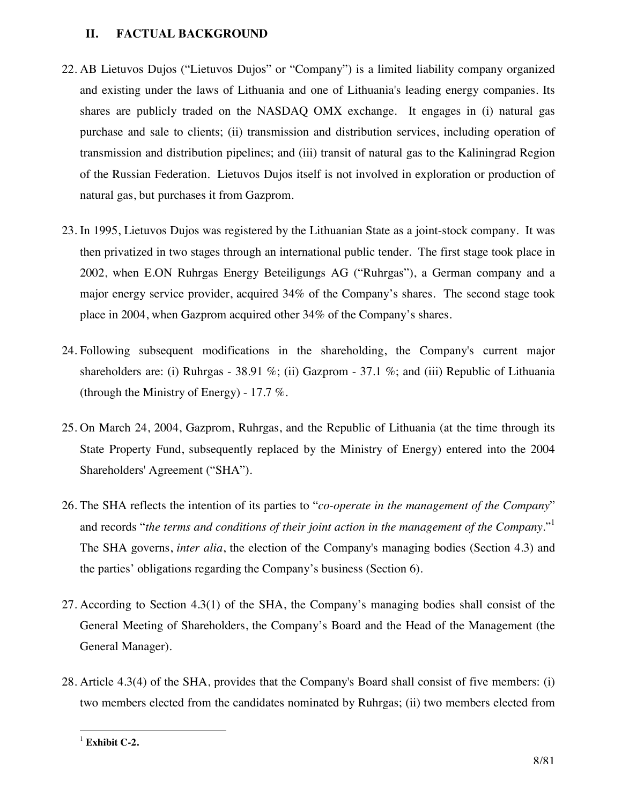#### **II. FACTUAL BACKGROUND**

- 22. AB Lietuvos Dujos ("Lietuvos Dujos" or "Company") is a limited liability company organized and existing under the laws of Lithuania and one of Lithuania's leading energy companies. Its shares are publicly traded on the NASDAQ OMX exchange. It engages in (i) natural gas purchase and sale to clients; (ii) transmission and distribution services, including operation of transmission and distribution pipelines; and (iii) transit of natural gas to the Kaliningrad Region of the Russian Federation. Lietuvos Dujos itself is not involved in exploration or production of natural gas, but purchases it from Gazprom.
- 23. In 1995, Lietuvos Dujos was registered by the Lithuanian State as a joint-stock company. It was then privatized in two stages through an international public tender. The first stage took place in 2002, when E.ON Ruhrgas Energy Beteiligungs AG ("Ruhrgas"), a German company and a major energy service provider, acquired 34% of the Company's shares. The second stage took place in 2004, when Gazprom acquired other 34% of the Company's shares.
- 24. Following subsequent modifications in the shareholding, the Company's current major shareholders are: (i) Ruhrgas - 38.91 %; (ii) Gazprom - 37.1 %; and (iii) Republic of Lithuania (through the Ministry of Energy) - 17.7 %.
- 25. On March 24, 2004, Gazprom, Ruhrgas, and the Republic of Lithuania (at the time through its State Property Fund, subsequently replaced by the Ministry of Energy) entered into the 2004 Shareholders' Agreement ("SHA").
- 26. The SHA reflects the intention of its parties to "*co-operate in the management of the Company*" and records "*the terms and conditions of their joint action in the management of the Company*."1 The SHA governs, *inter alia*, the election of the Company's managing bodies (Section 4.3) and the parties' obligations regarding the Company's business (Section 6).
- 27. According to Section 4.3(1) of the SHA, the Company's managing bodies shall consist of the General Meeting of Shareholders, the Company's Board and the Head of the Management (the General Manager).
- 28. Article 4.3(4) of the SHA, provides that the Company's Board shall consist of five members: (i) two members elected from the candidates nominated by Ruhrgas; (ii) two members elected from

**Exhibit C-2.**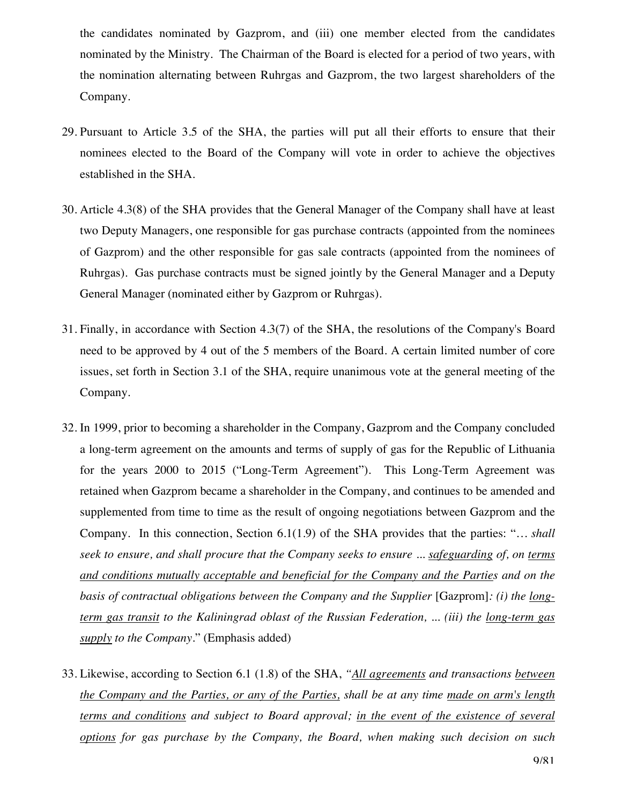the candidates nominated by Gazprom, and (iii) one member elected from the candidates nominated by the Ministry. The Chairman of the Board is elected for a period of two years, with the nomination alternating between Ruhrgas and Gazprom, the two largest shareholders of the Company.

- 29. Pursuant to Article 3.5 of the SHA, the parties will put all their efforts to ensure that their nominees elected to the Board of the Company will vote in order to achieve the objectives established in the SHA.
- 30. Article 4.3(8) of the SHA provides that the General Manager of the Company shall have at least two Deputy Managers, one responsible for gas purchase contracts (appointed from the nominees of Gazprom) and the other responsible for gas sale contracts (appointed from the nominees of Ruhrgas). Gas purchase contracts must be signed jointly by the General Manager and a Deputy General Manager (nominated either by Gazprom or Ruhrgas).
- 31. Finally, in accordance with Section 4.3(7) of the SHA, the resolutions of the Company's Board need to be approved by 4 out of the 5 members of the Board. A certain limited number of core issues, set forth in Section 3.1 of the SHA, require unanimous vote at the general meeting of the Company.
- 32. In 1999, prior to becoming a shareholder in the Company, Gazprom and the Company concluded a long-term agreement on the amounts and terms of supply of gas for the Republic of Lithuania for the years 2000 to 2015 ("Long-Term Agreement"). This Long-Term Agreement was retained when Gazprom became a shareholder in the Company, and continues to be amended and supplemented from time to time as the result of ongoing negotiations between Gazprom and the Company. In this connection, Section 6.1(1.9) of the SHA provides that the parties: "*… shall seek to ensure, and shall procure that the Company seeks to ensure ... safeguarding of, on terms and conditions mutually acceptable and beneficial for the Company and the Parties and on the basis of contractual obligations between the Company and the Supplier* [Gazprom]: (*i*) the long*term gas transit to the Kaliningrad oblast of the Russian Federation, ... (iii) the long-term gas supply to the Company.*" (Emphasis added)
- 33. Likewise, according to Section 6.1 (1.8) of the SHA, *"All agreements and transactions between the Company and the Parties, or any of the Parties, shall be at any time made on arm's length terms and conditions and subject to Board approval; in the event of the existence of several options for gas purchase by the Company, the Board, when making such decision on such*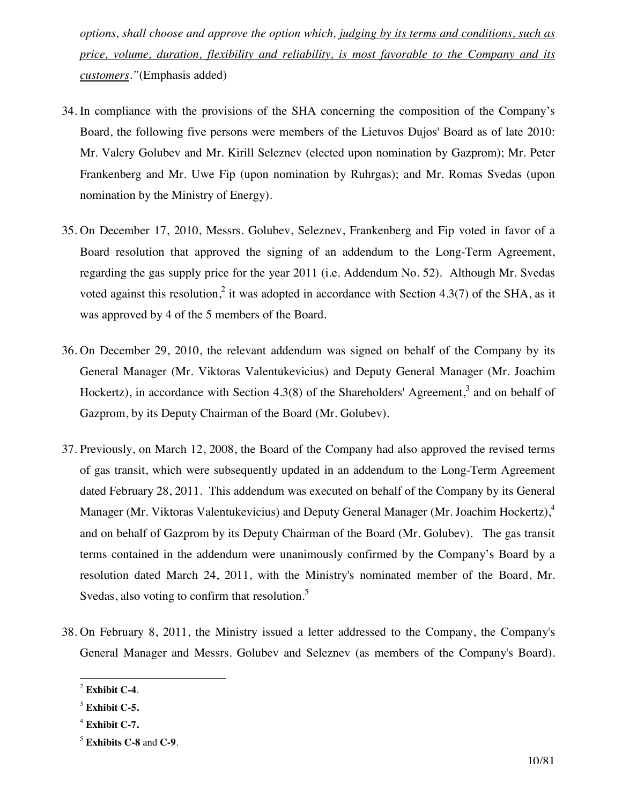*options, shall choose and approve the option which, judging by its terms and conditions, such as price, volume, duration, flexibility and reliability, is most favorable to the Company and its customers."*(Emphasis added)

- 34. In compliance with the provisions of the SHA concerning the composition of the Company's Board, the following five persons were members of the Lietuvos Dujos' Board as of late 2010: Mr. Valery Golubev and Mr. Kirill Seleznev (elected upon nomination by Gazprom); Mr. Peter Frankenberg and Mr. Uwe Fip (upon nomination by Ruhrgas); and Mr. Romas Svedas (upon nomination by the Ministry of Energy).
- 35. On December 17, 2010, Messrs. Golubev, Seleznev, Frankenberg and Fip voted in favor of a Board resolution that approved the signing of an addendum to the Long-Term Agreement, regarding the gas supply price for the year 2011 (i.e. Addendum No. 52). Although Mr. Svedas voted against this resolution,<sup>2</sup> it was adopted in accordance with Section 4.3(7) of the SHA, as it was approved by 4 of the 5 members of the Board.
- 36. On December 29, 2010, the relevant addendum was signed on behalf of the Company by its General Manager (Mr. Viktoras Valentukevicius) and Deputy General Manager (Mr. Joachim Hockertz), in accordance with Section 4.3(8) of the Shareholders' Agreement,<sup>3</sup> and on behalf of Gazprom, by its Deputy Chairman of the Board (Mr. Golubev).
- 37. Previously, on March 12, 2008, the Board of the Company had also approved the revised terms of gas transit, which were subsequently updated in an addendum to the Long-Term Agreement dated February 28, 2011. This addendum was executed on behalf of the Company by its General Manager (Mr. Viktoras Valentukevicius) and Deputy General Manager (Mr. Joachim Hockertz),<sup>4</sup> and on behalf of Gazprom by its Deputy Chairman of the Board (Mr. Golubev). The gas transit terms contained in the addendum were unanimously confirmed by the Company's Board by a resolution dated March 24, 2011, with the Ministry's nominated member of the Board, Mr. Svedas, also voting to confirm that resolution.<sup>5</sup>
- 38. On February 8, 2011, the Ministry issued a letter addressed to the Company, the Company's General Manager and Messrs. Golubev and Seleznev (as members of the Company's Board).

<sup>2</sup> **Exhibit C-4**.

<sup>3</sup> **Exhibit C-5.**

<sup>4</sup> **Exhibit C-7.**

<sup>5</sup> **Exhibits C-8** and **C-9**.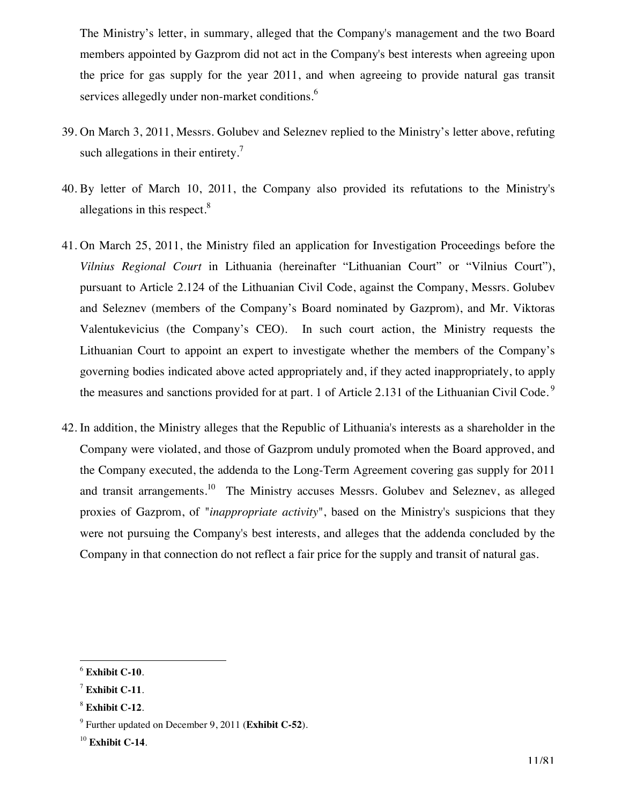The Ministry's letter, in summary, alleged that the Company's management and the two Board members appointed by Gazprom did not act in the Company's best interests when agreeing upon the price for gas supply for the year 2011, and when agreeing to provide natural gas transit services allegedly under non-market conditions.<sup>6</sup>

- 39. On March 3, 2011, Messrs. Golubev and Seleznev replied to the Ministry's letter above, refuting such allegations in their entirety.<sup>7</sup>
- 40. By letter of March 10, 2011, the Company also provided its refutations to the Ministry's allegations in this respect.<sup>8</sup>
- 41. On March 25, 2011, the Ministry filed an application for Investigation Proceedings before the *Vilnius Regional Court* in Lithuania (hereinafter "Lithuanian Court" or "Vilnius Court"), pursuant to Article 2.124 of the Lithuanian Civil Code, against the Company, Messrs. Golubev and Seleznev (members of the Company's Board nominated by Gazprom), and Mr. Viktoras Valentukevicius (the Company's CEO). In such court action, the Ministry requests the Lithuanian Court to appoint an expert to investigate whether the members of the Company's governing bodies indicated above acted appropriately and, if they acted inappropriately, to apply the measures and sanctions provided for at part. 1 of Article 2.131 of the Lithuanian Civil Code.<sup>9</sup>
- 42. In addition, the Ministry alleges that the Republic of Lithuania's interests as a shareholder in the Company were violated, and those of Gazprom unduly promoted when the Board approved, and the Company executed, the addenda to the Long-Term Agreement covering gas supply for 2011 and transit arrangements.<sup>10</sup> The Ministry accuses Messrs. Golubev and Seleznev, as alleged proxies of Gazprom, of "*inappropriate activity*", based on the Ministry's suspicions that they were not pursuing the Company's best interests, and alleges that the addenda concluded by the Company in that connection do not reflect a fair price for the supply and transit of natural gas.

 $\overline{a}$ <sup>6</sup> **Exhibit C-10**.

<sup>7</sup> **Exhibit C-11**.

<sup>8</sup> **Exhibit C-12**.

<sup>9</sup> Further updated on December 9, 2011 (**Exhibit C-52**).

<sup>10</sup> **Exhibit C-14**.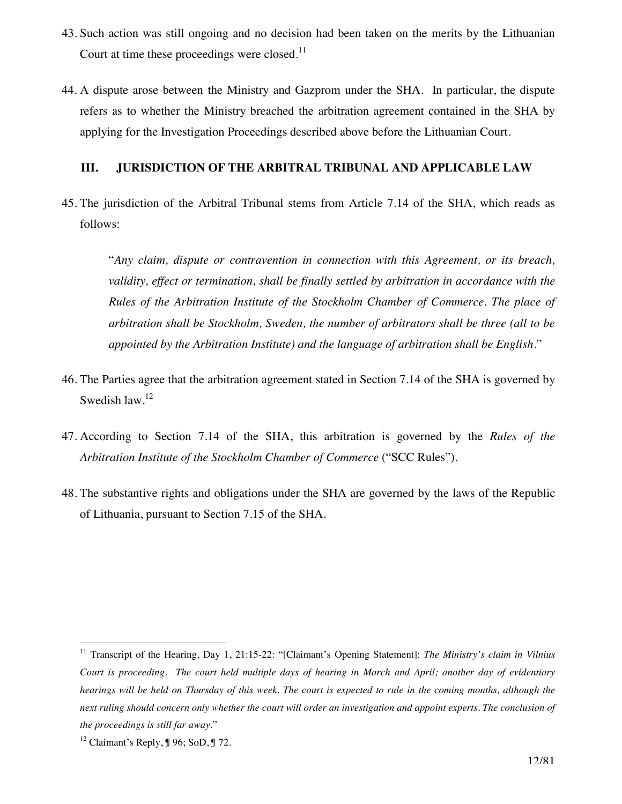- 43. Such action was still ongoing and no decision had been taken on the merits by the Lithuanian Court at time these proceedings were closed.<sup>11</sup>
- 44. A dispute arose between the Ministry and Gazprom under the SHA. In particular, the dispute refers as to whether the Ministry breached the arbitration agreement contained in the SHA by applying for the Investigation Proceedings described above before the Lithuanian Court.

#### **III. JURISDICTION OF THE ARBITRAL TRIBUNAL AND APPLICABLE LAW**

45. The jurisdiction of the Arbitral Tribunal stems from Article 7.14 of the SHA, which reads as follows:

"*Any claim, dispute or contravention in connection with this Agreement, or its breach, validity, effect or termination, shall be finally settled by arbitration in accordance with the Rules of the Arbitration Institute of the Stockholm Chamber of Commerce. The place of arbitration shall be Stockholm, Sweden, the number of arbitrators shall be three (all to be appointed by the Arbitration Institute) and the language of arbitration shall be English.*"

- 46. The Parties agree that the arbitration agreement stated in Section 7.14 of the SHA is governed by Swedish law.<sup>12</sup>
- 47. According to Section 7.14 of the SHA, this arbitration is governed by the *Rules of the Arbitration Institute of the Stockholm Chamber of Commerce* ("SCC Rules").
- 48. The substantive rights and obligations under the SHA are governed by the laws of the Republic of Lithuania, pursuant to Section 7.15 of the SHA.

<sup>&</sup>lt;sup>11</sup> Transcript of the Hearing, Day 1, 21:15-22: "[Claimant's Opening Statement]: *The Ministry's claim in Vilnius Court is proceeding. The court held multiple days of hearing in March and April; another day of evidentiary hearings will be held on Thursday of this week. The court is expected to rule in the coming months, although the next ruling should concern only whether the court will order an investigation and appoint experts. The conclusion of the proceedings is still far away*."

<sup>&</sup>lt;sup>12</sup> Claimant's Reply,  $\sqrt{96}$ ; SoD,  $\sqrt{972}$ .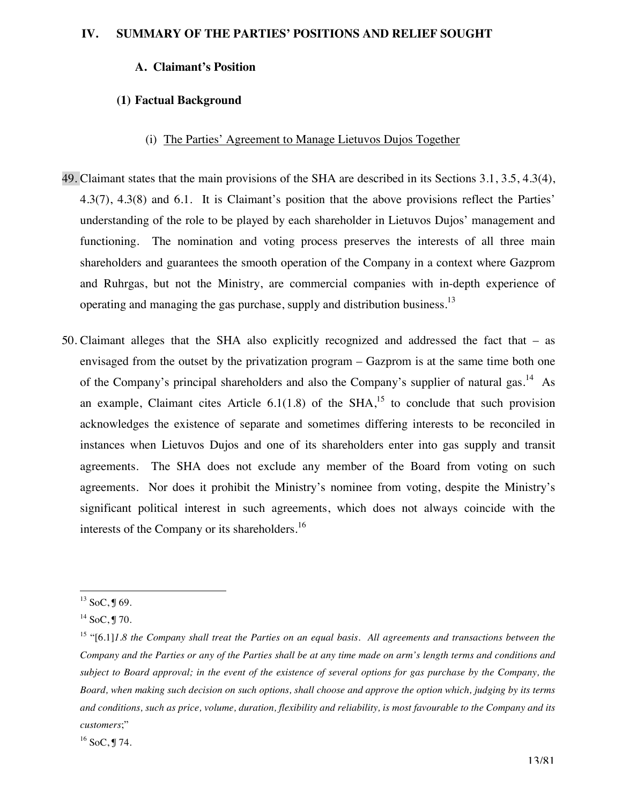#### **A. Claimant's Position**

#### **(1) Factual Background**

#### (i) The Parties' Agreement to Manage Lietuvos Dujos Together

- 49. Claimant states that the main provisions of the SHA are described in its Sections 3.1, 3.5, 4.3(4), 4.3(7), 4.3(8) and 6.1. It is Claimant's position that the above provisions reflect the Parties' understanding of the role to be played by each shareholder in Lietuvos Dujos' management and functioning. The nomination and voting process preserves the interests of all three main shareholders and guarantees the smooth operation of the Company in a context where Gazprom and Ruhrgas, but not the Ministry, are commercial companies with in-depth experience of operating and managing the gas purchase, supply and distribution business. $13$
- 50. Claimant alleges that the SHA also explicitly recognized and addressed the fact that as envisaged from the outset by the privatization program – Gazprom is at the same time both one of the Company's principal shareholders and also the Company's supplier of natural gas.<sup>14</sup> As an example, Claimant cites Article  $6.1(1.8)$  of the SHA,<sup>15</sup> to conclude that such provision acknowledges the existence of separate and sometimes differing interests to be reconciled in instances when Lietuvos Dujos and one of its shareholders enter into gas supply and transit agreements. The SHA does not exclude any member of the Board from voting on such agreements. Nor does it prohibit the Ministry's nominee from voting, despite the Ministry's significant political interest in such agreements, which does not always coincide with the interests of the Company or its shareholders.<sup>16</sup>

 $^{13}$  SoC, J 69.

 $14$  SoC, ¶ 70.

<sup>15 &</sup>quot;[6.1]*1.8 the Company shall treat the Parties on an equal basis. All agreements and transactions between the Company and the Parties or any of the Parties shall be at any time made on arm's length terms and conditions and subject to Board approval; in the event of the existence of several options for gas purchase by the Company, the Board, when making such decision on such options, shall choose and approve the option which, judging by its terms and conditions, such as price, volume, duration, flexibility and reliability, is most favourable to the Company and its customers*;"

 $16$  SoC, J 74.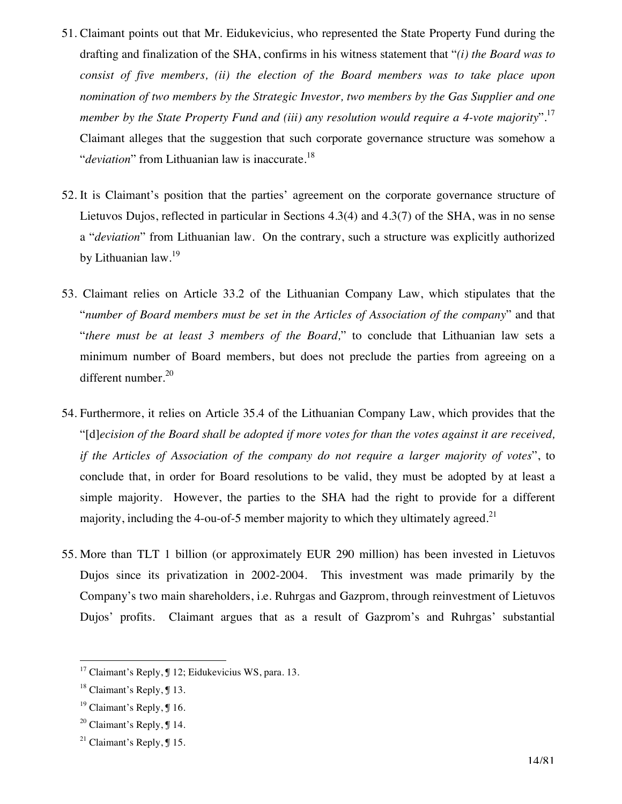- 51. Claimant points out that Mr. Eidukevicius, who represented the State Property Fund during the drafting and finalization of the SHA, confirms in his witness statement that "*(i) the Board was to consist of five members, (ii) the election of the Board members was to take place upon nomination of two members by the Strategic Investor, two members by the Gas Supplier and one member by the State Property Fund and (iii) any resolution would require a 4-vote majority*".17 Claimant alleges that the suggestion that such corporate governance structure was somehow a "*deviation*" from Lithuanian law is inaccurate.<sup>18</sup>
- 52. It is Claimant's position that the parties' agreement on the corporate governance structure of Lietuvos Dujos, reflected in particular in Sections 4.3(4) and 4.3(7) of the SHA, was in no sense a "*deviation*" from Lithuanian law. On the contrary, such a structure was explicitly authorized by Lithuanian law.<sup>19</sup>
- 53. Claimant relies on Article 33.2 of the Lithuanian Company Law, which stipulates that the "*number of Board members must be set in the Articles of Association of the company*" and that "*there must be at least 3 members of the Board,*" to conclude that Lithuanian law sets a minimum number of Board members, but does not preclude the parties from agreeing on a different number. $20$
- 54. Furthermore, it relies on Article 35.4 of the Lithuanian Company Law, which provides that the "[d]*ecision of the Board shall be adopted if more votes for than the votes against it are received, if the Articles of Association of the company do not require a larger majority of votes*", to conclude that, in order for Board resolutions to be valid, they must be adopted by at least a simple majority. However, the parties to the SHA had the right to provide for a different majority, including the 4-ou-of-5 member majority to which they ultimately agreed.<sup>21</sup>
- 55. More than TLT 1 billion (or approximately EUR 290 million) has been invested in Lietuvos Dujos since its privatization in 2002-2004. This investment was made primarily by the Company's two main shareholders, i.e. Ruhrgas and Gazprom, through reinvestment of Lietuvos Dujos' profits. Claimant argues that as a result of Gazprom's and Ruhrgas' substantial

 $17$  Claimant's Reply,  $\sqrt{9}$  12; Eidukevicius WS, para. 13.

 $18$  Claimant's Reply,  $\boxed{13}$ .

<sup>&</sup>lt;sup>19</sup> Claimant's Reply, **J** 16.

<sup>&</sup>lt;sup>20</sup> Claimant's Reply,  $\P$  14.

<sup>&</sup>lt;sup>21</sup> Claimant's Reply,  $\mathbb{J}$  15.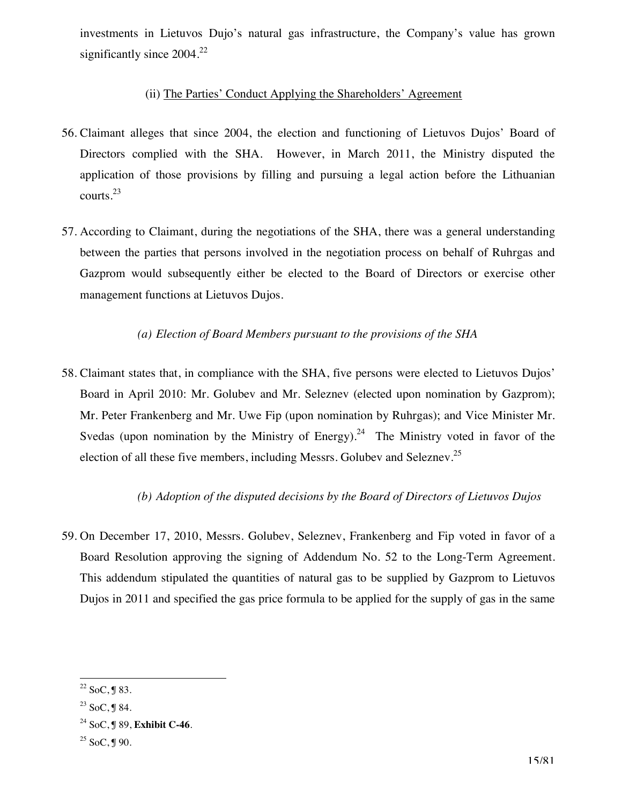investments in Lietuvos Dujo's natural gas infrastructure, the Company's value has grown significantly since 2004.<sup>22</sup>

## (ii) The Parties' Conduct Applying the Shareholders' Agreement

- 56. Claimant alleges that since 2004, the election and functioning of Lietuvos Dujos' Board of Directors complied with the SHA. However, in March 2011, the Ministry disputed the application of those provisions by filling and pursuing a legal action before the Lithuanian courts.23
- 57. According to Claimant, during the negotiations of the SHA, there was a general understanding between the parties that persons involved in the negotiation process on behalf of Ruhrgas and Gazprom would subsequently either be elected to the Board of Directors or exercise other management functions at Lietuvos Dujos.

### *(a) Election of Board Members pursuant to the provisions of the SHA*

58. Claimant states that, in compliance with the SHA, five persons were elected to Lietuvos Dujos' Board in April 2010: Mr. Golubev and Mr. Seleznev (elected upon nomination by Gazprom); Mr. Peter Frankenberg and Mr. Uwe Fip (upon nomination by Ruhrgas); and Vice Minister Mr. Svedas (upon nomination by the Ministry of Energy).<sup>24</sup> The Ministry voted in favor of the election of all these five members, including Messrs. Golubev and Seleznev.<sup>25</sup>

## *(b) Adoption of the disputed decisions by the Board of Directors of Lietuvos Dujos*

59. On December 17, 2010, Messrs. Golubev, Seleznev, Frankenberg and Fip voted in favor of a Board Resolution approving the signing of Addendum No. 52 to the Long-Term Agreement. This addendum stipulated the quantities of natural gas to be supplied by Gazprom to Lietuvos Dujos in 2011 and specified the gas price formula to be applied for the supply of gas in the same

 $\overline{a}$  $22$  SoC, J 83.

 $23$  SoC, ¶ 84.

<sup>24</sup> SoC, ¶ 89, **Exhibit C-46**.

 $25$  SoC, J 90.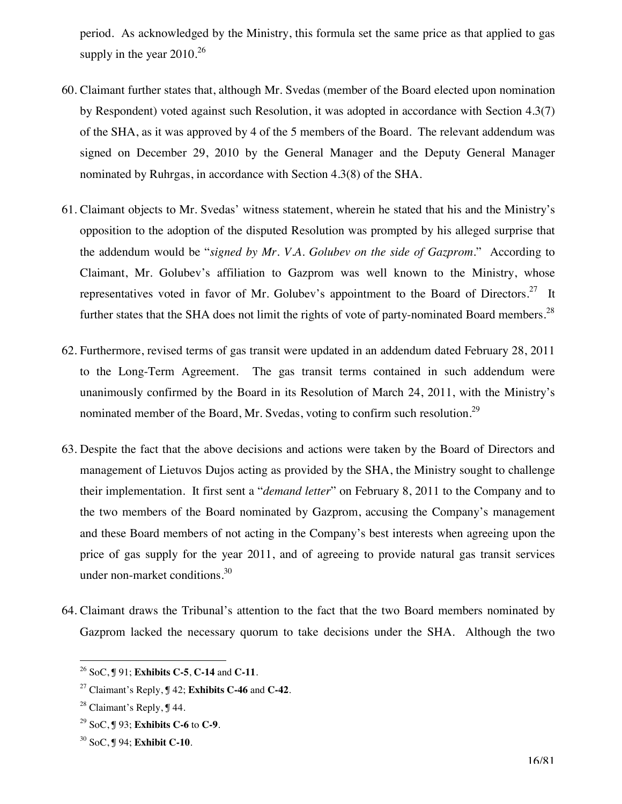period. As acknowledged by the Ministry, this formula set the same price as that applied to gas supply in the year 2010.<sup>26</sup>

- 60. Claimant further states that, although Mr. Svedas (member of the Board elected upon nomination by Respondent) voted against such Resolution, it was adopted in accordance with Section 4.3(7) of the SHA, as it was approved by 4 of the 5 members of the Board. The relevant addendum was signed on December 29, 2010 by the General Manager and the Deputy General Manager nominated by Ruhrgas, in accordance with Section 4.3(8) of the SHA.
- 61. Claimant objects to Mr. Svedas' witness statement, wherein he stated that his and the Ministry's opposition to the adoption of the disputed Resolution was prompted by his alleged surprise that the addendum would be "*signed by Mr. V.A. Golubev on the side of Gazprom*." According to Claimant, Mr. Golubev's affiliation to Gazprom was well known to the Ministry, whose representatives voted in favor of Mr. Golubev's appointment to the Board of Directors.<sup>27</sup> It further states that the SHA does not limit the rights of vote of party-nominated Board members.<sup>28</sup>
- 62. Furthermore, revised terms of gas transit were updated in an addendum dated February 28, 2011 to the Long-Term Agreement. The gas transit terms contained in such addendum were unanimously confirmed by the Board in its Resolution of March 24, 2011, with the Ministry's nominated member of the Board, Mr. Svedas, voting to confirm such resolution.<sup>29</sup>
- 63. Despite the fact that the above decisions and actions were taken by the Board of Directors and management of Lietuvos Dujos acting as provided by the SHA, the Ministry sought to challenge their implementation. It first sent a "*demand letter*" on February 8, 2011 to the Company and to the two members of the Board nominated by Gazprom, accusing the Company's management and these Board members of not acting in the Company's best interests when agreeing upon the price of gas supply for the year 2011, and of agreeing to provide natural gas transit services under non-market conditions.30
- 64. Claimant draws the Tribunal's attention to the fact that the two Board members nominated by Gazprom lacked the necessary quorum to take decisions under the SHA. Although the two

29 SoC, ¶ 93; **Exhibits C-6** to **C-9**.

 $\overline{a}$ 26 SoC, ¶ 91; **Exhibits C-5**, **C-14** and **C-11**.

<sup>27</sup> Claimant's Reply, ¶ 42; **Exhibits C-46** and **C-42**.

<sup>28</sup> Claimant's Reply, ¶ 44.

<sup>30</sup> SoC, ¶ 94; **Exhibit C-10**.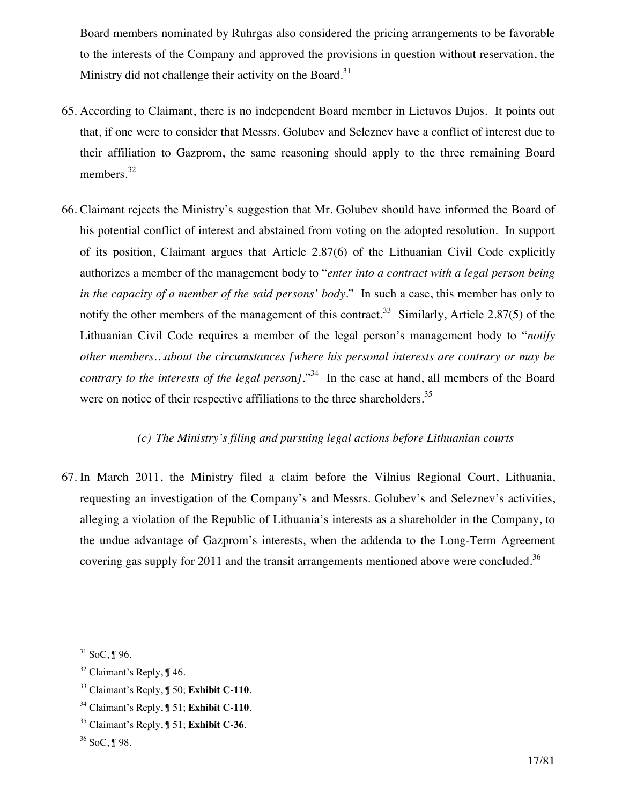Board members nominated by Ruhrgas also considered the pricing arrangements to be favorable to the interests of the Company and approved the provisions in question without reservation, the Ministry did not challenge their activity on the Board.<sup>31</sup>

- 65. According to Claimant, there is no independent Board member in Lietuvos Dujos. It points out that, if one were to consider that Messrs. Golubev and Seleznev have a conflict of interest due to their affiliation to Gazprom, the same reasoning should apply to the three remaining Board members.<sup>32</sup>
- 66. Claimant rejects the Ministry's suggestion that Mr. Golubev should have informed the Board of his potential conflict of interest and abstained from voting on the adopted resolution. In support of its position, Claimant argues that Article 2.87(6) of the Lithuanian Civil Code explicitly authorizes a member of the management body to "*enter into a contract with a legal person being in the capacity of a member of the said persons' body*." In such a case, this member has only to notify the other members of the management of this contract.<sup>33</sup> Similarly, Article 2.87(5) of the Lithuanian Civil Code requires a member of the legal person's management body to "*notify other members…about the circumstances [where his personal interests are contrary or may be contrary to the interests of the legal perso*n*]*."34 In the case at hand, all members of the Board were on notice of their respective affiliations to the three shareholders.<sup>35</sup>

#### *(c) The Ministry's filing and pursuing legal actions before Lithuanian courts*

67. In March 2011, the Ministry filed a claim before the Vilnius Regional Court, Lithuania, requesting an investigation of the Company's and Messrs. Golubev's and Seleznev's activities, alleging a violation of the Republic of Lithuania's interests as a shareholder in the Company, to the undue advantage of Gazprom's interests, when the addenda to the Long-Term Agreement covering gas supply for 2011 and the transit arrangements mentioned above were concluded.<sup>36</sup>

 $\overline{a}$  $31$  SoC, J 96.

<sup>&</sup>lt;sup>32</sup> Claimant's Reply, **J** 46.

<sup>33</sup> Claimant's Reply, ¶ 50; **Exhibit C-110**.

<sup>34</sup> Claimant's Reply, ¶ 51; **Exhibit C-110**.

<sup>35</sup> Claimant's Reply, ¶ 51; **Exhibit C-36**.

<sup>36</sup> SoC, ¶ 98.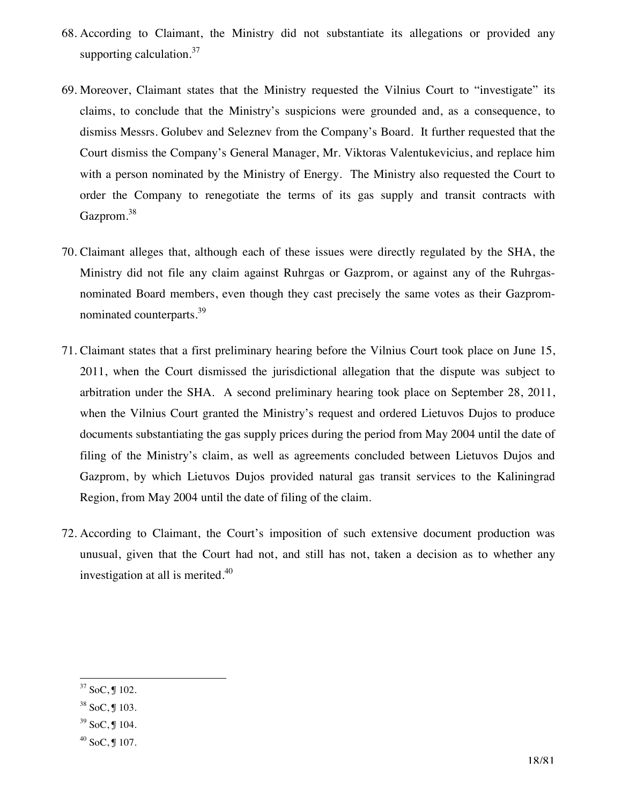- 68. According to Claimant, the Ministry did not substantiate its allegations or provided any supporting calculation. $37$
- 69. Moreover, Claimant states that the Ministry requested the Vilnius Court to "investigate" its claims, to conclude that the Ministry's suspicions were grounded and, as a consequence, to dismiss Messrs. Golubev and Seleznev from the Company's Board. It further requested that the Court dismiss the Company's General Manager, Mr. Viktoras Valentukevicius, and replace him with a person nominated by the Ministry of Energy. The Ministry also requested the Court to order the Company to renegotiate the terms of its gas supply and transit contracts with Gazprom.<sup>38</sup>
- 70. Claimant alleges that, although each of these issues were directly regulated by the SHA, the Ministry did not file any claim against Ruhrgas or Gazprom, or against any of the Ruhrgasnominated Board members, even though they cast precisely the same votes as their Gazpromnominated counterparts.<sup>39</sup>
- 71. Claimant states that a first preliminary hearing before the Vilnius Court took place on June 15, 2011, when the Court dismissed the jurisdictional allegation that the dispute was subject to arbitration under the SHA. A second preliminary hearing took place on September 28, 2011, when the Vilnius Court granted the Ministry's request and ordered Lietuvos Dujos to produce documents substantiating the gas supply prices during the period from May 2004 until the date of filing of the Ministry's claim, as well as agreements concluded between Lietuvos Dujos and Gazprom, by which Lietuvos Dujos provided natural gas transit services to the Kaliningrad Region, from May 2004 until the date of filing of the claim.
- 72. According to Claimant, the Court's imposition of such extensive document production was unusual, given that the Court had not, and still has not, taken a decision as to whether any investigation at all is merited.<sup>40</sup>

 $\overline{a}$  $37$  SoC, J 102.

 $38$  SoC, J 103.

 $39$  SoC, ¶ 104.

 $40$  SoC, J 107.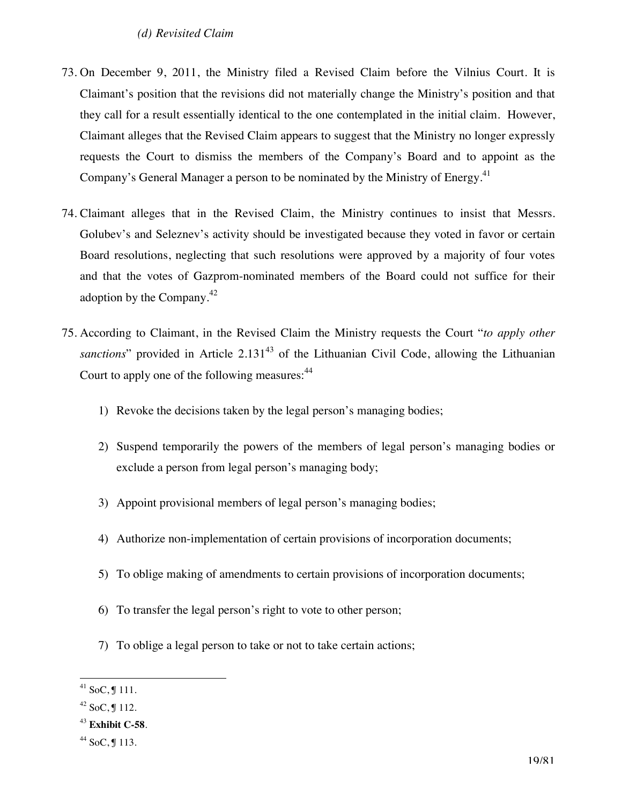#### *(d) Revisited Claim*

- 73. On December 9, 2011, the Ministry filed a Revised Claim before the Vilnius Court. It is Claimant's position that the revisions did not materially change the Ministry's position and that they call for a result essentially identical to the one contemplated in the initial claim. However, Claimant alleges that the Revised Claim appears to suggest that the Ministry no longer expressly requests the Court to dismiss the members of the Company's Board and to appoint as the Company's General Manager a person to be nominated by the Ministry of Energy.<sup>41</sup>
- 74. Claimant alleges that in the Revised Claim, the Ministry continues to insist that Messrs. Golubev's and Seleznev's activity should be investigated because they voted in favor or certain Board resolutions, neglecting that such resolutions were approved by a majority of four votes and that the votes of Gazprom-nominated members of the Board could not suffice for their adoption by the Company.42
- 75. According to Claimant, in the Revised Claim the Ministry requests the Court "*to apply other*  sanctions" provided in Article 2.131<sup>43</sup> of the Lithuanian Civil Code, allowing the Lithuanian Court to apply one of the following measures: <sup>44</sup>
	- 1) Revoke the decisions taken by the legal person's managing bodies;
	- 2) Suspend temporarily the powers of the members of legal person's managing bodies or exclude a person from legal person's managing body;
	- 3) Appoint provisional members of legal person's managing bodies;
	- 4) Authorize non-implementation of certain provisions of incorporation documents;
	- 5) To oblige making of amendments to certain provisions of incorporation documents;
	- 6) To transfer the legal person's right to vote to other person;
	- 7) To oblige a legal person to take or not to take certain actions;

 $\overline{a}$  $41$  SoC, J 111.

 $42$  SoC, ¶ 112.

<sup>43</sup> **Exhibit C-58**.

 $44$  SoC, J 113.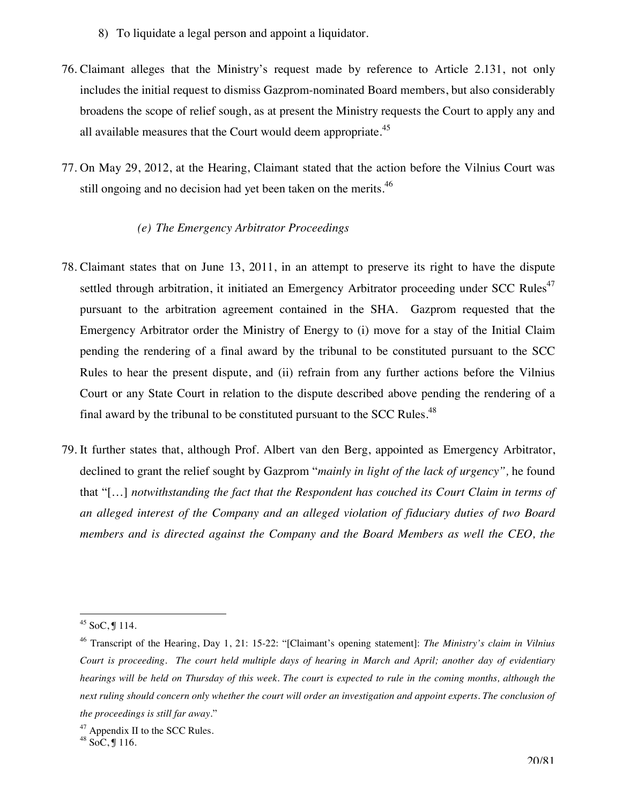- 8) To liquidate a legal person and appoint a liquidator.
- 76. Claimant alleges that the Ministry's request made by reference to Article 2.131, not only includes the initial request to dismiss Gazprom-nominated Board members, but also considerably broadens the scope of relief sough, as at present the Ministry requests the Court to apply any and all available measures that the Court would deem appropriate. $45$
- 77. On May 29, 2012, at the Hearing, Claimant stated that the action before the Vilnius Court was still ongoing and no decision had yet been taken on the merits.<sup>46</sup>

#### *(e) The Emergency Arbitrator Proceedings*

- 78. Claimant states that on June 13, 2011, in an attempt to preserve its right to have the dispute settled through arbitration, it initiated an Emergency Arbitrator proceeding under SCC Rules<sup>47</sup> pursuant to the arbitration agreement contained in the SHA. Gazprom requested that the Emergency Arbitrator order the Ministry of Energy to (i) move for a stay of the Initial Claim pending the rendering of a final award by the tribunal to be constituted pursuant to the SCC Rules to hear the present dispute, and (ii) refrain from any further actions before the Vilnius Court or any State Court in relation to the dispute described above pending the rendering of a final award by the tribunal to be constituted pursuant to the SCC Rules.<sup>48</sup>
- 79. It further states that, although Prof. Albert van den Berg, appointed as Emergency Arbitrator, declined to grant the relief sought by Gazprom "*mainly in light of the lack of urgency",* he found that "[…] *notwithstanding the fact that the Respondent has couched its Court Claim in terms of an alleged interest of the Company and an alleged violation of fiduciary duties of two Board members and is directed against the Company and the Board Members as well the CEO, the*

 $\overline{a}$  $45$  SoC, J 114.

<sup>46</sup> Transcript of the Hearing, Day 1, 21: 15-22: "[Claimant's opening statement]: *The Ministry's claim in Vilnius Court is proceeding. The court held multiple days of hearing in March and April; another day of evidentiary hearings will be held on Thursday of this week. The court is expected to rule in the coming months, although the next ruling should concern only whether the court will order an investigation and appoint experts. The conclusion of the proceedings is still far away*."

<sup>&</sup>lt;sup>47</sup> Appendix II to the SCC Rules.

 $48 \overline{\text{SoC}}, \frac{\pi}{9} 116.$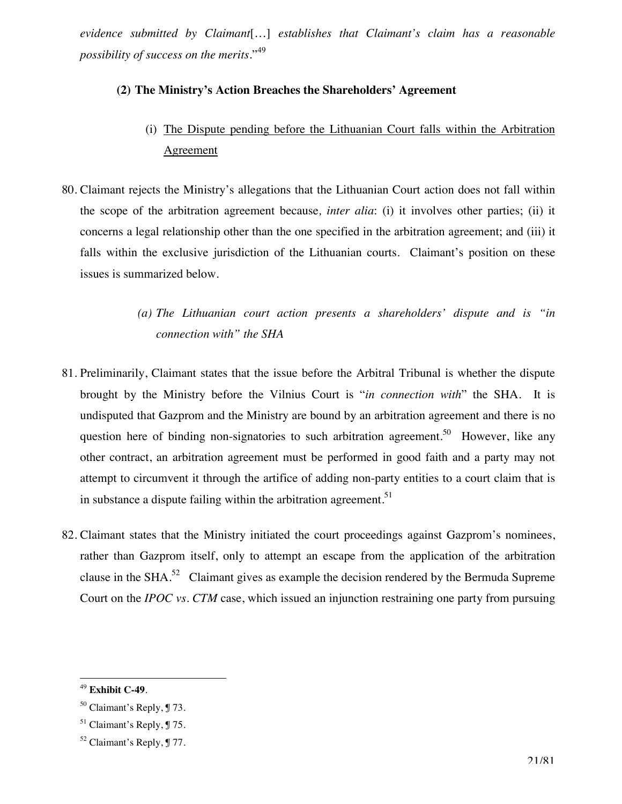*evidence submitted by Claimant*[…] *establishes that Claimant's claim has a reasonable possibility of success on the merits*."<sup>49</sup>

#### **(2) The Ministry's Action Breaches the Shareholders' Agreement**

- (i) The Dispute pending before the Lithuanian Court falls within the Arbitration **Agreement**
- 80. Claimant rejects the Ministry's allegations that the Lithuanian Court action does not fall within the scope of the arbitration agreement because*, inter alia*: (i) it involves other parties; (ii) it concerns a legal relationship other than the one specified in the arbitration agreement; and (iii) it falls within the exclusive jurisdiction of the Lithuanian courts. Claimant's position on these issues is summarized below.

# *(a) The Lithuanian court action presents a shareholders' dispute and is "in connection with" the SHA*

- 81. Preliminarily, Claimant states that the issue before the Arbitral Tribunal is whether the dispute brought by the Ministry before the Vilnius Court is "*in connection with*" the SHA. It is undisputed that Gazprom and the Ministry are bound by an arbitration agreement and there is no question here of binding non-signatories to such arbitration agreement.<sup>50</sup> However, like any other contract, an arbitration agreement must be performed in good faith and a party may not attempt to circumvent it through the artifice of adding non-party entities to a court claim that is in substance a dispute failing within the arbitration agreement.<sup>51</sup>
- 82. Claimant states that the Ministry initiated the court proceedings against Gazprom's nominees, rather than Gazprom itself, only to attempt an escape from the application of the arbitration clause in the SHA.52 Claimant gives as example the decision rendered by the Bermuda Supreme Court on the *IPOC vs. CTM* case, which issued an injunction restraining one party from pursuing

 $\overline{a}$ <sup>49</sup> **Exhibit C-49**.

 $50$  Claimant's Reply,  $\sqrt{9}$  73.

 $51$  Claimant's Reply,  $\sqrt{9}$  75.

 $52$  Claimant's Reply,  $\sqrt{9}$  77.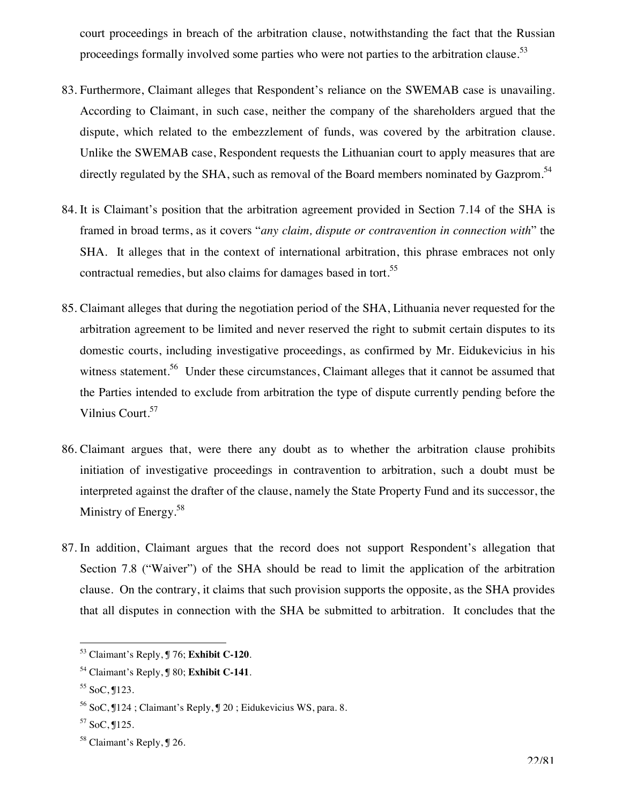court proceedings in breach of the arbitration clause, notwithstanding the fact that the Russian proceedings formally involved some parties who were not parties to the arbitration clause.<sup>53</sup>

- 83. Furthermore, Claimant alleges that Respondent's reliance on the SWEMAB case is unavailing. According to Claimant, in such case, neither the company of the shareholders argued that the dispute, which related to the embezzlement of funds, was covered by the arbitration clause. Unlike the SWEMAB case, Respondent requests the Lithuanian court to apply measures that are directly regulated by the SHA, such as removal of the Board members nominated by Gazprom.<sup>54</sup>
- 84. It is Claimant's position that the arbitration agreement provided in Section 7.14 of the SHA is framed in broad terms, as it covers "*any claim, dispute or contravention in connection with*" the SHA. It alleges that in the context of international arbitration, this phrase embraces not only contractual remedies, but also claims for damages based in tort.<sup>55</sup>
- 85. Claimant alleges that during the negotiation period of the SHA, Lithuania never requested for the arbitration agreement to be limited and never reserved the right to submit certain disputes to its domestic courts, including investigative proceedings, as confirmed by Mr. Eidukevicius in his witness statement.<sup>56</sup> Under these circumstances, Claimant alleges that it cannot be assumed that the Parties intended to exclude from arbitration the type of dispute currently pending before the Vilnius Court.<sup>57</sup>
- 86. Claimant argues that, were there any doubt as to whether the arbitration clause prohibits initiation of investigative proceedings in contravention to arbitration, such a doubt must be interpreted against the drafter of the clause, namely the State Property Fund and its successor, the Ministry of Energy.<sup>58</sup>
- 87. In addition, Claimant argues that the record does not support Respondent's allegation that Section 7.8 ("Waiver") of the SHA should be read to limit the application of the arbitration clause. On the contrary, it claims that such provision supports the opposite, as the SHA provides that all disputes in connection with the SHA be submitted to arbitration. It concludes that the

 $\overline{a}$ 53 Claimant's Reply, ¶ 76; **Exhibit C-120**.

<sup>54</sup> Claimant's Reply, ¶ 80; **Exhibit C-141**.

<sup>55</sup> SoC, ¶123.

<sup>56</sup> SoC, ¶124 ; Claimant's Reply, ¶ 20 ; Eidukevicius WS, para. 8.

 $57$  SoC,  $125$ .

<sup>58</sup> Claimant's Reply, ¶ 26.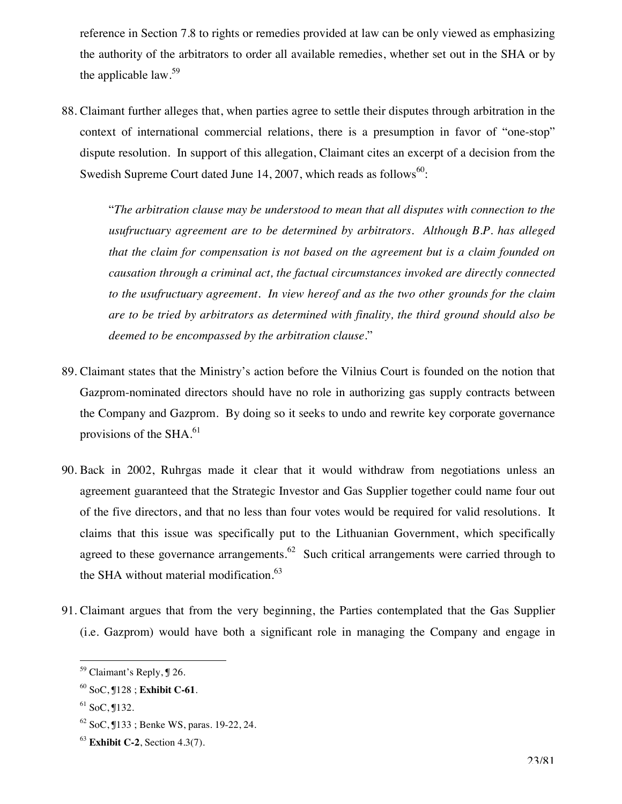reference in Section 7.8 to rights or remedies provided at law can be only viewed as emphasizing the authority of the arbitrators to order all available remedies, whether set out in the SHA or by the applicable law. $59$ 

88. Claimant further alleges that, when parties agree to settle their disputes through arbitration in the context of international commercial relations, there is a presumption in favor of "one-stop" dispute resolution. In support of this allegation, Claimant cites an excerpt of a decision from the Swedish Supreme Court dated June 14, 2007, which reads as follows<sup>60</sup>:

"*The arbitration clause may be understood to mean that all disputes with connection to the usufructuary agreement are to be determined by arbitrators. Although B.P. has alleged that the claim for compensation is not based on the agreement but is a claim founded on causation through a criminal act, the factual circumstances invoked are directly connected to the usufructuary agreement. In view hereof and as the two other grounds for the claim are to be tried by arbitrators as determined with finality, the third ground should also be deemed to be encompassed by the arbitration clause.*"

- 89. Claimant states that the Ministry's action before the Vilnius Court is founded on the notion that Gazprom-nominated directors should have no role in authorizing gas supply contracts between the Company and Gazprom. By doing so it seeks to undo and rewrite key corporate governance provisions of the SHA.<sup>61</sup>
- 90. Back in 2002, Ruhrgas made it clear that it would withdraw from negotiations unless an agreement guaranteed that the Strategic Investor and Gas Supplier together could name four out of the five directors, and that no less than four votes would be required for valid resolutions. It claims that this issue was specifically put to the Lithuanian Government, which specifically agreed to these governance arrangements.<sup>62</sup> Such critical arrangements were carried through to the SHA without material modification.<sup>63</sup>
- 91. Claimant argues that from the very beginning, the Parties contemplated that the Gas Supplier (i.e. Gazprom) would have both a significant role in managing the Company and engage in

<sup>&</sup>lt;sup>59</sup> Claimant's Reply, ¶ 26.

<sup>60</sup> SoC, ¶128 ; **Exhibit C-61**.

 $61$  SoC,  $\P$ 132.

 $62$  SoC,  $133$ ; Benke WS, paras. 19-22, 24.

<sup>63</sup> **Exhibit C-2**, Section 4.3(7).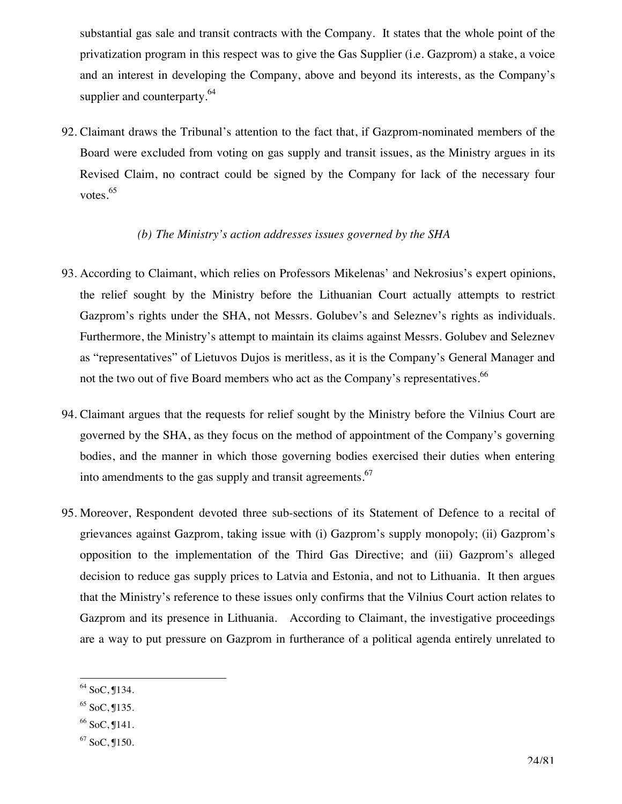substantial gas sale and transit contracts with the Company. It states that the whole point of the privatization program in this respect was to give the Gas Supplier (i.e. Gazprom) a stake, a voice and an interest in developing the Company, above and beyond its interests, as the Company's supplier and counterparty.<sup>64</sup>

92. Claimant draws the Tribunal's attention to the fact that, if Gazprom-nominated members of the Board were excluded from voting on gas supply and transit issues, as the Ministry argues in its Revised Claim, no contract could be signed by the Company for lack of the necessary four votes.<sup>65</sup>

#### *(b) The Ministry's action addresses issues governed by the SHA*

- 93. According to Claimant, which relies on Professors Mikelenas' and Nekrosius's expert opinions, the relief sought by the Ministry before the Lithuanian Court actually attempts to restrict Gazprom's rights under the SHA, not Messrs. Golubev's and Seleznev's rights as individuals. Furthermore, the Ministry's attempt to maintain its claims against Messrs. Golubev and Seleznev as "representatives" of Lietuvos Dujos is meritless, as it is the Company's General Manager and not the two out of five Board members who act as the Company's representatives.<sup>66</sup>
- 94. Claimant argues that the requests for relief sought by the Ministry before the Vilnius Court are governed by the SHA, as they focus on the method of appointment of the Company's governing bodies, and the manner in which those governing bodies exercised their duties when entering into amendments to the gas supply and transit agreements.<sup>67</sup>
- 95. Moreover, Respondent devoted three sub-sections of its Statement of Defence to a recital of grievances against Gazprom, taking issue with (i) Gazprom's supply monopoly; (ii) Gazprom's opposition to the implementation of the Third Gas Directive; and (iii) Gazprom's alleged decision to reduce gas supply prices to Latvia and Estonia, and not to Lithuania. It then argues that the Ministry's reference to these issues only confirms that the Vilnius Court action relates to Gazprom and its presence in Lithuania. According to Claimant, the investigative proceedings are a way to put pressure on Gazprom in furtherance of a political agenda entirely unrelated to

 $\overline{a}$  $64$  SoC, J134.

 $65$  SoC,  $135$ .

 $66$  SoC,  $\P$ 141.

<sup>67</sup> SoC, ¶150.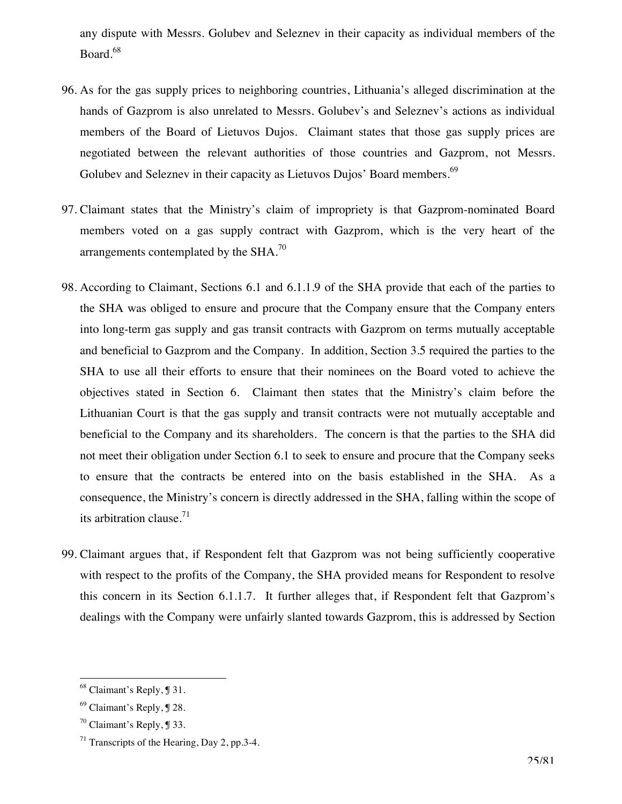any dispute with Messrs. Golubev and Seleznev in their capacity as individual members of the Board.<sup>68</sup>

- 96. As for the gas supply prices to neighboring countries, Lithuania's alleged discrimination at the hands of Gazprom is also unrelated to Messrs. Golubev's and Seleznev's actions as individual members of the Board of Lietuvos Dujos. Claimant states that those gas supply prices are negotiated between the relevant authorities of those countries and Gazprom, not Messrs. Golubev and Seleznev in their capacity as Lietuvos Dujos' Board members.<sup>69</sup>
- 97. Claimant states that the Ministry's claim of impropriety is that Gazprom-nominated Board members voted on a gas supply contract with Gazprom, which is the very heart of the arrangements contemplated by the SHA.70
- 98. According to Claimant, Sections 6.1 and 6.1.1.9 of the SHA provide that each of the parties to the SHA was obliged to ensure and procure that the Company ensure that the Company enters into long-term gas supply and gas transit contracts with Gazprom on terms mutually acceptable and beneficial to Gazprom and the Company. In addition, Section 3.5 required the parties to the SHA to use all their efforts to ensure that their nominees on the Board voted to achieve the objectives stated in Section 6. Claimant then states that the Ministry's claim before the Lithuanian Court is that the gas supply and transit contracts were not mutually acceptable and beneficial to the Company and its shareholders. The concern is that the parties to the SHA did not meet their obligation under Section 6.1 to seek to ensure and procure that the Company seeks to ensure that the contracts be entered into on the basis established in the SHA. As a consequence, the Ministry's concern is directly addressed in the SHA, falling within the scope of its arbitration clause. $71$
- 99. Claimant argues that, if Respondent felt that Gazprom was not being sufficiently cooperative with respect to the profits of the Company, the SHA provided means for Respondent to resolve this concern in its Section 6.1.1.7. It further alleges that, if Respondent felt that Gazprom's dealings with the Company were unfairly slanted towards Gazprom, this is addressed by Section

<sup>&</sup>lt;sup>68</sup> Claimant's Reply, ¶ 31.

<sup>69</sup> Claimant's Reply, ¶ 28.

 $70$  Claimant's Reply,  $$33$ .

 $71$  Transcripts of the Hearing, Day 2, pp.3-4.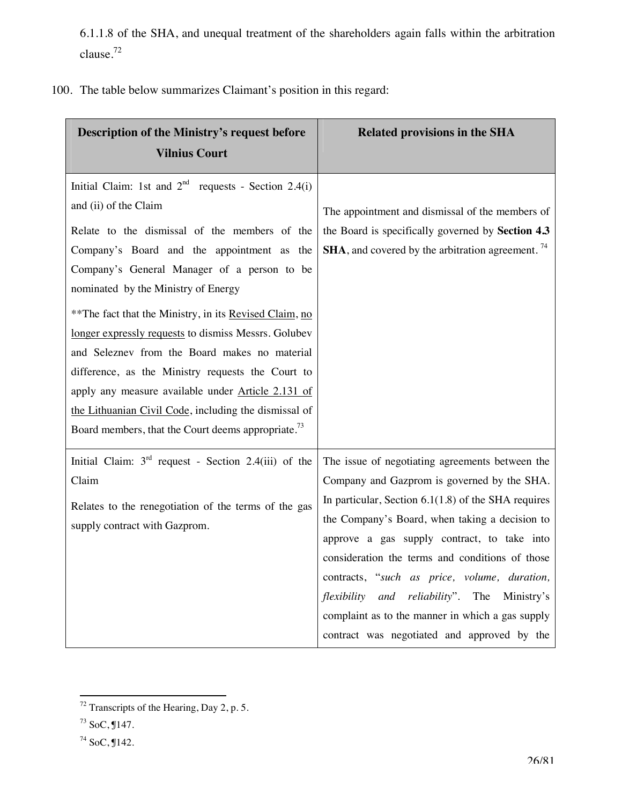6.1.1.8 of the SHA, and unequal treatment of the shareholders again falls within the arbitration clause.<sup>72</sup>

100. The table below summarizes Claimant's position in this regard:

| Description of the Ministry's request before<br><b>Vilnius Court</b> | <b>Related provisions in the SHA</b>                                 |
|----------------------------------------------------------------------|----------------------------------------------------------------------|
|                                                                      |                                                                      |
| Initial Claim: 1st and $2nd$ requests - Section 2.4(i)               |                                                                      |
| and (ii) of the Claim                                                | The appointment and dismissal of the members of                      |
| Relate to the dismissal of the members of the                        | the Board is specifically governed by Section 4.3                    |
| Company's Board and the appointment as the                           | <b>SHA</b> , and covered by the arbitration agreement. <sup>74</sup> |
| Company's General Manager of a person to be                          |                                                                      |
| nominated by the Ministry of Energy                                  |                                                                      |
| ** The fact that the Ministry, in its Revised Claim, no              |                                                                      |
| longer expressly requests to dismiss Messrs. Golubev                 |                                                                      |
| and Seleznev from the Board makes no material                        |                                                                      |
| difference, as the Ministry requests the Court to                    |                                                                      |
| apply any measure available under Article 2.131 of                   |                                                                      |
| the Lithuanian Civil Code, including the dismissal of                |                                                                      |
| Board members, that the Court deems appropriate. <sup>73</sup>       |                                                                      |
| Initial Claim: $3rd$ request - Section 2.4(iii) of the               | The issue of negotiating agreements between the                      |
| Claim                                                                | Company and Gazprom is governed by the SHA.                          |
| Relates to the renegotiation of the terms of the gas                 | In particular, Section $6.1(1.8)$ of the SHA requires                |
| supply contract with Gazprom.                                        | the Company's Board, when taking a decision to                       |
|                                                                      | approve a gas supply contract, to take into                          |
|                                                                      | consideration the terms and conditions of those                      |
|                                                                      | contracts, "such as price, volume, duration,                         |
|                                                                      | flexibility<br>and<br><i>reliability</i> ". The<br>Ministry's        |
|                                                                      | complaint as to the manner in which a gas supply                     |
|                                                                      | contract was negotiated and approved by the                          |

 $\overline{a}$  $72$  Transcripts of the Hearing, Day 2, p. 5.

 $73$  SoC,  $$147$ .

<sup>74</sup> SoC, ¶142.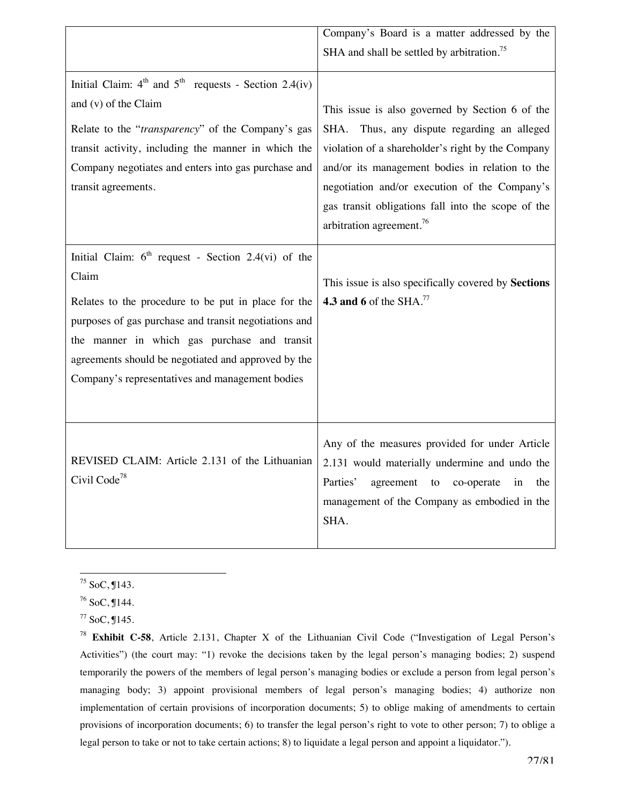|                                                           | Company's Board is a matter addressed by the           |
|-----------------------------------------------------------|--------------------------------------------------------|
|                                                           | SHA and shall be settled by arbitration. <sup>75</sup> |
|                                                           |                                                        |
| Initial Claim: $4th$ and $5th$ requests - Section 2.4(iv) |                                                        |
| and (v) of the Claim                                      | This issue is also governed by Section 6 of the        |
| Relate to the "transparency" of the Company's gas         | SHA. Thus, any dispute regarding an alleged            |
| transit activity, including the manner in which the       | violation of a shareholder's right by the Company      |
| Company negotiates and enters into gas purchase and       | and/or its management bodies in relation to the        |
| transit agreements.                                       | negotiation and/or execution of the Company's          |
|                                                           | gas transit obligations fall into the scope of the     |
|                                                           | arbitration agreement. <sup>76</sup>                   |
|                                                           |                                                        |
| Initial Claim: $6th$ request - Section 2.4(vi) of the     |                                                        |
| Claim                                                     | This issue is also specifically covered by Sections    |
| Relates to the procedure to be put in place for the       | 4.3 and 6 of the SHA. $^{77}$                          |
| purposes of gas purchase and transit negotiations and     |                                                        |
| the manner in which gas purchase and transit              |                                                        |
| agreements should be negotiated and approved by the       |                                                        |
| Company's representatives and management bodies           |                                                        |
|                                                           |                                                        |
|                                                           |                                                        |
|                                                           | Any of the measures provided for under Article         |
| REVISED CLAIM: Article 2.131 of the Lithuanian            | 2.131 would materially undermine and undo the          |
| Civil Code <sup>78</sup>                                  | Parties'                                               |
|                                                           | agreement to<br>co-operate<br>in<br>the                |
|                                                           | management of the Company as embodied in the           |
|                                                           | SHA.                                                   |
|                                                           |                                                        |

 $\overline{a}$  $75$  SoC,  $$143$ .

<sup>76</sup> SoC, ¶144.

 $77$  SoC,  $$145$ .

<sup>78</sup> **Exhibit C-58**, Article 2.131, Chapter X of the Lithuanian Civil Code ("Investigation of Legal Person's Activities") (the court may: "1) revoke the decisions taken by the legal person's managing bodies; 2) suspend temporarily the powers of the members of legal person's managing bodies or exclude a person from legal person's managing body; 3) appoint provisional members of legal person's managing bodies; 4) authorize non implementation of certain provisions of incorporation documents; 5) to oblige making of amendments to certain provisions of incorporation documents; 6) to transfer the legal person's right to vote to other person; 7) to oblige a legal person to take or not to take certain actions; 8) to liquidate a legal person and appoint a liquidator.").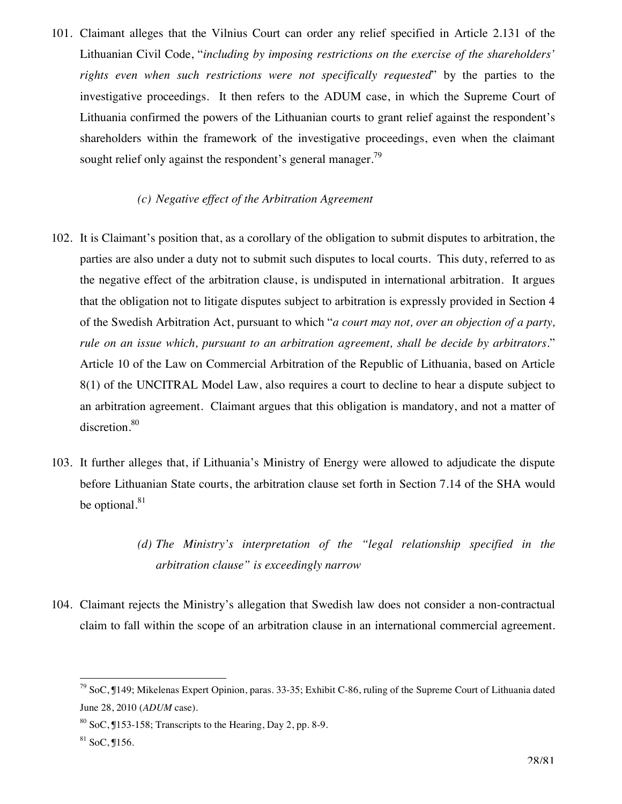101. Claimant alleges that the Vilnius Court can order any relief specified in Article 2.131 of the Lithuanian Civil Code, "*including by imposing restrictions on the exercise of the shareholders' rights even when such restrictions were not specifically requested*" by the parties to the investigative proceedings. It then refers to the ADUM case, in which the Supreme Court of Lithuania confirmed the powers of the Lithuanian courts to grant relief against the respondent's shareholders within the framework of the investigative proceedings, even when the claimant sought relief only against the respondent's general manager.<sup>79</sup>

### *(c) Negative effect of the Arbitration Agreement*

- 102. It is Claimant's position that, as a corollary of the obligation to submit disputes to arbitration, the parties are also under a duty not to submit such disputes to local courts. This duty, referred to as the negative effect of the arbitration clause, is undisputed in international arbitration. It argues that the obligation not to litigate disputes subject to arbitration is expressly provided in Section 4 of the Swedish Arbitration Act, pursuant to which "*a court may not, over an objection of a party, rule on an issue which, pursuant to an arbitration agreement, shall be decide by arbitrators*." Article 10 of the Law on Commercial Arbitration of the Republic of Lithuania, based on Article 8(1) of the UNCITRAL Model Law, also requires a court to decline to hear a dispute subject to an arbitration agreement. Claimant argues that this obligation is mandatory, and not a matter of discretion.<sup>80</sup>
- 103. It further alleges that, if Lithuania's Ministry of Energy were allowed to adjudicate the dispute before Lithuanian State courts, the arbitration clause set forth in Section 7.14 of the SHA would be optional.<sup>81</sup>
	- *(d) The Ministry's interpretation of the "legal relationship specified in the arbitration clause" is exceedingly narrow*
- 104. Claimant rejects the Ministry's allegation that Swedish law does not consider a non-contractual claim to fall within the scope of an arbitration clause in an international commercial agreement.

 $^{79}$  SoC, ¶149; Mikelenas Expert Opinion, paras. 33-35; Exhibit C-86, ruling of the Supreme Court of Lithuania dated June 28, 2010 (*ADUM* case).

 $80$  SoC,  $153-158$ ; Transcripts to the Hearing, Day 2, pp. 8-9.

 $81$  SoC, J156.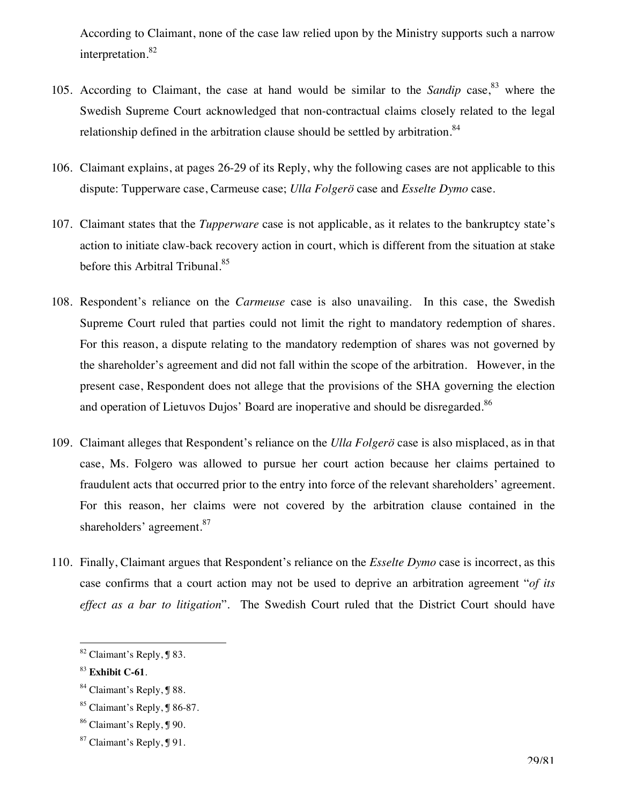According to Claimant, none of the case law relied upon by the Ministry supports such a narrow interpretation.<sup>82</sup>

- 105. According to Claimant, the case at hand would be similar to the *Sandip* case,<sup>83</sup> where the Swedish Supreme Court acknowledged that non-contractual claims closely related to the legal relationship defined in the arbitration clause should be settled by arbitration. $84$
- 106. Claimant explains, at pages 26-29 of its Reply, why the following cases are not applicable to this dispute: Tupperware case, Carmeuse case; *Ulla Folgerö* case and *Esselte Dymo* case.
- 107. Claimant states that the *Tupperware* case is not applicable, as it relates to the bankruptcy state's action to initiate claw-back recovery action in court, which is different from the situation at stake before this Arbitral Tribunal.<sup>85</sup>
- 108. Respondent's reliance on the *Carmeuse* case is also unavailing. In this case, the Swedish Supreme Court ruled that parties could not limit the right to mandatory redemption of shares. For this reason, a dispute relating to the mandatory redemption of shares was not governed by the shareholder's agreement and did not fall within the scope of the arbitration. However, in the present case, Respondent does not allege that the provisions of the SHA governing the election and operation of Lietuvos Dujos' Board are inoperative and should be disregarded.<sup>86</sup>
- 109. Claimant alleges that Respondent's reliance on the *Ulla Folgerö* case is also misplaced, as in that case, Ms. Folgero was allowed to pursue her court action because her claims pertained to fraudulent acts that occurred prior to the entry into force of the relevant shareholders' agreement. For this reason, her claims were not covered by the arbitration clause contained in the shareholders' agreement.<sup>87</sup>
- 110. Finally, Claimant argues that Respondent's reliance on the *Esselte Dymo* case is incorrect, as this case confirms that a court action may not be used to deprive an arbitration agreement "*of its effect as a bar to litigation*". The Swedish Court ruled that the District Court should have

<sup>&</sup>lt;sup>82</sup> Claimant's Reply, **J** 83.

<sup>83</sup> **Exhibit C-61**.

<sup>84</sup> Claimant's Reply, ¶ 88.

<sup>85</sup> Claimant's Reply, ¶ 86-87.

<sup>86</sup> Claimant's Reply, ¶ 90.

<sup>87</sup> Claimant's Reply, ¶ 91.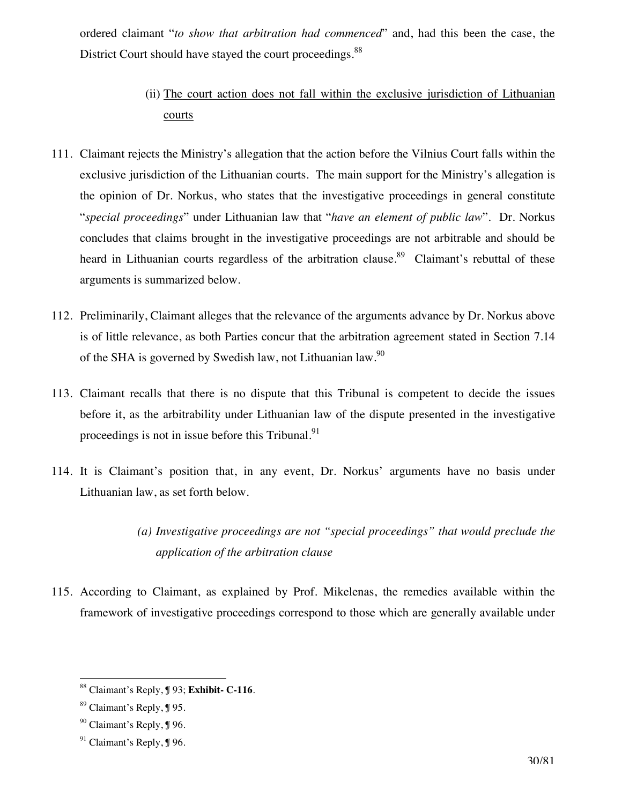ordered claimant "*to show that arbitration had commenced*" and, had this been the case, the District Court should have stayed the court proceedings.<sup>88</sup>

- (ii) The court action does not fall within the exclusive jurisdiction of Lithuanian courts
- 111. Claimant rejects the Ministry's allegation that the action before the Vilnius Court falls within the exclusive jurisdiction of the Lithuanian courts. The main support for the Ministry's allegation is the opinion of Dr. Norkus, who states that the investigative proceedings in general constitute "*special proceedings*" under Lithuanian law that "*have an element of public law*". Dr. Norkus concludes that claims brought in the investigative proceedings are not arbitrable and should be heard in Lithuanian courts regardless of the arbitration clause.<sup>89</sup> Claimant's rebuttal of these arguments is summarized below.
- 112. Preliminarily, Claimant alleges that the relevance of the arguments advance by Dr. Norkus above is of little relevance, as both Parties concur that the arbitration agreement stated in Section 7.14 of the SHA is governed by Swedish law, not Lithuanian law.<sup>90</sup>
- 113. Claimant recalls that there is no dispute that this Tribunal is competent to decide the issues before it, as the arbitrability under Lithuanian law of the dispute presented in the investigative proceedings is not in issue before this Tribunal. $91$
- 114. It is Claimant's position that, in any event, Dr. Norkus' arguments have no basis under Lithuanian law, as set forth below.
	- *(a) Investigative proceedings are not "special proceedings" that would preclude the application of the arbitration clause*
- 115. According to Claimant, as explained by Prof. Mikelenas, the remedies available within the framework of investigative proceedings correspond to those which are generally available under

<sup>88</sup> Claimant's Reply, ¶ 93; **Exhibit- C-116**.

<sup>89</sup> Claimant's Reply, ¶ 95.

<sup>90</sup> Claimant's Reply, ¶ 96.

 $91$  Claimant's Reply,  $$96$ .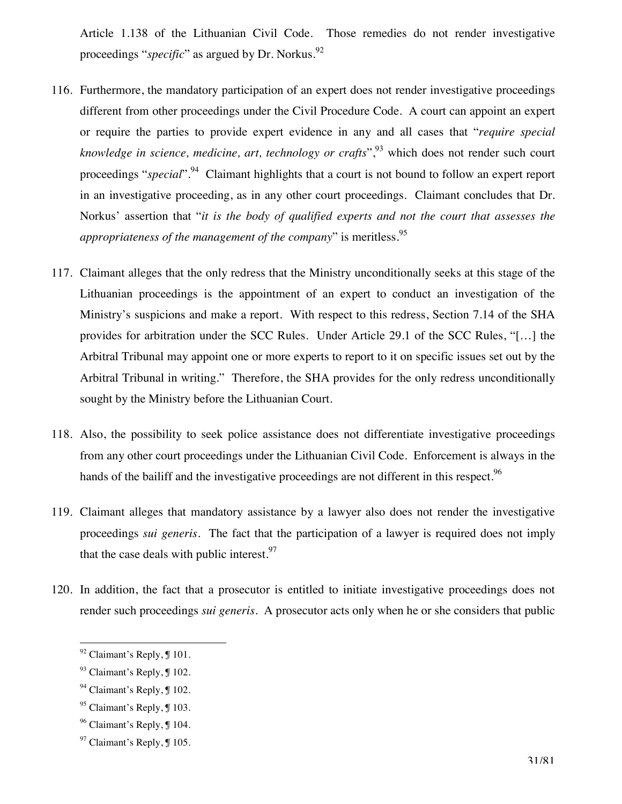Article 1.138 of the Lithuanian Civil Code. Those remedies do not render investigative proceedings "*specific*" as argued by Dr. Norkus.<sup>92</sup>

- 116. Furthermore, the mandatory participation of an expert does not render investigative proceedings different from other proceedings under the Civil Procedure Code. A court can appoint an expert or require the parties to provide expert evidence in any and all cases that "*require special knowledge in science, medicine, art, technology or crafts*<sup>", 93</sup> which does not render such court proceedings "*special*".<sup>94</sup> Claimant highlights that a court is not bound to follow an expert report in an investigative proceeding, as in any other court proceedings. Claimant concludes that Dr. Norkus' assertion that "*it is the body of qualified experts and not the court that assesses the appropriateness of the management of the company*" is meritless.<sup>95</sup>
- 117. Claimant alleges that the only redress that the Ministry unconditionally seeks at this stage of the Lithuanian proceedings is the appointment of an expert to conduct an investigation of the Ministry's suspicions and make a report. With respect to this redress, Section 7.14 of the SHA provides for arbitration under the SCC Rules. Under Article 29.1 of the SCC Rules, "[…] the Arbitral Tribunal may appoint one or more experts to report to it on specific issues set out by the Arbitral Tribunal in writing." Therefore, the SHA provides for the only redress unconditionally sought by the Ministry before the Lithuanian Court.
- 118. Also, the possibility to seek police assistance does not differentiate investigative proceedings from any other court proceedings under the Lithuanian Civil Code. Enforcement is always in the hands of the bailiff and the investigative proceedings are not different in this respect.<sup>96</sup>
- 119. Claimant alleges that mandatory assistance by a lawyer also does not render the investigative proceedings *sui generis*. The fact that the participation of a lawyer is required does not imply that the case deals with public interest.  $97$
- 120. In addition, the fact that a prosecutor is entitled to initiate investigative proceedings does not render such proceedings *sui generis*. A prosecutor acts only when he or she considers that public

 $92$  Claimant's Reply,  $101$ .

<sup>93</sup> Claimant's Reply, ¶ 102.

<sup>&</sup>lt;sup>94</sup> Claimant's Reply, ¶ 102.

 $95$  Claimant's Reply,  $\text{\textsterling}$  103.

<sup>96</sup> Claimant's Reply, ¶ 104.

 $97$  Claimant's Reply,  $\text{\ensuremath{\mathfrak{g}}}$  105.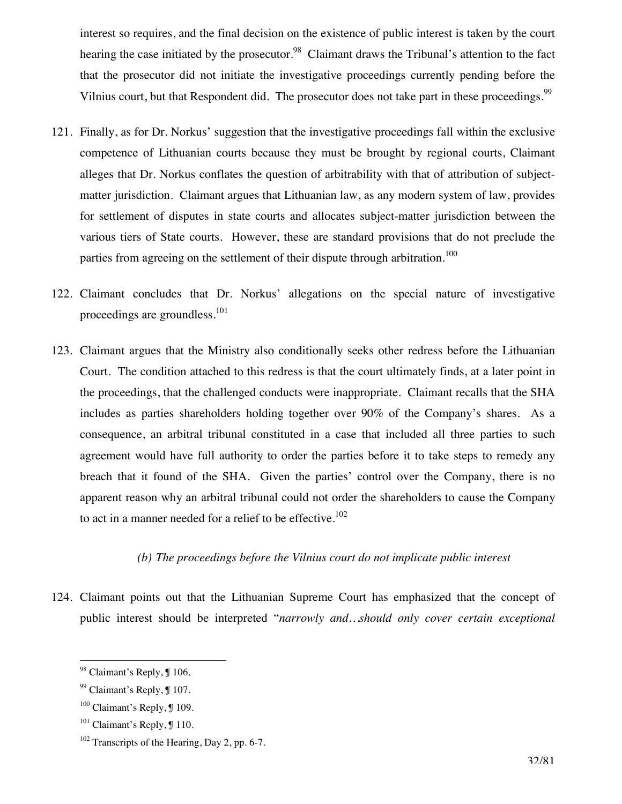interest so requires, and the final decision on the existence of public interest is taken by the court hearing the case initiated by the prosecutor.<sup>98</sup> Claimant draws the Tribunal's attention to the fact that the prosecutor did not initiate the investigative proceedings currently pending before the Vilnius court, but that Respondent did. The prosecutor does not take part in these proceedings.<sup>99</sup>

- 121. Finally, as for Dr. Norkus' suggestion that the investigative proceedings fall within the exclusive competence of Lithuanian courts because they must be brought by regional courts, Claimant alleges that Dr. Norkus conflates the question of arbitrability with that of attribution of subjectmatter jurisdiction. Claimant argues that Lithuanian law, as any modern system of law, provides for settlement of disputes in state courts and allocates subject-matter jurisdiction between the various tiers of State courts. However, these are standard provisions that do not preclude the parties from agreeing on the settlement of their dispute through arbitration.<sup>100</sup>
- 122. Claimant concludes that Dr. Norkus' allegations on the special nature of investigative proceedings are groundless.<sup>101</sup>
- 123. Claimant argues that the Ministry also conditionally seeks other redress before the Lithuanian Court. The condition attached to this redress is that the court ultimately finds, at a later point in the proceedings, that the challenged conducts were inappropriate. Claimant recalls that the SHA includes as parties shareholders holding together over 90% of the Company's shares. As a consequence, an arbitral tribunal constituted in a case that included all three parties to such agreement would have full authority to order the parties before it to take steps to remedy any breach that it found of the SHA. Given the parties' control over the Company, there is no apparent reason why an arbitral tribunal could not order the shareholders to cause the Company to act in a manner needed for a relief to be effective.<sup>102</sup>

#### *(b) The proceedings before the Vilnius court do not implicate public interest*

124. Claimant points out that the Lithuanian Supreme Court has emphasized that the concept of public interest should be interpreted "*narrowly and…should only cover certain exceptional* 

<sup>&</sup>lt;sup>98</sup> Claimant's Reply, ¶ 106.

<sup>99</sup> Claimant's Reply, ¶ 107.

<sup>&</sup>lt;sup>100</sup> Claimant's Reply, **J** 109.

 $101$  Claimant's Reply,  $\P$  110.

<sup>&</sup>lt;sup>102</sup> Transcripts of the Hearing, Day 2, pp. 6-7.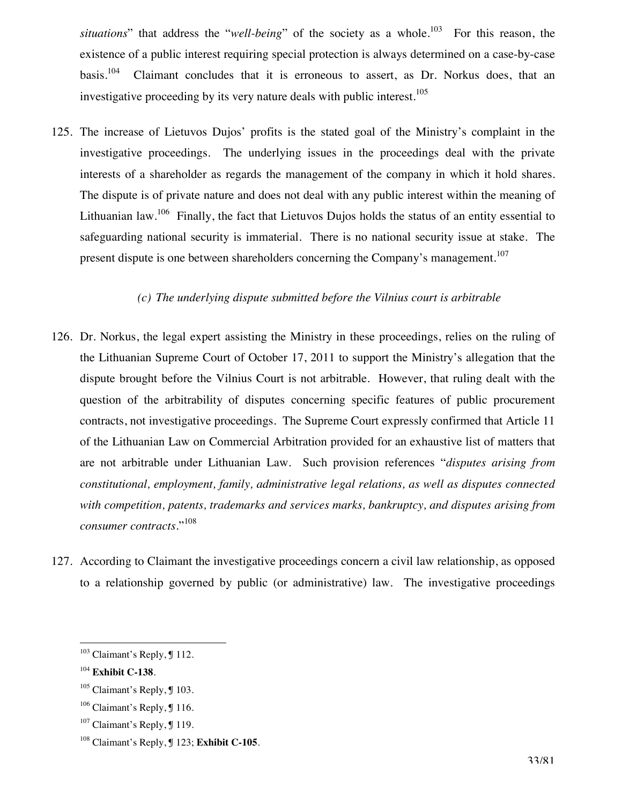*situations*" that address the "*well-being*" of the society as a whole.<sup>103</sup> For this reason, the existence of a public interest requiring special protection is always determined on a case-by-case basis.104 Claimant concludes that it is erroneous to assert, as Dr. Norkus does, that an investigative proceeding by its very nature deals with public interest.<sup>105</sup>

125. The increase of Lietuvos Dujos' profits is the stated goal of the Ministry's complaint in the investigative proceedings. The underlying issues in the proceedings deal with the private interests of a shareholder as regards the management of the company in which it hold shares. The dispute is of private nature and does not deal with any public interest within the meaning of Lithuanian law.<sup>106</sup> Finally, the fact that Lietuvos Dujos holds the status of an entity essential to safeguarding national security is immaterial. There is no national security issue at stake. The present dispute is one between shareholders concerning the Company's management.<sup>107</sup>

### *(c) The underlying dispute submitted before the Vilnius court is arbitrable*

- 126. Dr. Norkus, the legal expert assisting the Ministry in these proceedings, relies on the ruling of the Lithuanian Supreme Court of October 17, 2011 to support the Ministry's allegation that the dispute brought before the Vilnius Court is not arbitrable. However, that ruling dealt with the question of the arbitrability of disputes concerning specific features of public procurement contracts, not investigative proceedings. The Supreme Court expressly confirmed that Article 11 of the Lithuanian Law on Commercial Arbitration provided for an exhaustive list of matters that are not arbitrable under Lithuanian Law. Such provision references "*disputes arising from constitutional, employment, family, administrative legal relations, as well as disputes connected with competition, patents, trademarks and services marks, bankruptcy, and disputes arising from consumer contracts.*" 108
- 127. According to Claimant the investigative proceedings concern a civil law relationship, as opposed to a relationship governed by public (or administrative) law. The investigative proceedings

 $\overline{a}$ <sup>103</sup> Claimant's Reply, **J** 112.

<sup>104</sup> **Exhibit C-138**.

<sup>105</sup> Claimant's Reply, ¶ 103.

<sup>&</sup>lt;sup>106</sup> Claimant's Reply, **J** 116.

 $107$  Claimant's Reply, ¶ 119.

<sup>108</sup> Claimant's Reply, ¶ 123; **Exhibit C-105**.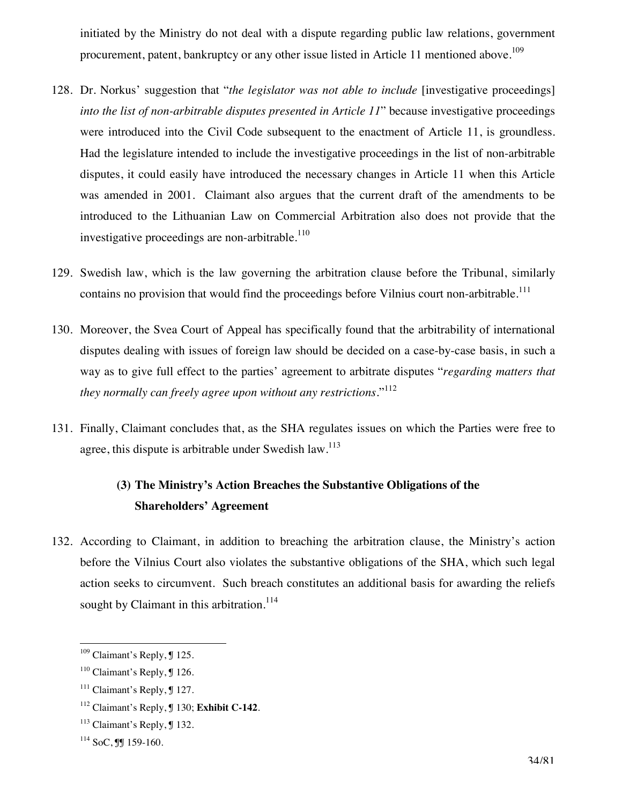initiated by the Ministry do not deal with a dispute regarding public law relations, government procurement, patent, bankruptcy or any other issue listed in Article 11 mentioned above.<sup>109</sup>

- 128. Dr. Norkus' suggestion that "*the legislator was not able to include* [investigative proceedings] *into the list of non-arbitrable disputes presented in Article 11*" because investigative proceedings were introduced into the Civil Code subsequent to the enactment of Article 11, is groundless. Had the legislature intended to include the investigative proceedings in the list of non-arbitrable disputes, it could easily have introduced the necessary changes in Article 11 when this Article was amended in 2001. Claimant also argues that the current draft of the amendments to be introduced to the Lithuanian Law on Commercial Arbitration also does not provide that the investigative proceedings are non-arbitrable.<sup>110</sup>
- 129. Swedish law, which is the law governing the arbitration clause before the Tribunal, similarly contains no provision that would find the proceedings before Vilnius court non-arbitrable.<sup>111</sup>
- 130. Moreover, the Svea Court of Appeal has specifically found that the arbitrability of international disputes dealing with issues of foreign law should be decided on a case-by-case basis, in such a way as to give full effect to the parties' agreement to arbitrate disputes "*regarding matters that they normally can freely agree upon without any restrictions*."112
- 131. Finally, Claimant concludes that, as the SHA regulates issues on which the Parties were free to agree, this dispute is arbitrable under Swedish law.<sup>113</sup>

## **(3) The Ministry's Action Breaches the Substantive Obligations of the Shareholders' Agreement**

132. According to Claimant, in addition to breaching the arbitration clause, the Ministry's action before the Vilnius Court also violates the substantive obligations of the SHA, which such legal action seeks to circumvent. Such breach constitutes an additional basis for awarding the reliefs sought by Claimant in this arbitration.<sup>114</sup>

<sup>&</sup>lt;sup>109</sup> Claimant's Reply, ¶ 125.

<sup>&</sup>lt;sup>110</sup> Claimant's Reply, **J** 126.

 $111$  Claimant's Reply,  $\text{\textsterling} 127$ .

<sup>112</sup> Claimant's Reply, ¶ 130; **Exhibit C-142**.

 $113$  Claimant's Reply,  $\text{\textsterling} 132$ .

 $114$  SoC, JJ 159-160.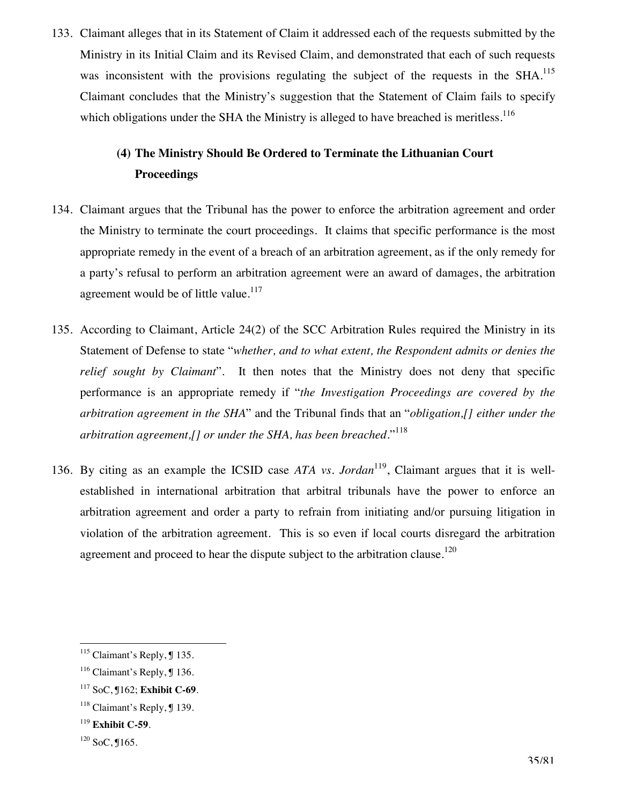133. Claimant alleges that in its Statement of Claim it addressed each of the requests submitted by the Ministry in its Initial Claim and its Revised Claim, and demonstrated that each of such requests was inconsistent with the provisions regulating the subject of the requests in the SHA.<sup>115</sup> Claimant concludes that the Ministry's suggestion that the Statement of Claim fails to specify which obligations under the SHA the Ministry is alleged to have breached is meritless.<sup>116</sup>

## **(4) The Ministry Should Be Ordered to Terminate the Lithuanian Court Proceedings**

- 134. Claimant argues that the Tribunal has the power to enforce the arbitration agreement and order the Ministry to terminate the court proceedings. It claims that specific performance is the most appropriate remedy in the event of a breach of an arbitration agreement, as if the only remedy for a party's refusal to perform an arbitration agreement were an award of damages, the arbitration agreement would be of little value.<sup>117</sup>
- 135. According to Claimant, Article 24(2) of the SCC Arbitration Rules required the Ministry in its Statement of Defense to state "*whether, and to what extent, the Respondent admits or denies the relief sought by Claimant*". It then notes that the Ministry does not deny that specific performance is an appropriate remedy if "*the Investigation Proceedings are covered by the arbitration agreement in the SHA*" and the Tribunal finds that an "*obligation,[] either under the arbitration agreement,[] or under the SHA, has been breached*."<sup>118</sup>
- 136. By citing as an example the ICSID case *ATA vs. Jordan*119, Claimant argues that it is wellestablished in international arbitration that arbitral tribunals have the power to enforce an arbitration agreement and order a party to refrain from initiating and/or pursuing litigation in violation of the arbitration agreement. This is so even if local courts disregard the arbitration agreement and proceed to hear the dispute subject to the arbitration clause.<sup>120</sup>

<sup>&</sup>lt;sup>115</sup> Claimant's Reply, ¶ 135.

<sup>&</sup>lt;sup>116</sup> Claimant's Reply, **J** 136.

<sup>117</sup> SoC, ¶162; **Exhibit C-69**.

 $118$  Claimant's Reply,  $\text{\degree}$  139.

<sup>119</sup> **Exhibit C-59**.

 $120$  SoC,  $165$ .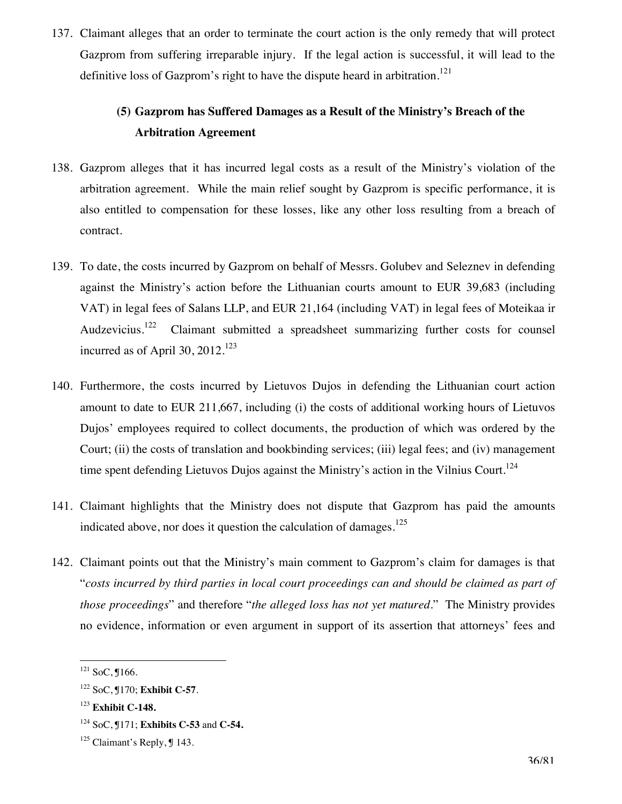137. Claimant alleges that an order to terminate the court action is the only remedy that will protect Gazprom from suffering irreparable injury. If the legal action is successful, it will lead to the definitive loss of Gazprom's right to have the dispute heard in arbitration.<sup>121</sup>

## **(5) Gazprom has Suffered Damages as a Result of the Ministry's Breach of the Arbitration Agreement**

- 138. Gazprom alleges that it has incurred legal costs as a result of the Ministry's violation of the arbitration agreement. While the main relief sought by Gazprom is specific performance, it is also entitled to compensation for these losses, like any other loss resulting from a breach of contract.
- 139. To date, the costs incurred by Gazprom on behalf of Messrs. Golubev and Seleznev in defending against the Ministry's action before the Lithuanian courts amount to EUR 39,683 (including VAT) in legal fees of Salans LLP, and EUR 21,164 (including VAT) in legal fees of Moteikaa ir Audzevicius.<sup>122</sup> Claimant submitted a spreadsheet summarizing further costs for counsel incurred as of April 30,  $2012$ .<sup>123</sup>
- 140. Furthermore, the costs incurred by Lietuvos Dujos in defending the Lithuanian court action amount to date to EUR 211,667, including (i) the costs of additional working hours of Lietuvos Dujos' employees required to collect documents, the production of which was ordered by the Court; (ii) the costs of translation and bookbinding services; (iii) legal fees; and (iv) management time spent defending Lietuvos Dujos against the Ministry's action in the Vilnius Court.<sup>124</sup>
- 141. Claimant highlights that the Ministry does not dispute that Gazprom has paid the amounts indicated above, nor does it question the calculation of damages.<sup>125</sup>
- 142. Claimant points out that the Ministry's main comment to Gazprom's claim for damages is that "*costs incurred by third parties in local court proceedings can and should be claimed as part of those proceedings*" and therefore "*the alleged loss has not yet matured*." The Ministry provides no evidence, information or even argument in support of its assertion that attorneys' fees and

 $\overline{a}$  $121$  SoC, J166.

<sup>122</sup> SoC, ¶170; **Exhibit C-57**.

<sup>123</sup> **Exhibit C-148.**

<sup>124</sup> SoC, ¶171; **Exhibits C-53** and **C-54.**

 $125$  Claimant's Reply,  $\text{\textsterling} 143$ .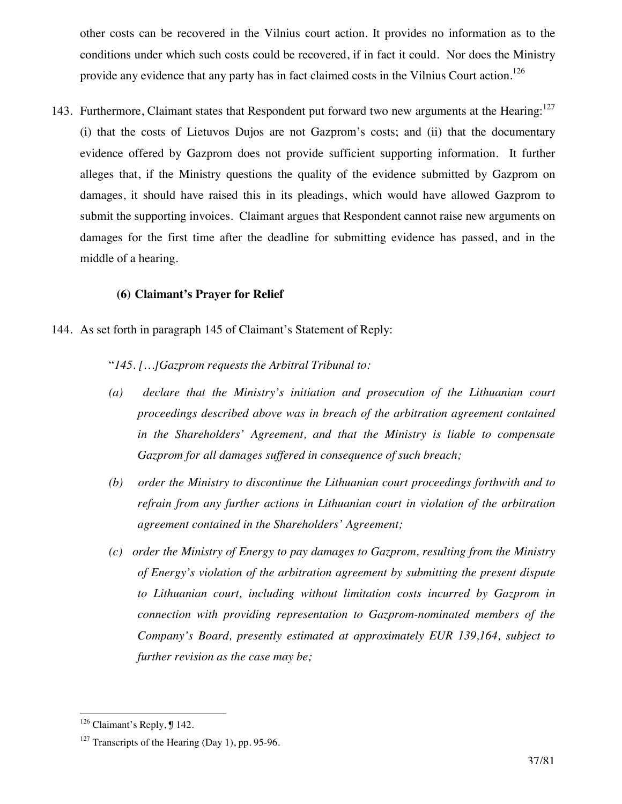other costs can be recovered in the Vilnius court action. It provides no information as to the conditions under which such costs could be recovered, if in fact it could. Nor does the Ministry provide any evidence that any party has in fact claimed costs in the Vilnius Court action.<sup>126</sup>

143. Furthermore, Claimant states that Respondent put forward two new arguments at the Hearing: $127$ (i) that the costs of Lietuvos Dujos are not Gazprom's costs; and (ii) that the documentary evidence offered by Gazprom does not provide sufficient supporting information. It further alleges that, if the Ministry questions the quality of the evidence submitted by Gazprom on damages, it should have raised this in its pleadings, which would have allowed Gazprom to submit the supporting invoices. Claimant argues that Respondent cannot raise new arguments on damages for the first time after the deadline for submitting evidence has passed, and in the middle of a hearing.

#### **(6) Claimant's Prayer for Relief**

144. As set forth in paragraph 145 of Claimant's Statement of Reply:

"*145. […]Gazprom requests the Arbitral Tribunal to:* 

- *(a) declare that the Ministry's initiation and prosecution of the Lithuanian court proceedings described above was in breach of the arbitration agreement contained in the Shareholders' Agreement, and that the Ministry is liable to compensate Gazprom for all damages suffered in consequence of such breach;*
- *(b) order the Ministry to discontinue the Lithuanian court proceedings forthwith and to refrain from any further actions in Lithuanian court in violation of the arbitration agreement contained in the Shareholders' Agreement;*
- *(c) order the Ministry of Energy to pay damages to Gazprom, resulting from the Ministry of Energy's violation of the arbitration agreement by submitting the present dispute to Lithuanian court, including without limitation costs incurred by Gazprom in connection with providing representation to Gazprom-nominated members of the Company's Board, presently estimated at approximately EUR 139,164, subject to further revision as the case may be;*

<sup>&</sup>lt;sup>126</sup> Claimant's Reply, ¶ 142.

 $127$  Transcripts of the Hearing (Day 1), pp. 95-96.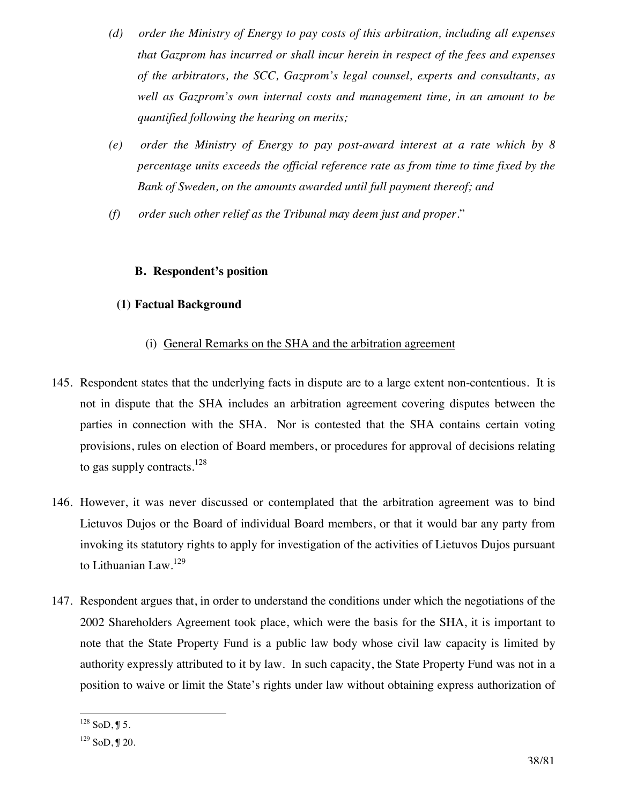- *(d) order the Ministry of Energy to pay costs of this arbitration, including all expenses that Gazprom has incurred or shall incur herein in respect of the fees and expenses of the arbitrators, the SCC, Gazprom's legal counsel, experts and consultants, as well as Gazprom's own internal costs and management time, in an amount to be quantified following the hearing on merits;*
- *(e) order the Ministry of Energy to pay post-award interest at a rate which by 8 percentage units exceeds the official reference rate as from time to time fixed by the Bank of Sweden, on the amounts awarded until full payment thereof; and*
- *(f) order such other relief as the Tribunal may deem just and proper.*"

## **B. Respondent's position**

## **(1) Factual Background**

## (i) General Remarks on the SHA and the arbitration agreement

- 145. Respondent states that the underlying facts in dispute are to a large extent non-contentious. It is not in dispute that the SHA includes an arbitration agreement covering disputes between the parties in connection with the SHA. Nor is contested that the SHA contains certain voting provisions, rules on election of Board members, or procedures for approval of decisions relating to gas supply contracts.<sup>128</sup>
- 146. However, it was never discussed or contemplated that the arbitration agreement was to bind Lietuvos Dujos or the Board of individual Board members, or that it would bar any party from invoking its statutory rights to apply for investigation of the activities of Lietuvos Dujos pursuant to Lithuanian Law.<sup>129</sup>
- 147. Respondent argues that, in order to understand the conditions under which the negotiations of the 2002 Shareholders Agreement took place, which were the basis for the SHA, it is important to note that the State Property Fund is a public law body whose civil law capacity is limited by authority expressly attributed to it by law. In such capacity, the State Property Fund was not in a position to waive or limit the State's rights under law without obtaining express authorization of

 $\overline{a}$  $^{128}$  SoD, J 5.

 $129$  SoD, J 20.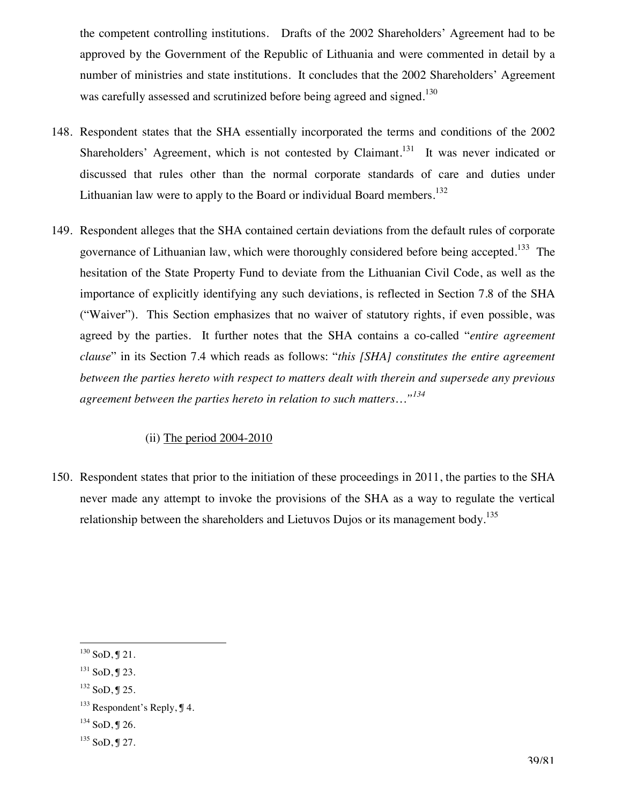the competent controlling institutions. Drafts of the 2002 Shareholders' Agreement had to be approved by the Government of the Republic of Lithuania and were commented in detail by a number of ministries and state institutions. It concludes that the 2002 Shareholders' Agreement was carefully assessed and scrutinized before being agreed and signed.<sup>130</sup>

- 148. Respondent states that the SHA essentially incorporated the terms and conditions of the 2002 Shareholders' Agreement, which is not contested by Claimant.<sup>131</sup> It was never indicated or discussed that rules other than the normal corporate standards of care and duties under Lithuanian law were to apply to the Board or individual Board members.<sup>132</sup>
- 149. Respondent alleges that the SHA contained certain deviations from the default rules of corporate governance of Lithuanian law, which were thoroughly considered before being accepted.<sup>133</sup> The hesitation of the State Property Fund to deviate from the Lithuanian Civil Code, as well as the importance of explicitly identifying any such deviations, is reflected in Section 7.8 of the SHA ("Waiver"). This Section emphasizes that no waiver of statutory rights, if even possible, was agreed by the parties. It further notes that the SHA contains a co-called "*entire agreement clause*" in its Section 7.4 which reads as follows: "*this [SHA] constitutes the entire agreement between the parties hereto with respect to matters dealt with therein and supersede any previous agreement between the parties hereto in relation to such matters…"<sup>134</sup>*

#### (ii) The period 2004-2010

150. Respondent states that prior to the initiation of these proceedings in 2011, the parties to the SHA never made any attempt to invoke the provisions of the SHA as a way to regulate the vertical relationship between the shareholders and Lietuvos Dujos or its management body.<sup>135</sup>

 $\overline{a}$  $^{130}$  SoD, J 21.

 $131$  SoD, J 23.

 $132$  SoD, J 25.

 $133$  Respondent's Reply,  $\P$  4.

 $134$  SoD, J 26.

 $135$  SoD, J 27.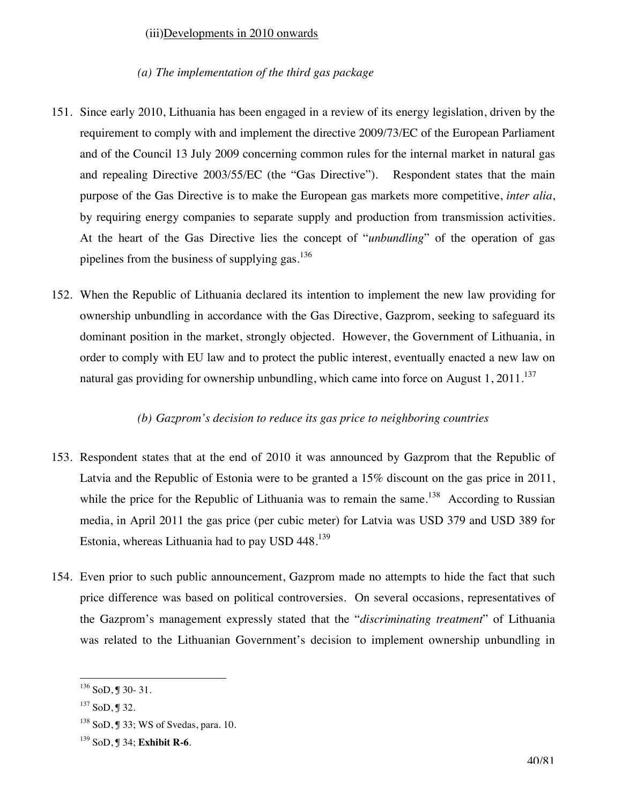### (iii)Developments in 2010 onwards

#### *(a) The implementation of the third gas package*

- 151. Since early 2010, Lithuania has been engaged in a review of its energy legislation, driven by the requirement to comply with and implement the directive 2009/73/EC of the European Parliament and of the Council 13 July 2009 concerning common rules for the internal market in natural gas and repealing Directive 2003/55/EC (the "Gas Directive"). Respondent states that the main purpose of the Gas Directive is to make the European gas markets more competitive, *inter alia*, by requiring energy companies to separate supply and production from transmission activities. At the heart of the Gas Directive lies the concept of "*unbundling*" of the operation of gas pipelines from the business of supplying gas.<sup>136</sup>
- 152. When the Republic of Lithuania declared its intention to implement the new law providing for ownership unbundling in accordance with the Gas Directive, Gazprom, seeking to safeguard its dominant position in the market, strongly objected. However, the Government of Lithuania, in order to comply with EU law and to protect the public interest, eventually enacted a new law on natural gas providing for ownership unbundling, which came into force on August  $1,2011$ .<sup>137</sup>

#### *(b) Gazprom's decision to reduce its gas price to neighboring countries*

- 153. Respondent states that at the end of 2010 it was announced by Gazprom that the Republic of Latvia and the Republic of Estonia were to be granted a 15% discount on the gas price in 2011, while the price for the Republic of Lithuania was to remain the same.<sup>138</sup> According to Russian media, in April 2011 the gas price (per cubic meter) for Latvia was USD 379 and USD 389 for Estonia, whereas Lithuania had to pay USD  $448.^{139}$
- 154. Even prior to such public announcement, Gazprom made no attempts to hide the fact that such price difference was based on political controversies. On several occasions, representatives of the Gazprom's management expressly stated that the "*discriminating treatment*" of Lithuania was related to the Lithuanian Government's decision to implement ownership unbundling in

 $136$  SoD, J 30- 31.

 $137$  SoD, J 32.

<sup>138</sup> SoD, ¶ 33; WS of Svedas, para. 10.

<sup>139</sup> SoD, ¶ 34; **Exhibit R-6**.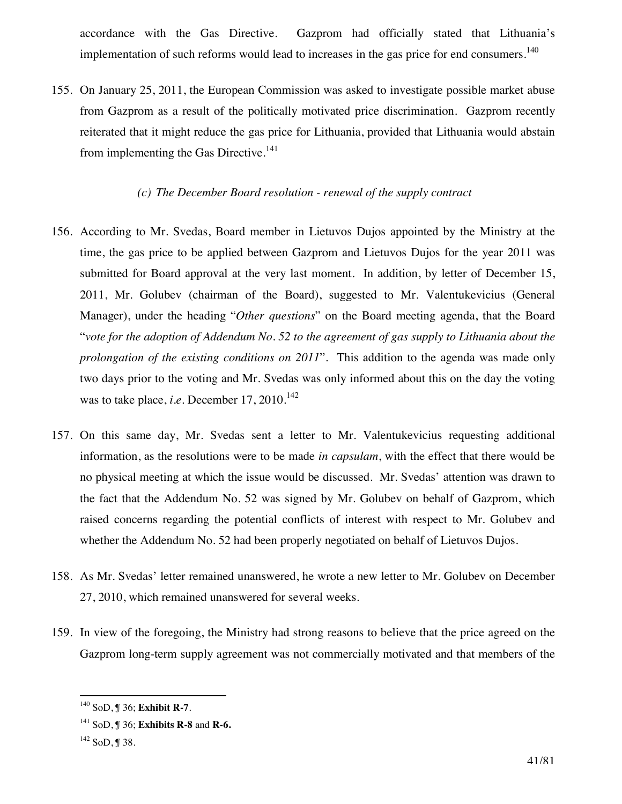accordance with the Gas Directive. Gazprom had officially stated that Lithuania's implementation of such reforms would lead to increases in the gas price for end consumers.<sup>140</sup>

155. On January 25, 2011, the European Commission was asked to investigate possible market abuse from Gazprom as a result of the politically motivated price discrimination. Gazprom recently reiterated that it might reduce the gas price for Lithuania, provided that Lithuania would abstain from implementing the Gas Directive.<sup>141</sup>

#### *(c) The December Board resolution - renewal of the supply contract*

- 156. According to Mr. Svedas, Board member in Lietuvos Dujos appointed by the Ministry at the time, the gas price to be applied between Gazprom and Lietuvos Dujos for the year 2011 was submitted for Board approval at the very last moment. In addition, by letter of December 15, 2011, Mr. Golubev (chairman of the Board), suggested to Mr. Valentukevicius (General Manager), under the heading "*Other questions*" on the Board meeting agenda, that the Board "*vote for the adoption of Addendum No. 52 to the agreement of gas supply to Lithuania about the prolongation of the existing conditions on 2011*". This addition to the agenda was made only two days prior to the voting and Mr. Svedas was only informed about this on the day the voting was to take place, *i.e.* December  $17, 2010$ .<sup>142</sup>
- 157. On this same day, Mr. Svedas sent a letter to Mr. Valentukevicius requesting additional information, as the resolutions were to be made *in capsulam*, with the effect that there would be no physical meeting at which the issue would be discussed. Mr. Svedas' attention was drawn to the fact that the Addendum No. 52 was signed by Mr. Golubev on behalf of Gazprom, which raised concerns regarding the potential conflicts of interest with respect to Mr. Golubev and whether the Addendum No. 52 had been properly negotiated on behalf of Lietuvos Dujos.
- 158. As Mr. Svedas' letter remained unanswered, he wrote a new letter to Mr. Golubev on December 27, 2010, which remained unanswered for several weeks.
- 159. In view of the foregoing, the Ministry had strong reasons to believe that the price agreed on the Gazprom long-term supply agreement was not commercially motivated and that members of the

 $\overline{a}$ 140 SoD, ¶ 36; **Exhibit R-7**.

<sup>141</sup> SoD, ¶ 36; **Exhibits R-8** and **R-6.**

<sup>142</sup> SoD, ¶ 38.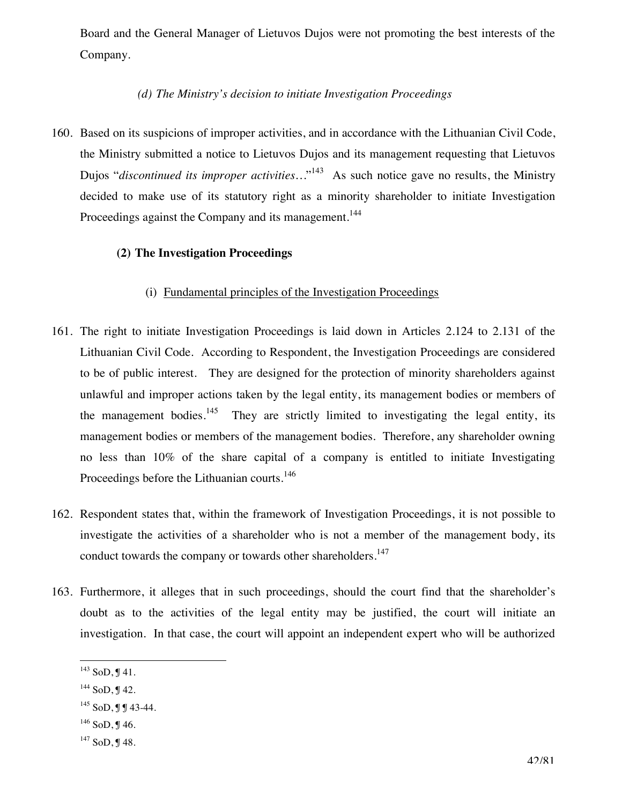Board and the General Manager of Lietuvos Dujos were not promoting the best interests of the Company.

### *(d) The Ministry's decision to initiate Investigation Proceedings*

160. Based on its suspicions of improper activities, and in accordance with the Lithuanian Civil Code, the Ministry submitted a notice to Lietuvos Dujos and its management requesting that Lietuvos Dujos "*discontinued its improper activities*..."<sup>143</sup> As such notice gave no results, the Ministry decided to make use of its statutory right as a minority shareholder to initiate Investigation Proceedings against the Company and its management.<sup>144</sup>

#### **(2) The Investigation Proceedings**

#### (i) Fundamental principles of the Investigation Proceedings

- 161. The right to initiate Investigation Proceedings is laid down in Articles 2.124 to 2.131 of the Lithuanian Civil Code. According to Respondent, the Investigation Proceedings are considered to be of public interest. They are designed for the protection of minority shareholders against unlawful and improper actions taken by the legal entity, its management bodies or members of the management bodies.<sup>145</sup> They are strictly limited to investigating the legal entity, its management bodies or members of the management bodies. Therefore, any shareholder owning no less than 10% of the share capital of a company is entitled to initiate Investigating Proceedings before the Lithuanian courts.<sup>146</sup>
- 162. Respondent states that, within the framework of Investigation Proceedings, it is not possible to investigate the activities of a shareholder who is not a member of the management body, its conduct towards the company or towards other shareholders.<sup>147</sup>
- 163. Furthermore, it alleges that in such proceedings, should the court find that the shareholder's doubt as to the activities of the legal entity may be justified, the court will initiate an investigation. In that case, the court will appoint an independent expert who will be authorized

 $146$  SoD, J 46.

 $\overline{a}$  $^{143}$  SoD, J 41.

<sup>144</sup> SoD, ¶ 42.

 $145$  SoD, J J 43-44.

 $147$  SoD, J 48.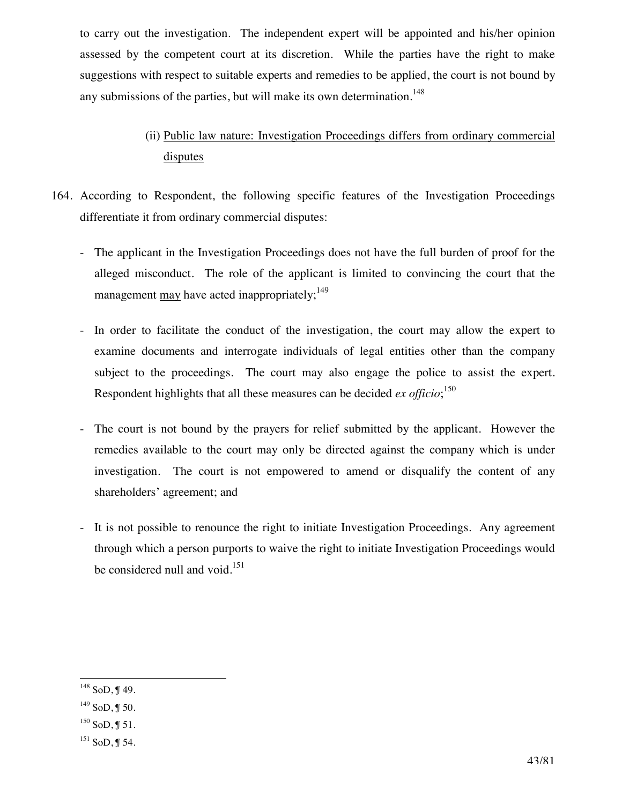to carry out the investigation. The independent expert will be appointed and his/her opinion assessed by the competent court at its discretion. While the parties have the right to make suggestions with respect to suitable experts and remedies to be applied, the court is not bound by any submissions of the parties, but will make its own determination.<sup>148</sup>

# (ii) Public law nature: Investigation Proceedings differs from ordinary commercial disputes

- 164. According to Respondent, the following specific features of the Investigation Proceedings differentiate it from ordinary commercial disputes:
	- The applicant in the Investigation Proceedings does not have the full burden of proof for the alleged misconduct. The role of the applicant is limited to convincing the court that the management may have acted inappropriately;  $149$
	- In order to facilitate the conduct of the investigation, the court may allow the expert to examine documents and interrogate individuals of legal entities other than the company subject to the proceedings. The court may also engage the police to assist the expert. Respondent highlights that all these measures can be decided *ex officio*; 150
	- The court is not bound by the prayers for relief submitted by the applicant. However the remedies available to the court may only be directed against the company which is under investigation. The court is not empowered to amend or disqualify the content of any shareholders' agreement; and
	- It is not possible to renounce the right to initiate Investigation Proceedings. Any agreement through which a person purports to waive the right to initiate Investigation Proceedings would be considered null and void.<sup>151</sup>

 $\overline{a}$  $148$  SoD, J 49.

 $149$  SoD, ¶ 50.

 $150$  SoD, ¶ 51.

 $151$  SoD, J 54.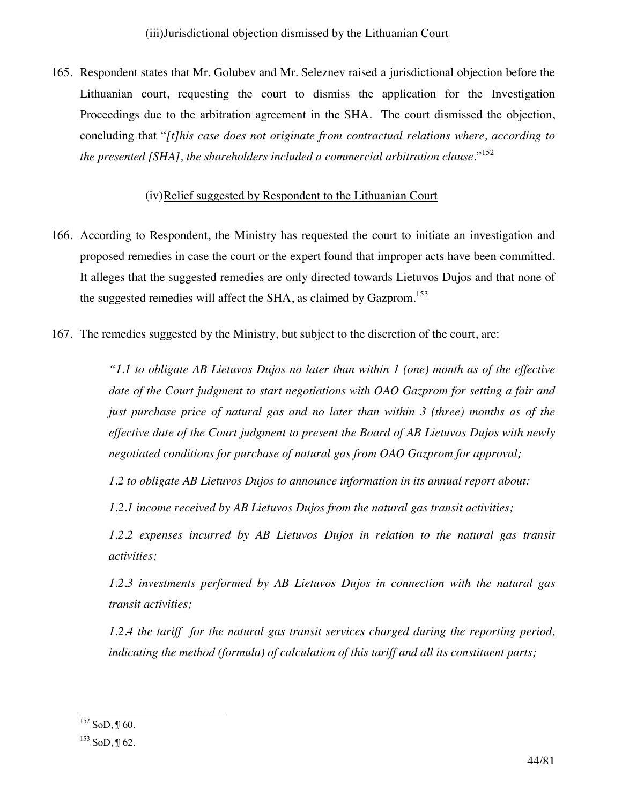165. Respondent states that Mr. Golubev and Mr. Seleznev raised a jurisdictional objection before the Lithuanian court, requesting the court to dismiss the application for the Investigation Proceedings due to the arbitration agreement in the SHA. The court dismissed the objection, concluding that "*[t]his case does not originate from contractual relations where, according to the presented [SHA], the shareholders included a commercial arbitration clause.*" 152

## (iv)Relief suggested by Respondent to the Lithuanian Court

- 166. According to Respondent, the Ministry has requested the court to initiate an investigation and proposed remedies in case the court or the expert found that improper acts have been committed. It alleges that the suggested remedies are only directed towards Lietuvos Dujos and that none of the suggested remedies will affect the SHA, as claimed by Gazprom.<sup>153</sup>
- 167. The remedies suggested by the Ministry, but subject to the discretion of the court, are:

*"1.1 to obligate AB Lietuvos Dujos no later than within 1 (one) month as of the effective date of the Court judgment to start negotiations with OAO Gazprom for setting a fair and just purchase price of natural gas and no later than within 3 (three) months as of the effective date of the Court judgment to present the Board of AB Lietuvos Dujos with newly negotiated conditions for purchase of natural gas from OAO Gazprom for approval;* 

*1.2 to obligate AB Lietuvos Dujos to announce information in its annual report about:* 

*1.2.1 income received by AB Lietuvos Dujos from the natural gas transit activities;* 

*1.2.2 expenses incurred by AB Lietuvos Dujos in relation to the natural gas transit activities;* 

*1.2.3 investments performed by AB Lietuvos Dujos in connection with the natural gas transit activities;* 

*1.2.4 the tariff for the natural gas transit services charged during the reporting period, indicating the method (formula) of calculation of this tariff and all its constituent parts;* 

 $\overline{a}$  $152$  SoD, J 60.

 $153$  SoD, J 62.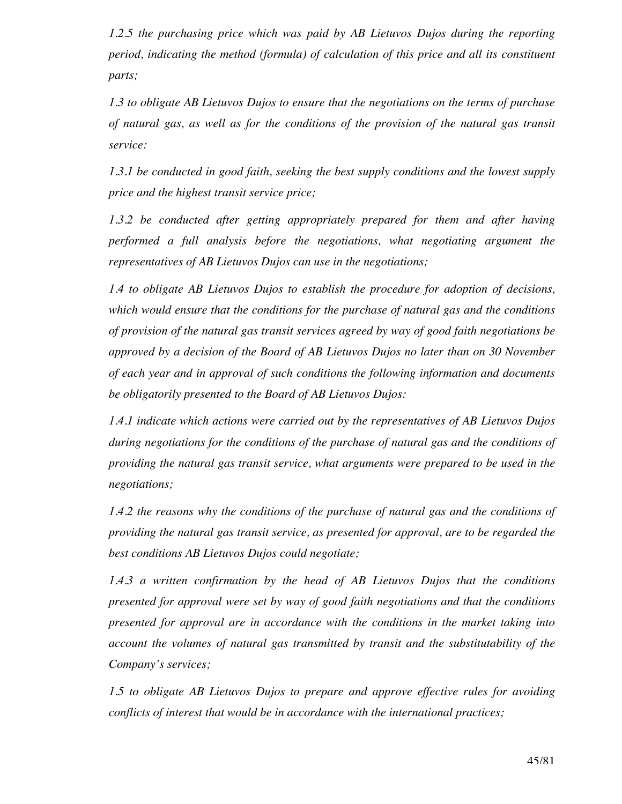*1.2.5 the purchasing price which was paid by AB Lietuvos Dujos during the reporting period, indicating the method (formula) of calculation of this price and all its constituent parts;* 

*1.3 to obligate AB Lietuvos Dujos to ensure that the negotiations on the terms of purchase of natural gas, as well as for the conditions of the provision of the natural gas transit service:* 

*1.3.1 be conducted in good faith, seeking the best supply conditions and the lowest supply price and the highest transit service price;* 

*1.3.2 be conducted after getting appropriately prepared for them and after having performed a full analysis before the negotiations, what negotiating argument the representatives of AB Lietuvos Dujos can use in the negotiations;* 

*1.4 to obligate AB Lietuvos Dujos to establish the procedure for adoption of decisions, which would ensure that the conditions for the purchase of natural gas and the conditions of provision of the natural gas transit services agreed by way of good faith negotiations be approved by a decision of the Board of AB Lietuvos Dujos no later than on 30 November of each year and in approval of such conditions the following information and documents be obligatorily presented to the Board of AB Lietuvos Dujos:* 

*1.4.1 indicate which actions were carried out by the representatives of AB Lietuvos Dujos during negotiations for the conditions of the purchase of natural gas and the conditions of providing the natural gas transit service, what arguments were prepared to be used in the negotiations;* 

*1.4.2 the reasons why the conditions of the purchase of natural gas and the conditions of providing the natural gas transit service, as presented for approval, are to be regarded the best conditions AB Lietuvos Dujos could negotiate;* 

*1.4.3 a written confirmation by the head of AB Lietuvos Dujos that the conditions presented for approval were set by way of good faith negotiations and that the conditions presented for approval are in accordance with the conditions in the market taking into account the volumes of natural gas transmitted by transit and the substitutability of the Company's services;* 

*1.5 to obligate AB Lietuvos Dujos to prepare and approve effective rules for avoiding conflicts of interest that would be in accordance with the international practices;*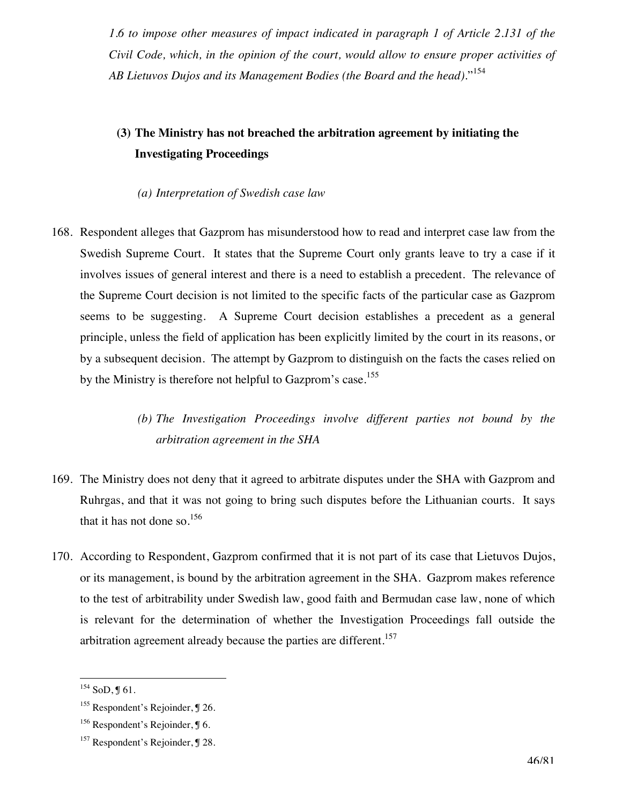*1.6 to impose other measures of impact indicated in paragraph 1 of Article 2.131 of the Civil Code, which, in the opinion of the court, would allow to ensure proper activities of AB Lietuvos Dujos and its Management Bodies (the Board and the head).*" 154

## **(3) The Ministry has not breached the arbitration agreement by initiating the Investigating Proceedings**

#### *(a) Interpretation of Swedish case law*

168. Respondent alleges that Gazprom has misunderstood how to read and interpret case law from the Swedish Supreme Court. It states that the Supreme Court only grants leave to try a case if it involves issues of general interest and there is a need to establish a precedent. The relevance of the Supreme Court decision is not limited to the specific facts of the particular case as Gazprom seems to be suggesting. A Supreme Court decision establishes a precedent as a general principle, unless the field of application has been explicitly limited by the court in its reasons, or by a subsequent decision. The attempt by Gazprom to distinguish on the facts the cases relied on by the Ministry is therefore not helpful to Gazprom's case.<sup>155</sup>

## *(b) The Investigation Proceedings involve different parties not bound by the arbitration agreement in the SHA*

- 169. The Ministry does not deny that it agreed to arbitrate disputes under the SHA with Gazprom and Ruhrgas, and that it was not going to bring such disputes before the Lithuanian courts. It says that it has not done so.<sup>156</sup>
- 170. According to Respondent, Gazprom confirmed that it is not part of its case that Lietuvos Dujos, or its management, is bound by the arbitration agreement in the SHA. Gazprom makes reference to the test of arbitrability under Swedish law, good faith and Bermudan case law, none of which is relevant for the determination of whether the Investigation Proceedings fall outside the arbitration agreement already because the parties are different.<sup>157</sup>

 $^{154}$  SoD, J 61.

 $155$  Respondent's Rejoinder,  $\sqrt{9}$  26.

 $156$  Respondent's Rejoinder,  $\sqrt{96}$ .

<sup>&</sup>lt;sup>157</sup> Respondent's Rejoinder, ¶ 28.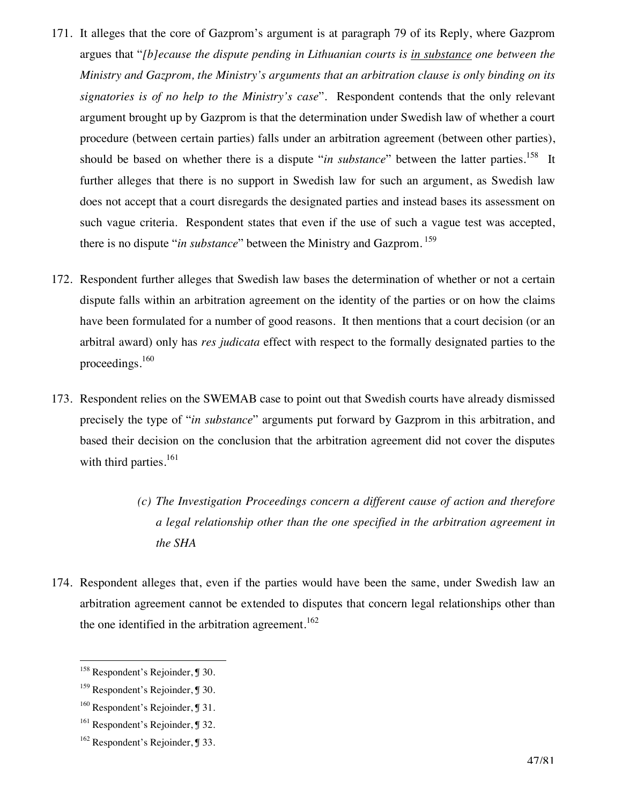- 171. It alleges that the core of Gazprom's argument is at paragraph 79 of its Reply, where Gazprom argues that "*[b]ecause the dispute pending in Lithuanian courts is in substance one between the Ministry and Gazprom, the Ministry's arguments that an arbitration clause is only binding on its signatories is of no help to the Ministry's case*". Respondent contends that the only relevant argument brought up by Gazprom is that the determination under Swedish law of whether a court procedure (between certain parties) falls under an arbitration agreement (between other parties), should be based on whether there is a dispute "*in substance*" between the latter parties.<sup>158</sup> It further alleges that there is no support in Swedish law for such an argument, as Swedish law does not accept that a court disregards the designated parties and instead bases its assessment on such vague criteria. Respondent states that even if the use of such a vague test was accepted, there is no dispute "*in substance*" between the Ministry and Gazprom. 159
- 172. Respondent further alleges that Swedish law bases the determination of whether or not a certain dispute falls within an arbitration agreement on the identity of the parties or on how the claims have been formulated for a number of good reasons. It then mentions that a court decision (or an arbitral award) only has *res judicata* effect with respect to the formally designated parties to the proceedings.160
- 173. Respondent relies on the SWEMAB case to point out that Swedish courts have already dismissed precisely the type of "*in substance*" arguments put forward by Gazprom in this arbitration, and based their decision on the conclusion that the arbitration agreement did not cover the disputes with third parties.<sup>161</sup>
	- *(c) The Investigation Proceedings concern a different cause of action and therefore a legal relationship other than the one specified in the arbitration agreement in the SHA*
- 174. Respondent alleges that, even if the parties would have been the same, under Swedish law an arbitration agreement cannot be extended to disputes that concern legal relationships other than the one identified in the arbitration agreement.<sup>162</sup>

<sup>&</sup>lt;sup>158</sup> Respondent's Rejoinder, ¶ 30.

<sup>&</sup>lt;sup>159</sup> Respondent's Rejoinder, ¶ 30.

<sup>&</sup>lt;sup>160</sup> Respondent's Rejoinder, J 31.

<sup>&</sup>lt;sup>161</sup> Respondent's Rejoinder, ¶ 32.

<sup>162</sup> Respondent's Rejoinder, ¶ 33.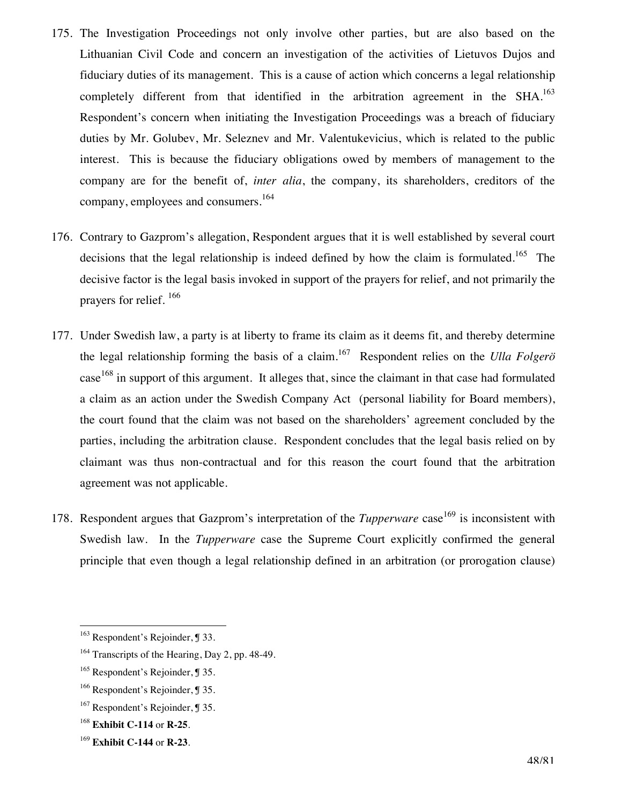- 175. The Investigation Proceedings not only involve other parties, but are also based on the Lithuanian Civil Code and concern an investigation of the activities of Lietuvos Dujos and fiduciary duties of its management. This is a cause of action which concerns a legal relationship completely different from that identified in the arbitration agreement in the SHA.<sup>163</sup> Respondent's concern when initiating the Investigation Proceedings was a breach of fiduciary duties by Mr. Golubev, Mr. Seleznev and Mr. Valentukevicius, which is related to the public interest. This is because the fiduciary obligations owed by members of management to the company are for the benefit of, *inter alia*, the company, its shareholders, creditors of the company, employees and consumers.<sup>164</sup>
- 176. Contrary to Gazprom's allegation, Respondent argues that it is well established by several court decisions that the legal relationship is indeed defined by how the claim is formulated.<sup>165</sup> The decisive factor is the legal basis invoked in support of the prayers for relief, and not primarily the prayers for relief. 166
- 177. Under Swedish law, a party is at liberty to frame its claim as it deems fit, and thereby determine the legal relationship forming the basis of a claim. 167 Respondent relies on the *Ulla Folgerö* case<sup>168</sup> in support of this argument. It alleges that, since the claimant in that case had formulated a claim as an action under the Swedish Company Act (personal liability for Board members), the court found that the claim was not based on the shareholders' agreement concluded by the parties, including the arbitration clause. Respondent concludes that the legal basis relied on by claimant was thus non-contractual and for this reason the court found that the arbitration agreement was not applicable.
- 178. Respondent argues that Gazprom's interpretation of the *Tupperware* case<sup>169</sup> is inconsistent with Swedish law. In the *Tupperware* case the Supreme Court explicitly confirmed the general principle that even though a legal relationship defined in an arbitration (or prorogation clause)

<sup>&</sup>lt;sup>163</sup> Respondent's Rejoinder, ¶ 33.

<sup>&</sup>lt;sup>164</sup> Transcripts of the Hearing, Day 2, pp. 48-49.

<sup>&</sup>lt;sup>165</sup> Respondent's Rejoinder, ¶ 35.

<sup>166</sup> Respondent's Rejoinder, ¶ 35.

<sup>&</sup>lt;sup>167</sup> Respondent's Rejoinder, ¶ 35.

<sup>168</sup> **Exhibit C-114** or **R-25**.

<sup>169</sup> **Exhibit C-144** or **R-23**.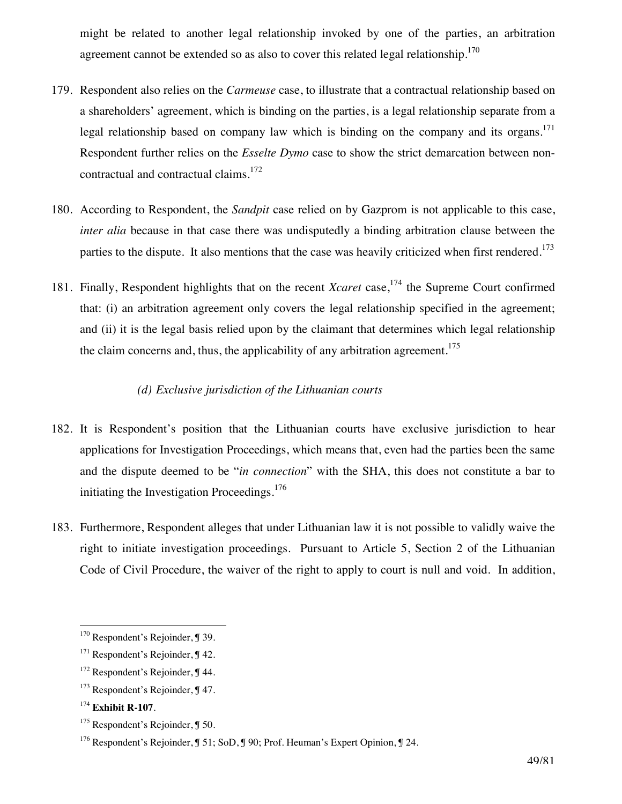might be related to another legal relationship invoked by one of the parties, an arbitration agreement cannot be extended so as also to cover this related legal relationship.<sup>170</sup>

- 179. Respondent also relies on the *Carmeuse* case, to illustrate that a contractual relationship based on a shareholders' agreement, which is binding on the parties, is a legal relationship separate from a legal relationship based on company law which is binding on the company and its organs.<sup>171</sup> Respondent further relies on the *Esselte Dymo* case to show the strict demarcation between noncontractual and contractual claims.172
- 180. According to Respondent, the *Sandpit* case relied on by Gazprom is not applicable to this case, *inter alia* because in that case there was undisputedly a binding arbitration clause between the parties to the dispute. It also mentions that the case was heavily criticized when first rendered.<sup>173</sup>
- 181. Finally, Respondent highlights that on the recent *Xcaret* case,<sup>174</sup> the Supreme Court confirmed that: (i) an arbitration agreement only covers the legal relationship specified in the agreement; and (ii) it is the legal basis relied upon by the claimant that determines which legal relationship the claim concerns and, thus, the applicability of any arbitration agreement.<sup>175</sup>

#### *(d) Exclusive jurisdiction of the Lithuanian courts*

- 182. It is Respondent's position that the Lithuanian courts have exclusive jurisdiction to hear applications for Investigation Proceedings, which means that, even had the parties been the same and the dispute deemed to be "*in connection*" with the SHA, this does not constitute a bar to initiating the Investigation Proceedings.<sup>176</sup>
- 183. Furthermore, Respondent alleges that under Lithuanian law it is not possible to validly waive the right to initiate investigation proceedings. Pursuant to Article 5, Section 2 of the Lithuanian Code of Civil Procedure, the waiver of the right to apply to court is null and void. In addition,

 $170$  Respondent's Rejoinder, J 39.

<sup>&</sup>lt;sup>171</sup> Respondent's Rejoinder, ¶ 42.

<sup>&</sup>lt;sup>172</sup> Respondent's Rejoinder, ¶ 44.

<sup>&</sup>lt;sup>173</sup> Respondent's Rejoinder, ¶ 47.

<sup>174</sup> **Exhibit R-107**.

<sup>&</sup>lt;sup>175</sup> Respondent's Rejoinder, ¶ 50.

<sup>176</sup> Respondent's Rejoinder, ¶ 51; SoD, ¶ 90; Prof. Heuman's Expert Opinion, ¶ 24.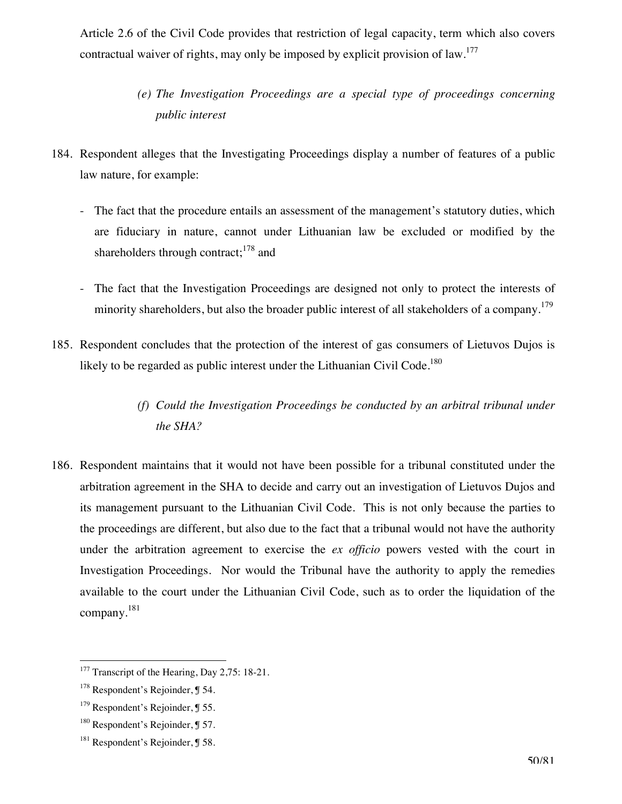Article 2.6 of the Civil Code provides that restriction of legal capacity, term which also covers contractual waiver of rights, may only be imposed by explicit provision of law.<sup>177</sup>

- *(e) The Investigation Proceedings are a special type of proceedings concerning public interest*
- 184. Respondent alleges that the Investigating Proceedings display a number of features of a public law nature, for example:
	- The fact that the procedure entails an assessment of the management's statutory duties, which are fiduciary in nature, cannot under Lithuanian law be excluded or modified by the shareholders through contract;<sup>178</sup> and
	- The fact that the Investigation Proceedings are designed not only to protect the interests of minority shareholders, but also the broader public interest of all stakeholders of a company.<sup>179</sup>
- 185. Respondent concludes that the protection of the interest of gas consumers of Lietuvos Dujos is likely to be regarded as public interest under the Lithuanian Civil Code.<sup>180</sup>
	- *(f) Could the Investigation Proceedings be conducted by an arbitral tribunal under the SHA?*
- 186. Respondent maintains that it would not have been possible for a tribunal constituted under the arbitration agreement in the SHA to decide and carry out an investigation of Lietuvos Dujos and its management pursuant to the Lithuanian Civil Code. This is not only because the parties to the proceedings are different, but also due to the fact that a tribunal would not have the authority under the arbitration agreement to exercise the *ex officio* powers vested with the court in Investigation Proceedings. Nor would the Tribunal have the authority to apply the remedies available to the court under the Lithuanian Civil Code, such as to order the liquidation of the company.<sup>181</sup>

<sup>&</sup>lt;sup>177</sup> Transcript of the Hearing, Day 2,75: 18-21.

<sup>&</sup>lt;sup>178</sup> Respondent's Rejoinder, ¶ 54.

 $179$  Respondent's Rejoinder,  $\sqrt{9}$  55.

<sup>180</sup> Respondent's Rejoinder, ¶ 57.

<sup>&</sup>lt;sup>181</sup> Respondent's Rejoinder, **J** 58.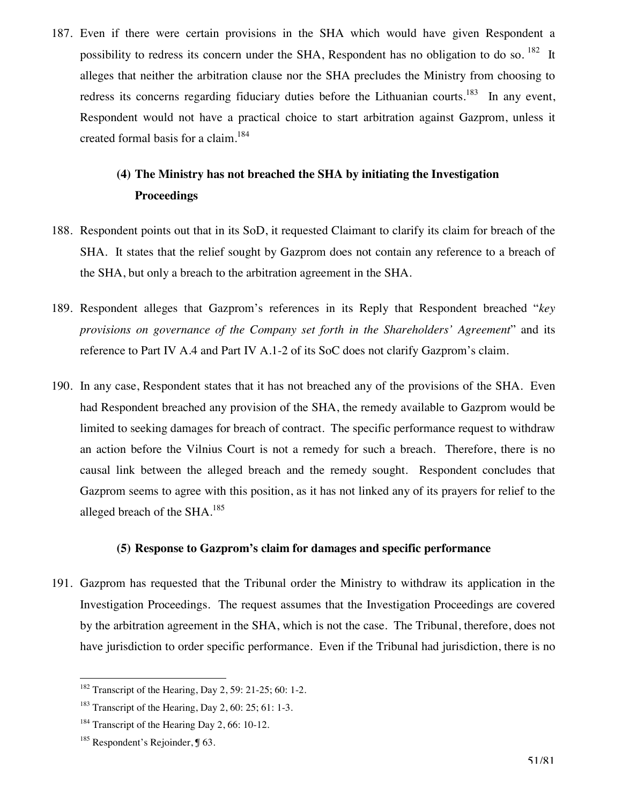187. Even if there were certain provisions in the SHA which would have given Respondent a possibility to redress its concern under the SHA, Respondent has no obligation to do so. <sup>182</sup> It alleges that neither the arbitration clause nor the SHA precludes the Ministry from choosing to redress its concerns regarding fiduciary duties before the Lithuanian courts.<sup>183</sup> In any event, Respondent would not have a practical choice to start arbitration against Gazprom, unless it created formal basis for a claim.184

# **(4) The Ministry has not breached the SHA by initiating the Investigation Proceedings**

- 188. Respondent points out that in its SoD, it requested Claimant to clarify its claim for breach of the SHA. It states that the relief sought by Gazprom does not contain any reference to a breach of the SHA, but only a breach to the arbitration agreement in the SHA.
- 189. Respondent alleges that Gazprom's references in its Reply that Respondent breached "*key provisions on governance of the Company set forth in the Shareholders' Agreement*" and its reference to Part IV A.4 and Part IV A.1-2 of its SoC does not clarify Gazprom's claim.
- 190. In any case, Respondent states that it has not breached any of the provisions of the SHA. Even had Respondent breached any provision of the SHA, the remedy available to Gazprom would be limited to seeking damages for breach of contract. The specific performance request to withdraw an action before the Vilnius Court is not a remedy for such a breach. Therefore, there is no causal link between the alleged breach and the remedy sought. Respondent concludes that Gazprom seems to agree with this position, as it has not linked any of its prayers for relief to the alleged breach of the SHA. $^{185}$

#### **(5) Response to Gazprom's claim for damages and specific performance**

191. Gazprom has requested that the Tribunal order the Ministry to withdraw its application in the Investigation Proceedings. The request assumes that the Investigation Proceedings are covered by the arbitration agreement in the SHA, which is not the case. The Tribunal, therefore, does not have jurisdiction to order specific performance. Even if the Tribunal had jurisdiction, there is no

<sup>&</sup>lt;sup>182</sup> Transcript of the Hearing, Day 2, 59: 21-25; 60: 1-2.

<sup>&</sup>lt;sup>183</sup> Transcript of the Hearing, Day 2, 60: 25; 61: 1-3.

<sup>&</sup>lt;sup>184</sup> Transcript of the Hearing Day 2, 66: 10-12.

 $185$  Respondent's Rejoinder,  $\sqrt{9}$  63.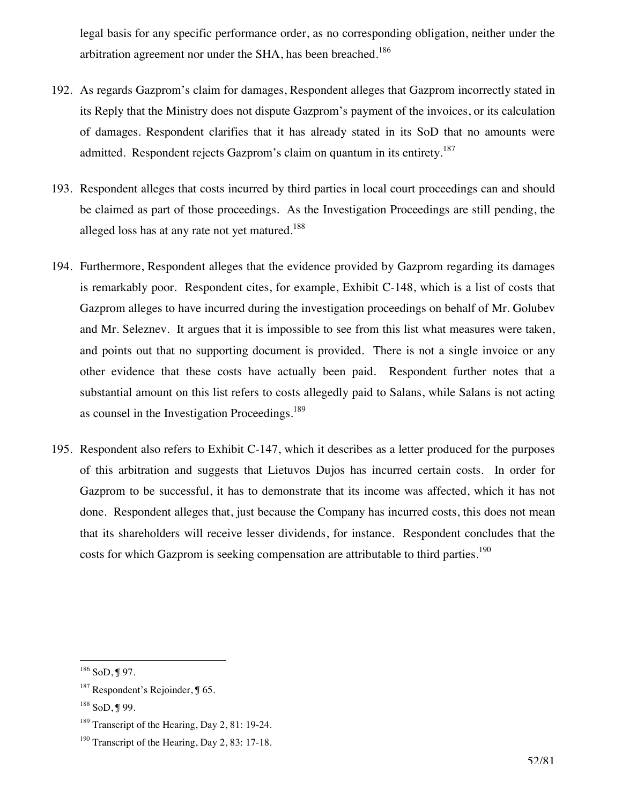legal basis for any specific performance order, as no corresponding obligation, neither under the arbitration agreement nor under the SHA, has been breached.<sup>186</sup>

- 192. As regards Gazprom's claim for damages, Respondent alleges that Gazprom incorrectly stated in its Reply that the Ministry does not dispute Gazprom's payment of the invoices, or its calculation of damages. Respondent clarifies that it has already stated in its SoD that no amounts were admitted. Respondent rejects Gazprom's claim on quantum in its entirety.<sup>187</sup>
- 193. Respondent alleges that costs incurred by third parties in local court proceedings can and should be claimed as part of those proceedings. As the Investigation Proceedings are still pending, the alleged loss has at any rate not yet matured.<sup>188</sup>
- 194. Furthermore, Respondent alleges that the evidence provided by Gazprom regarding its damages is remarkably poor. Respondent cites, for example, Exhibit C-148, which is a list of costs that Gazprom alleges to have incurred during the investigation proceedings on behalf of Mr. Golubev and Mr. Seleznev. It argues that it is impossible to see from this list what measures were taken, and points out that no supporting document is provided. There is not a single invoice or any other evidence that these costs have actually been paid. Respondent further notes that a substantial amount on this list refers to costs allegedly paid to Salans, while Salans is not acting as counsel in the Investigation Proceedings.<sup>189</sup>
- 195. Respondent also refers to Exhibit C-147, which it describes as a letter produced for the purposes of this arbitration and suggests that Lietuvos Dujos has incurred certain costs. In order for Gazprom to be successful, it has to demonstrate that its income was affected, which it has not done. Respondent alleges that, just because the Company has incurred costs, this does not mean that its shareholders will receive lesser dividends, for instance. Respondent concludes that the costs for which Gazprom is seeking compensation are attributable to third parties.<sup>190</sup>

 $186$  SoD, J 97.

 $187$  Respondent's Rejoinder, ¶ 65.

 $188$  SoD, J 99.

<sup>&</sup>lt;sup>189</sup> Transcript of the Hearing, Day 2, 81: 19-24.

 $190$  Transcript of the Hearing, Day 2, 83: 17-18.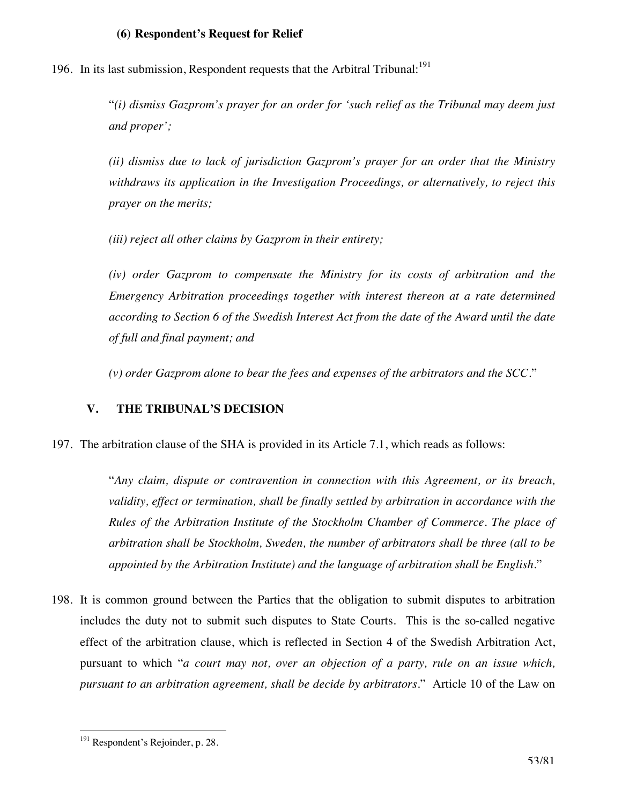#### **(6) Respondent's Request for Relief**

196. In its last submission, Respondent requests that the Arbitral Tribunal:<sup>191</sup>

"*(i) dismiss Gazprom's prayer for an order for 'such relief as the Tribunal may deem just and proper';* 

*(ii) dismiss due to lack of jurisdiction Gazprom's prayer for an order that the Ministry withdraws its application in the Investigation Proceedings, or alternatively, to reject this prayer on the merits;* 

*(iii) reject all other claims by Gazprom in their entirety;* 

*(iv) order Gazprom to compensate the Ministry for its costs of arbitration and the Emergency Arbitration proceedings together with interest thereon at a rate determined according to Section 6 of the Swedish Interest Act from the date of the Award until the date of full and final payment; and* 

*(v) order Gazprom alone to bear the fees and expenses of the arbitrators and the SCC*."

#### **V. THE TRIBUNAL'S DECISION**

197. The arbitration clause of the SHA is provided in its Article 7.1, which reads as follows:

"*Any claim, dispute or contravention in connection with this Agreement, or its breach, validity, effect or termination, shall be finally settled by arbitration in accordance with the Rules of the Arbitration Institute of the Stockholm Chamber of Commerce. The place of arbitration shall be Stockholm, Sweden, the number of arbitrators shall be three (all to be appointed by the Arbitration Institute) and the language of arbitration shall be English.*"

198. It is common ground between the Parties that the obligation to submit disputes to arbitration includes the duty not to submit such disputes to State Courts. This is the so-called negative effect of the arbitration clause, which is reflected in Section 4 of the Swedish Arbitration Act, pursuant to which "*a court may not, over an objection of a party, rule on an issue which, pursuant to an arbitration agreement, shall be decide by arbitrators*." Article 10 of the Law on

<sup>&</sup>lt;sup>191</sup> Respondent's Rejoinder, p. 28.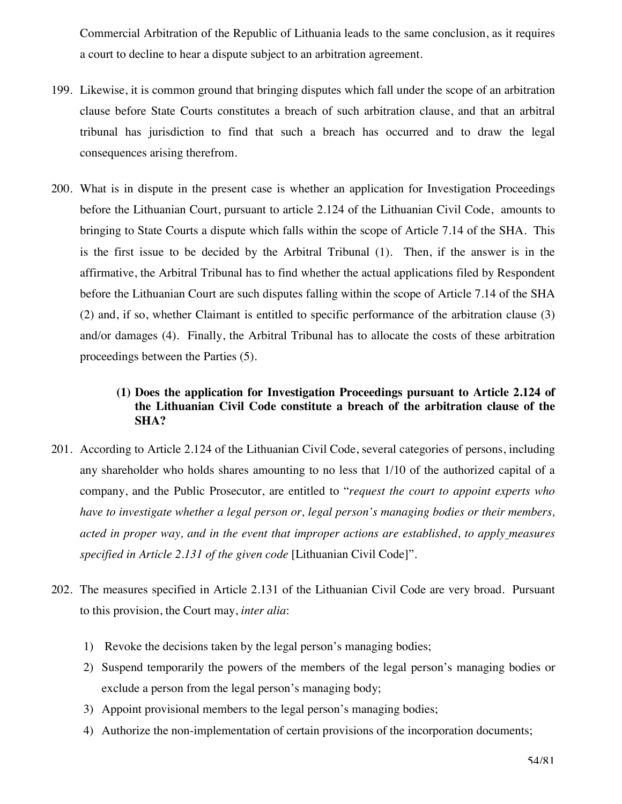Commercial Arbitration of the Republic of Lithuania leads to the same conclusion, as it requires a court to decline to hear a dispute subject to an arbitration agreement.

- 199. Likewise, it is common ground that bringing disputes which fall under the scope of an arbitration clause before State Courts constitutes a breach of such arbitration clause, and that an arbitral tribunal has jurisdiction to find that such a breach has occurred and to draw the legal consequences arising therefrom.
- 200. What is in dispute in the present case is whether an application for Investigation Proceedings before the Lithuanian Court, pursuant to article 2.124 of the Lithuanian Civil Code, amounts to bringing to State Courts a dispute which falls within the scope of Article 7.14 of the SHA. This is the first issue to be decided by the Arbitral Tribunal (1). Then, if the answer is in the affirmative, the Arbitral Tribunal has to find whether the actual applications filed by Respondent before the Lithuanian Court are such disputes falling within the scope of Article 7.14 of the SHA (2) and, if so, whether Claimant is entitled to specific performance of the arbitration clause (3) and/or damages (4). Finally, the Arbitral Tribunal has to allocate the costs of these arbitration proceedings between the Parties (5).

## **(1) Does the application for Investigation Proceedings pursuant to Article 2.124 of the Lithuanian Civil Code constitute a breach of the arbitration clause of the SHA?**

- 201. According to Article 2.124 of the Lithuanian Civil Code, several categories of persons, including any shareholder who holds shares amounting to no less that 1/10 of the authorized capital of a company, and the Public Prosecutor, are entitled to "*request the court to appoint experts who have to investigate whether a legal person or, legal person's managing bodies or their members, acted in proper way, and in the event that improper actions are established, to apply measures specified in Article 2.131 of the given code* [Lithuanian Civil Code]".
- 202. The measures specified in Article 2.131 of the Lithuanian Civil Code are very broad. Pursuant to this provision, the Court may, *inter alia*:
	- 1) Revoke the decisions taken by the legal person's managing bodies;
	- 2) Suspend temporarily the powers of the members of the legal person's managing bodies or exclude a person from the legal person's managing body;
	- 3) Appoint provisional members to the legal person's managing bodies;
	- 4) Authorize the non-implementation of certain provisions of the incorporation documents;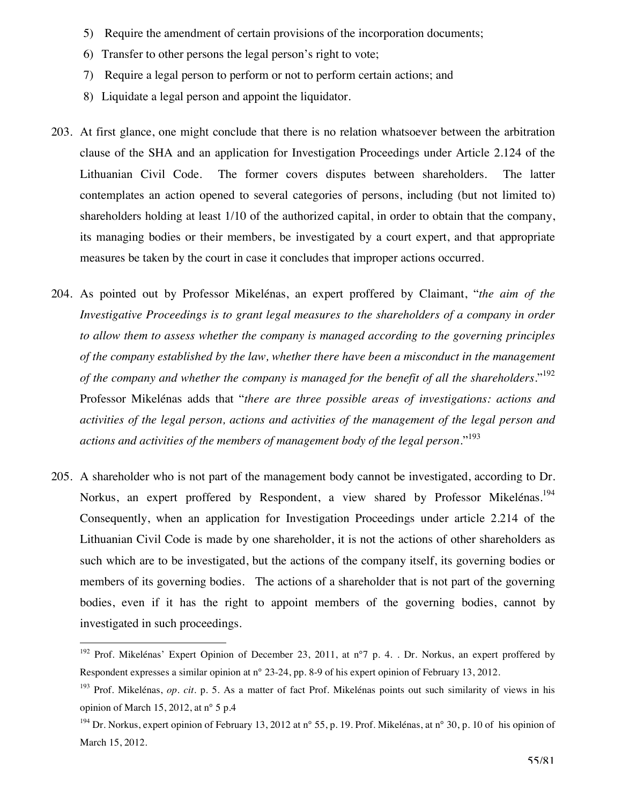- 5) Require the amendment of certain provisions of the incorporation documents;
- 6) Transfer to other persons the legal person's right to vote;
- 7) Require a legal person to perform or not to perform certain actions; and
- 8) Liquidate a legal person and appoint the liquidator.
- 203. At first glance, one might conclude that there is no relation whatsoever between the arbitration clause of the SHA and an application for Investigation Proceedings under Article 2.124 of the Lithuanian Civil Code. The former covers disputes between shareholders. The latter contemplates an action opened to several categories of persons, including (but not limited to) shareholders holding at least 1/10 of the authorized capital, in order to obtain that the company, its managing bodies or their members, be investigated by a court expert, and that appropriate measures be taken by the court in case it concludes that improper actions occurred.
- 204. As pointed out by Professor Mikelénas, an expert proffered by Claimant, "*the aim of the Investigative Proceedings is to grant legal measures to the shareholders of a company in order to allow them to assess whether the company is managed according to the governing principles of the company established by the law, whether there have been a misconduct in the management of the company and whether the company is managed for the benefit of all the shareholders.*" 192 Professor Mikelénas adds that "*there are three possible areas of investigations: actions and activities of the legal person, actions and activities of the management of the legal person and actions and activities of the members of management body of the legal person.*" <sup>193</sup>
- 205. A shareholder who is not part of the management body cannot be investigated, according to Dr. Norkus, an expert proffered by Respondent, a view shared by Professor Mikelénas.<sup>194</sup> Consequently, when an application for Investigation Proceedings under article 2.214 of the Lithuanian Civil Code is made by one shareholder, it is not the actions of other shareholders as such which are to be investigated, but the actions of the company itself, its governing bodies or members of its governing bodies. The actions of a shareholder that is not part of the governing bodies, even if it has the right to appoint members of the governing bodies, cannot by investigated in such proceedings.

<sup>&</sup>lt;sup>192</sup> Prof. Mikelénas' Expert Opinion of December 23, 2011, at n°7 p. 4. . Dr. Norkus, an expert proffered by Respondent expresses a similar opinion at n° 23-24, pp. 8-9 of his expert opinion of February 13, 2012.

<sup>&</sup>lt;sup>193</sup> Prof. Mikelénas, *op. cit.* p. 5. As a matter of fact Prof. Mikelénas points out such similarity of views in his opinion of March 15, 2012, at n° 5 p.4

<sup>&</sup>lt;sup>194</sup> Dr. Norkus, expert opinion of February 13, 2012 at n° 55, p. 19. Prof. Mikelénas, at n° 30, p. 10 of his opinion of March 15, 2012.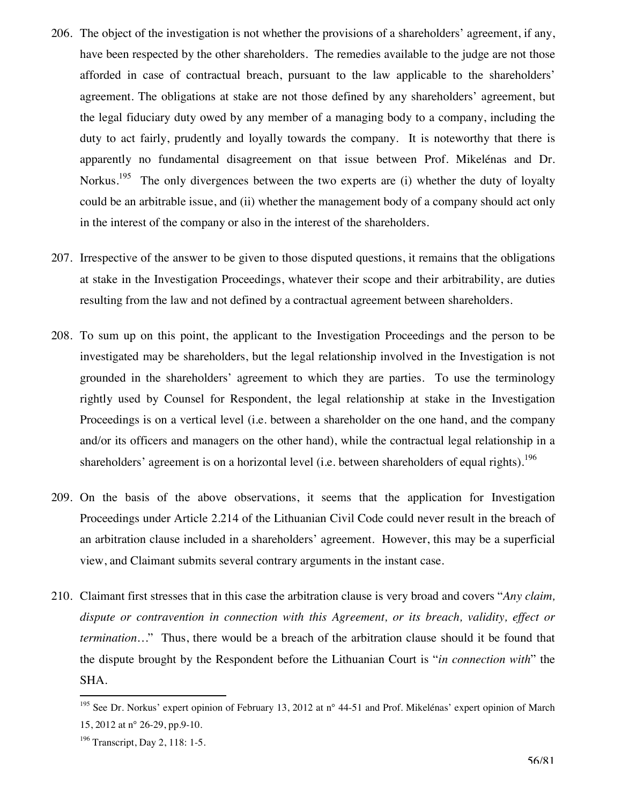- 206. The object of the investigation is not whether the provisions of a shareholders' agreement, if any, have been respected by the other shareholders. The remedies available to the judge are not those afforded in case of contractual breach, pursuant to the law applicable to the shareholders' agreement. The obligations at stake are not those defined by any shareholders' agreement, but the legal fiduciary duty owed by any member of a managing body to a company, including the duty to act fairly, prudently and loyally towards the company. It is noteworthy that there is apparently no fundamental disagreement on that issue between Prof. Mikelénas and Dr. Norkus.<sup>195</sup> The only divergences between the two experts are (i) whether the duty of loyalty could be an arbitrable issue, and (ii) whether the management body of a company should act only in the interest of the company or also in the interest of the shareholders.
- 207. Irrespective of the answer to be given to those disputed questions, it remains that the obligations at stake in the Investigation Proceedings, whatever their scope and their arbitrability, are duties resulting from the law and not defined by a contractual agreement between shareholders.
- 208. To sum up on this point, the applicant to the Investigation Proceedings and the person to be investigated may be shareholders, but the legal relationship involved in the Investigation is not grounded in the shareholders' agreement to which they are parties. To use the terminology rightly used by Counsel for Respondent, the legal relationship at stake in the Investigation Proceedings is on a vertical level (i.e. between a shareholder on the one hand, and the company and/or its officers and managers on the other hand), while the contractual legal relationship in a shareholders' agreement is on a horizontal level (i.e. between shareholders of equal rights).<sup>196</sup>
- 209. On the basis of the above observations, it seems that the application for Investigation Proceedings under Article 2.214 of the Lithuanian Civil Code could never result in the breach of an arbitration clause included in a shareholders' agreement. However, this may be a superficial view, and Claimant submits several contrary arguments in the instant case.
- 210. Claimant first stresses that in this case the arbitration clause is very broad and covers "*Any claim, dispute or contravention in connection with this Agreement, or its breach, validity, effect or termination…*" Thus, there would be a breach of the arbitration clause should it be found that the dispute brought by the Respondent before the Lithuanian Court is "*in connection with*" the SHA.

<sup>&</sup>lt;sup>195</sup> See Dr. Norkus' expert opinion of February 13, 2012 at n° 44-51 and Prof. Mikelénas' expert opinion of March 15, 2012 at n° 26-29, pp.9-10.

<sup>&</sup>lt;sup>196</sup> Transcript, Day 2, 118: 1-5.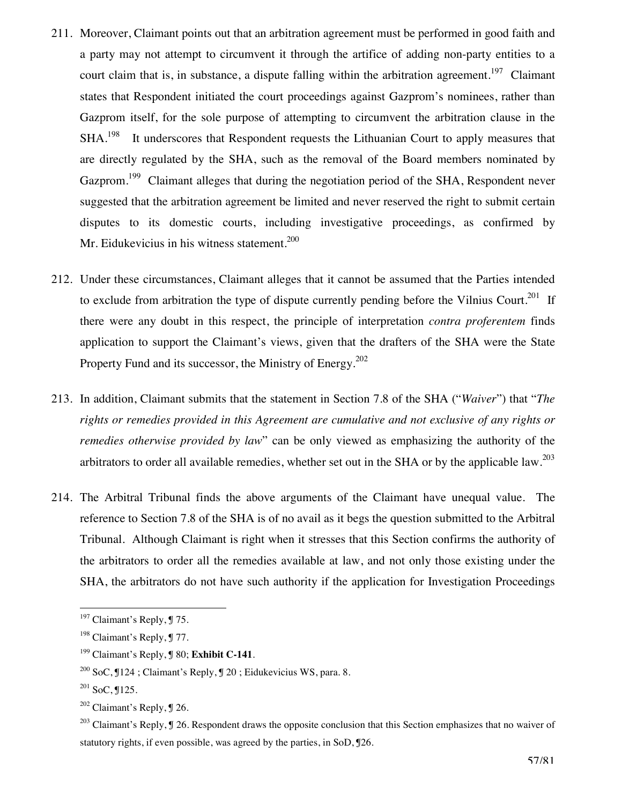- 211. Moreover, Claimant points out that an arbitration agreement must be performed in good faith and a party may not attempt to circumvent it through the artifice of adding non-party entities to a court claim that is, in substance, a dispute falling within the arbitration agreement.<sup>197</sup> Claimant states that Respondent initiated the court proceedings against Gazprom's nominees, rather than Gazprom itself, for the sole purpose of attempting to circumvent the arbitration clause in the SHA.<sup>198</sup> It underscores that Respondent requests the Lithuanian Court to apply measures that are directly regulated by the SHA, such as the removal of the Board members nominated by Gazprom.<sup>199</sup> Claimant alleges that during the negotiation period of the SHA, Respondent never suggested that the arbitration agreement be limited and never reserved the right to submit certain disputes to its domestic courts, including investigative proceedings, as confirmed by Mr. Eidukevicius in his witness statement.<sup>200</sup>
- 212. Under these circumstances, Claimant alleges that it cannot be assumed that the Parties intended to exclude from arbitration the type of dispute currently pending before the Vilnius Court.<sup>201</sup> If there were any doubt in this respect, the principle of interpretation *contra proferentem* finds application to support the Claimant's views, given that the drafters of the SHA were the State Property Fund and its successor, the Ministry of Energy.<sup>202</sup>
- 213. In addition, Claimant submits that the statement in Section 7.8 of the SHA ("*Waiver*") that "*The rights or remedies provided in this Agreement are cumulative and not exclusive of any rights or remedies otherwise provided by law*" can be only viewed as emphasizing the authority of the arbitrators to order all available remedies, whether set out in the SHA or by the applicable law.<sup>203</sup>
- 214. The Arbitral Tribunal finds the above arguments of the Claimant have unequal value. The reference to Section 7.8 of the SHA is of no avail as it begs the question submitted to the Arbitral Tribunal. Although Claimant is right when it stresses that this Section confirms the authority of the arbitrators to order all the remedies available at law, and not only those existing under the SHA, the arbitrators do not have such authority if the application for Investigation Proceedings

 $197$  Claimant's Reply,  $\sqrt{9}$  75.

<sup>&</sup>lt;sup>198</sup> Claimant's Reply, ¶ 77.

<sup>199</sup> Claimant's Reply, ¶ 80; **Exhibit C-141**.

<sup>200</sup> SoC, ¶124 ; Claimant's Reply, ¶ 20 ; Eidukevicius WS, para. 8.

 $201$  SoC,  $125$ .

 $202$  Claimant's Reply,  $\square$  26.

<sup>&</sup>lt;sup>203</sup> Claimant's Reply,  $\P$  26. Respondent draws the opposite conclusion that this Section emphasizes that no waiver of statutory rights, if even possible, was agreed by the parties, in SoD, ¶26.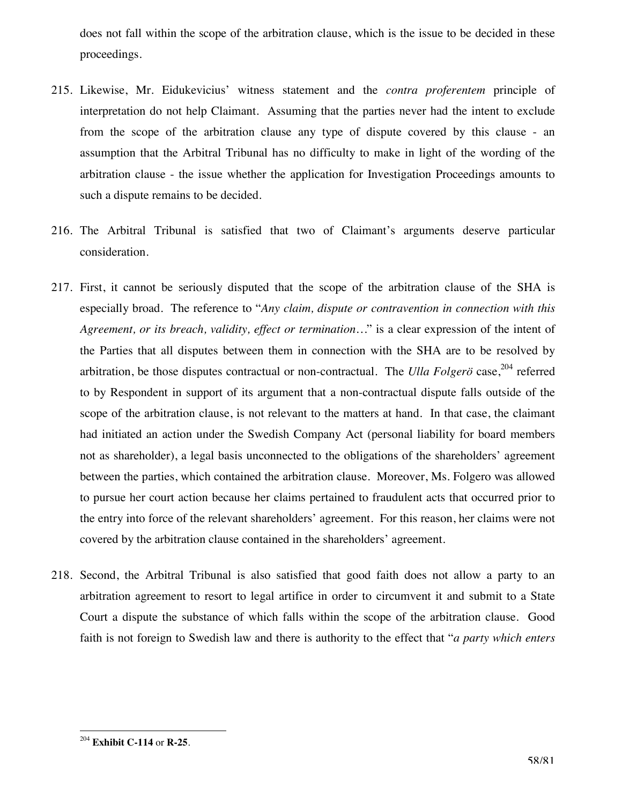does not fall within the scope of the arbitration clause, which is the issue to be decided in these proceedings.

- 215. Likewise, Mr. Eidukevicius' witness statement and the *contra proferentem* principle of interpretation do not help Claimant. Assuming that the parties never had the intent to exclude from the scope of the arbitration clause any type of dispute covered by this clause - an assumption that the Arbitral Tribunal has no difficulty to make in light of the wording of the arbitration clause - the issue whether the application for Investigation Proceedings amounts to such a dispute remains to be decided.
- 216. The Arbitral Tribunal is satisfied that two of Claimant's arguments deserve particular consideration.
- 217. First, it cannot be seriously disputed that the scope of the arbitration clause of the SHA is especially broad. The reference to "*Any claim, dispute or contravention in connection with this Agreement, or its breach, validity, effect or termination…*" is a clear expression of the intent of the Parties that all disputes between them in connection with the SHA are to be resolved by arbitration, be those disputes contractual or non-contractual. The *Ulla Folger*ö case,<sup>204</sup> referred to by Respondent in support of its argument that a non-contractual dispute falls outside of the scope of the arbitration clause, is not relevant to the matters at hand. In that case, the claimant had initiated an action under the Swedish Company Act (personal liability for board members not as shareholder), a legal basis unconnected to the obligations of the shareholders' agreement between the parties, which contained the arbitration clause. Moreover, Ms. Folgero was allowed to pursue her court action because her claims pertained to fraudulent acts that occurred prior to the entry into force of the relevant shareholders' agreement. For this reason, her claims were not covered by the arbitration clause contained in the shareholders' agreement.
- 218. Second, the Arbitral Tribunal is also satisfied that good faith does not allow a party to an arbitration agreement to resort to legal artifice in order to circumvent it and submit to a State Court a dispute the substance of which falls within the scope of the arbitration clause. Good faith is not foreign to Swedish law and there is authority to the effect that "*a party which enters*

 $\overline{a}$ <sup>204</sup> **Exhibit C-114** or **R-25**.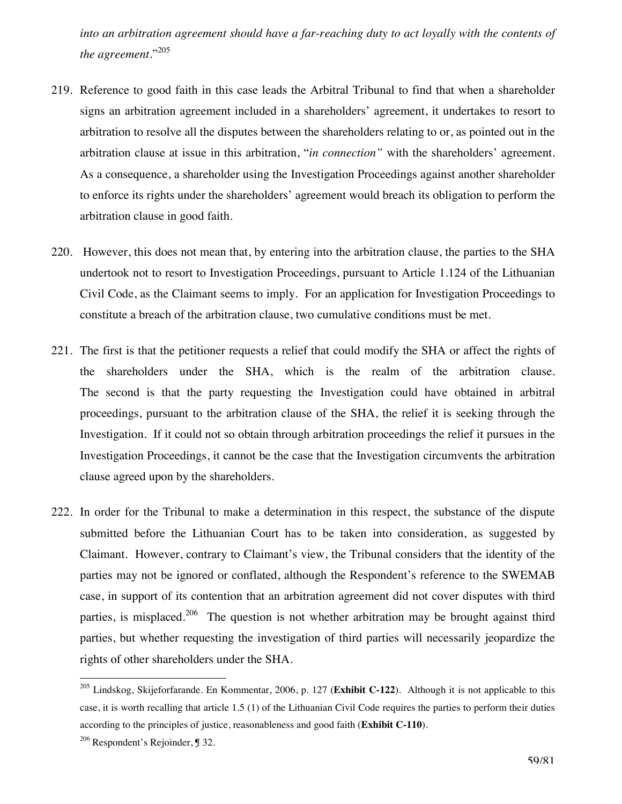into an arbitration agreement should have a far-reaching duty to act loyally with the contents of *the agreement.*" 205

- 219. Reference to good faith in this case leads the Arbitral Tribunal to find that when a shareholder signs an arbitration agreement included in a shareholders' agreement, it undertakes to resort to arbitration to resolve all the disputes between the shareholders relating to or, as pointed out in the arbitration clause at issue in this arbitration, "*in connection"* with the shareholders' agreement. As a consequence, a shareholder using the Investigation Proceedings against another shareholder to enforce its rights under the shareholders' agreement would breach its obligation to perform the arbitration clause in good faith.
- 220. However, this does not mean that, by entering into the arbitration clause, the parties to the SHA undertook not to resort to Investigation Proceedings, pursuant to Article 1.124 of the Lithuanian Civil Code, as the Claimant seems to imply. For an application for Investigation Proceedings to constitute a breach of the arbitration clause, two cumulative conditions must be met.
- 221. The first is that the petitioner requests a relief that could modify the SHA or affect the rights of the shareholders under the SHA, which is the realm of the arbitration clause. The second is that the party requesting the Investigation could have obtained in arbitral proceedings, pursuant to the arbitration clause of the SHA, the relief it is seeking through the Investigation. If it could not so obtain through arbitration proceedings the relief it pursues in the Investigation Proceedings, it cannot be the case that the Investigation circumvents the arbitration clause agreed upon by the shareholders.
- 222. In order for the Tribunal to make a determination in this respect, the substance of the dispute submitted before the Lithuanian Court has to be taken into consideration, as suggested by Claimant. However, contrary to Claimant's view, the Tribunal considers that the identity of the parties may not be ignored or conflated, although the Respondent's reference to the SWEMAB case, in support of its contention that an arbitration agreement did not cover disputes with third parties, is misplaced.<sup>206</sup> The question is not whether arbitration may be brought against third parties, but whether requesting the investigation of third parties will necessarily jeopardize the rights of other shareholders under the SHA.

<sup>205</sup> Lindskog, Skijeforfarande. En Kommentar, 2006, p. 127 (**Exhibit C-122**). Although it is not applicable to this case, it is worth recalling that article 1.5 (1) of the Lithuanian Civil Code requires the parties to perform their duties according to the principles of justice, reasonableness and good faith (**Exhibit C-110**).

<sup>206</sup> Respondent's Rejoinder, ¶ 32.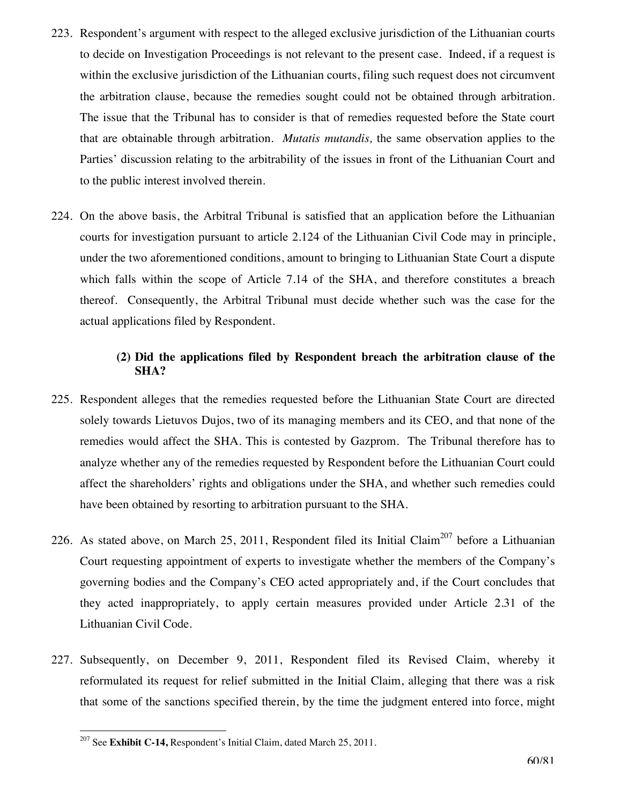- 223. Respondent's argument with respect to the alleged exclusive jurisdiction of the Lithuanian courts to decide on Investigation Proceedings is not relevant to the present case. Indeed, if a request is within the exclusive jurisdiction of the Lithuanian courts, filing such request does not circumvent the arbitration clause, because the remedies sought could not be obtained through arbitration. The issue that the Tribunal has to consider is that of remedies requested before the State court that are obtainable through arbitration. *Mutatis mutandis,* the same observation applies to the Parties' discussion relating to the arbitrability of the issues in front of the Lithuanian Court and to the public interest involved therein.
- 224. On the above basis, the Arbitral Tribunal is satisfied that an application before the Lithuanian courts for investigation pursuant to article 2.124 of the Lithuanian Civil Code may in principle, under the two aforementioned conditions, amount to bringing to Lithuanian State Court a dispute which falls within the scope of Article 7.14 of the SHA, and therefore constitutes a breach thereof. Consequently, the Arbitral Tribunal must decide whether such was the case for the actual applications filed by Respondent.

## **(2) Did the applications filed by Respondent breach the arbitration clause of the SHA?**

- 225. Respondent alleges that the remedies requested before the Lithuanian State Court are directed solely towards Lietuvos Dujos, two of its managing members and its CEO, and that none of the remedies would affect the SHA. This is contested by Gazprom. The Tribunal therefore has to analyze whether any of the remedies requested by Respondent before the Lithuanian Court could affect the shareholders' rights and obligations under the SHA, and whether such remedies could have been obtained by resorting to arbitration pursuant to the SHA.
- 226. As stated above, on March 25, 2011, Respondent filed its Initial Claim<sup>207</sup> before a Lithuanian Court requesting appointment of experts to investigate whether the members of the Company's governing bodies and the Company's CEO acted appropriately and, if the Court concludes that they acted inappropriately, to apply certain measures provided under Article 2.31 of the Lithuanian Civil Code.
- 227. Subsequently, on December 9, 2011, Respondent filed its Revised Claim, whereby it reformulated its request for relief submitted in the Initial Claim, alleging that there was a risk that some of the sanctions specified therein, by the time the judgment entered into force, might

<sup>207</sup> See **Exhibit C-14,** Respondent's Initial Claim, dated March 25, 2011.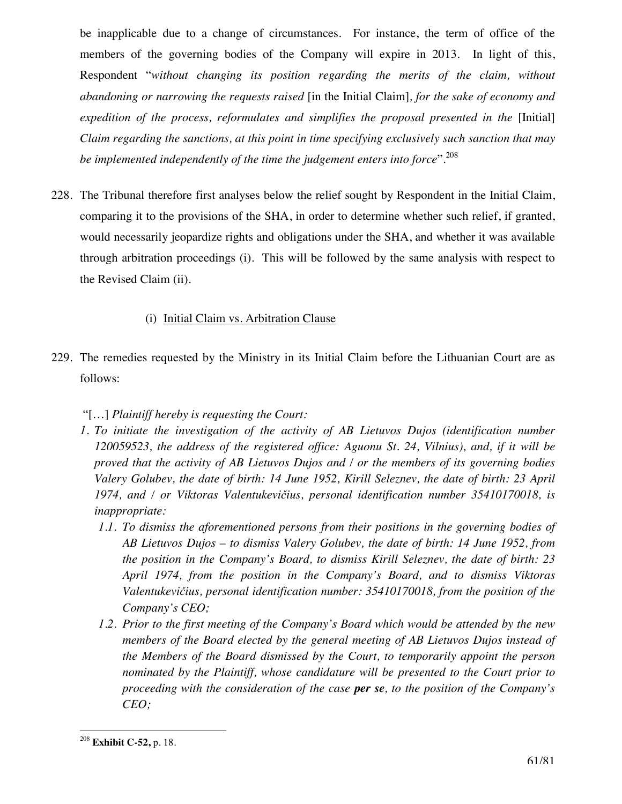be inapplicable due to a change of circumstances. For instance, the term of office of the members of the governing bodies of the Company will expire in 2013. In light of this, Respondent "*without changing its position regarding the merits of the claim, without abandoning or narrowing the requests raised* [in the Initial Claim]*, for the sake of economy and expedition of the process, reformulates and simplifies the proposal presented in the* [Initial] *Claim regarding the sanctions, at this point in time specifying exclusively such sanction that may be implemented independently of the time the judgement enters into force*".<sup>208</sup>

228. The Tribunal therefore first analyses below the relief sought by Respondent in the Initial Claim, comparing it to the provisions of the SHA, in order to determine whether such relief, if granted, would necessarily jeopardize rights and obligations under the SHA, and whether it was available through arbitration proceedings (i). This will be followed by the same analysis with respect to the Revised Claim (ii).

## (i) Initial Claim vs. Arbitration Clause

229. The remedies requested by the Ministry in its Initial Claim before the Lithuanian Court are as follows:

## "[…] *Plaintiff hereby is requesting the Court:*

- *1. To initiate the investigation of the activity of AB Lietuvos Dujos (identification number 120059523, the address of the registered office: Aguonu St. 24, Vilnius), and, if it will be proved that the activity of AB Lietuvos Dujos and / or the members of its governing bodies Valery Golubev, the date of birth: 14 June 1952, Kirill Seleznev, the date of birth: 23 April 1974, and / or Viktoras Valentukevičius, personal identification number 35410170018, is inappropriate:* 
	- *1.1. To dismiss the aforementioned persons from their positions in the governing bodies of AB Lietuvos Dujos – to dismiss Valery Golubev, the date of birth: 14 June 1952, from the position in the Company's Board, to dismiss Kirill Seleznev, the date of birth: 23 April 1974, from the position in the Company's Board, and to dismiss Viktoras Valentukevičius, personal identification number: 35410170018, from the position of the Company's CEO;*
	- *1.2. Prior to the first meeting of the Company's Board which would be attended by the new members of the Board elected by the general meeting of AB Lietuvos Dujos instead of the Members of the Board dismissed by the Court, to temporarily appoint the person nominated by the Plaintiff, whose candidature will be presented to the Court prior to proceeding with the consideration of the case per se, to the position of the Company's CEO;*

 $\overline{a}$ <sup>208</sup> **Exhibit C-52,** p. 18.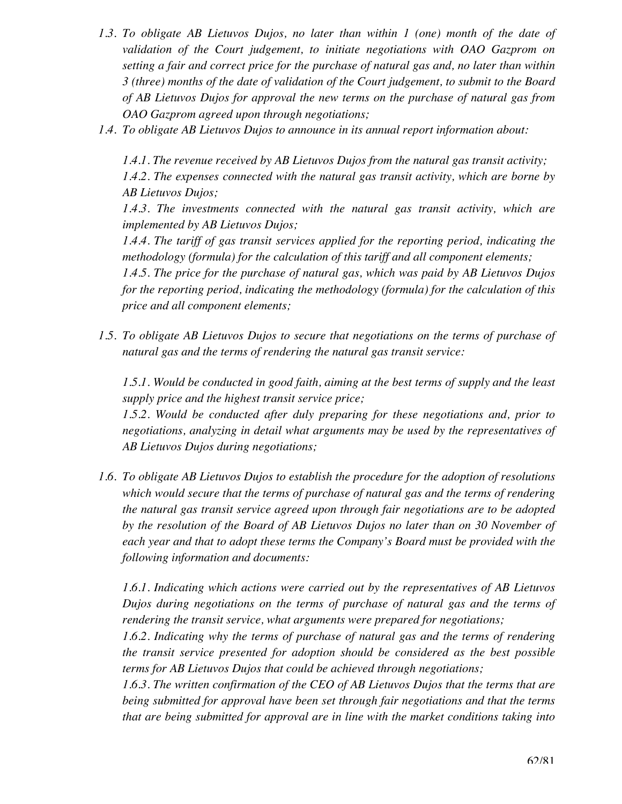- *1.3. To obligate AB Lietuvos Dujos, no later than within 1 (one) month of the date of validation of the Court judgement, to initiate negotiations with OAO Gazprom on setting a fair and correct price for the purchase of natural gas and, no later than within 3 (three) months of the date of validation of the Court judgement, to submit to the Board of AB Lietuvos Dujos for approval the new terms on the purchase of natural gas from OAO Gazprom agreed upon through negotiations;*
- *1.4. To obligate AB Lietuvos Dujos to announce in its annual report information about:*

*1.4.1. The revenue received by AB Lietuvos Dujos from the natural gas transit activity; 1.4.2. The expenses connected with the natural gas transit activity, which are borne by AB Lietuvos Dujos;* 

*1.4.3. The investments connected with the natural gas transit activity, which are implemented by AB Lietuvos Dujos;* 

*1.4.4. The tariff of gas transit services applied for the reporting period, indicating the methodology (formula) for the calculation of this tariff and all component elements;* 

*1.4.5. The price for the purchase of natural gas, which was paid by AB Lietuvos Dujos for the reporting period, indicating the methodology (formula) for the calculation of this price and all component elements;* 

*1.5. To obligate AB Lietuvos Dujos to secure that negotiations on the terms of purchase of natural gas and the terms of rendering the natural gas transit service:* 

*1.5.1. Would be conducted in good faith, aiming at the best terms of supply and the least supply price and the highest transit service price;*

*1.5.2. Would be conducted after duly preparing for these negotiations and, prior to negotiations, analyzing in detail what arguments may be used by the representatives of AB Lietuvos Dujos during negotiations;* 

*1.6. To obligate AB Lietuvos Dujos to establish the procedure for the adoption of resolutions which would secure that the terms of purchase of natural gas and the terms of rendering the natural gas transit service agreed upon through fair negotiations are to be adopted by the resolution of the Board of AB Lietuvos Dujos no later than on 30 November of each year and that to adopt these terms the Company's Board must be provided with the following information and documents:* 

*1.6.1. Indicating which actions were carried out by the representatives of AB Lietuvos Dujos during negotiations on the terms of purchase of natural gas and the terms of rendering the transit service, what arguments were prepared for negotiations;* 

*1.6.2. Indicating why the terms of purchase of natural gas and the terms of rendering the transit service presented for adoption should be considered as the best possible terms for AB Lietuvos Dujos that could be achieved through negotiations;* 

*1.6.3. The written confirmation of the CEO of AB Lietuvos Dujos that the terms that are being submitted for approval have been set through fair negotiations and that the terms that are being submitted for approval are in line with the market conditions taking into*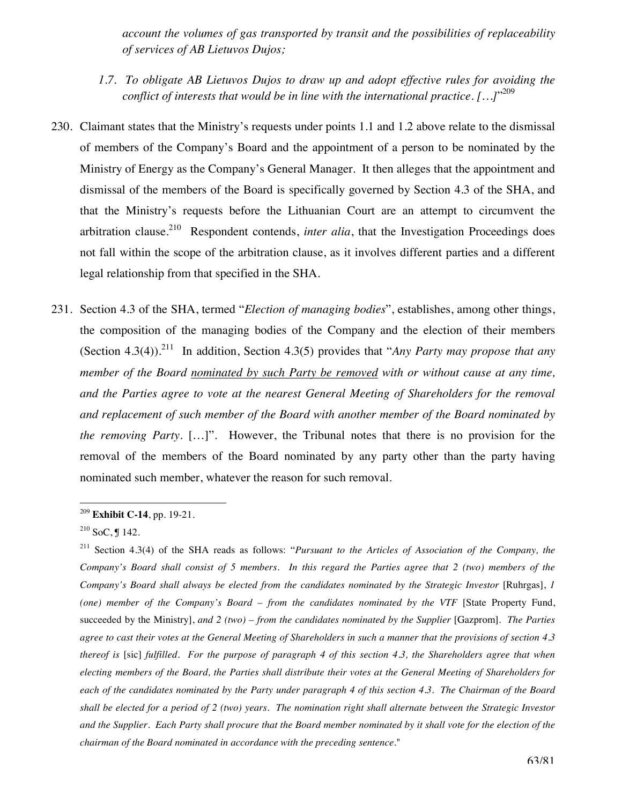*account the volumes of gas transported by transit and the possibilities of replaceability of services of AB Lietuvos Dujos;* 

- *1.7. To obligate AB Lietuvos Dujos to draw up and adopt effective rules for avoiding the conflict of interests that would be in line with the international practice. […]*" 209
- 230. Claimant states that the Ministry's requests under points 1.1 and 1.2 above relate to the dismissal of members of the Company's Board and the appointment of a person to be nominated by the Ministry of Energy as the Company's General Manager. It then alleges that the appointment and dismissal of the members of the Board is specifically governed by Section 4.3 of the SHA, and that the Ministry's requests before the Lithuanian Court are an attempt to circumvent the arbitration clause.<sup>210</sup> Respondent contends, *inter alia*, that the Investigation Proceedings does not fall within the scope of the arbitration clause, as it involves different parties and a different legal relationship from that specified in the SHA.
- 231. Section 4.3 of the SHA, termed "*Election of managing bodies*", establishes, among other things, the composition of the managing bodies of the Company and the election of their members (Section 4.3(4)).211 In addition, Section 4.3(5) provides that "*Any Party may propose that any member of the Board nominated by such Party be removed with or without cause at any time, and the Parties agree to vote at the nearest General Meeting of Shareholders for the removal and replacement of such member of the Board with another member of the Board nominated by the removing Party.* […]". However, the Tribunal notes that there is no provision for the removal of the members of the Board nominated by any party other than the party having nominated such member, whatever the reason for such removal.

 $\overline{a}$ <sup>209</sup> **Exhibit C-14**, pp. 19-21.

 $210$  SoC, ¶ 142.

<sup>211</sup> Section 4.3(4) of the SHA reads as follows: "*Pursuant to the Articles of Association of the Company, the Company's Board shall consist of 5 members. In this regard the Parties agree that 2 (two) members of the Company's Board shall always be elected from the candidates nominated by the Strategic Investor* [Ruhrgas], *1 (one) member of the Company's Board – from the candidates nominated by the VTF* [State Property Fund, succeeded by the Ministry], and 2 (two) – from the candidates nominated by the Supplier [Gazprom]. The Parties *agree to cast their votes at the General Meeting of Shareholders in such a manner that the provisions of section 4.3 thereof is* [sic] *fulfilled. For the purpose of paragraph 4 of this section 4.3, the Shareholders agree that when electing members of the Board, the Parties shall distribute their votes at the General Meeting of Shareholders for each of the candidates nominated by the Party under paragraph 4 of this section 4.3. The Chairman of the Board shall be elected for a period of 2 (two) years. The nomination right shall alternate between the Strategic Investor and the Supplier. Each Party shall procure that the Board member nominated by it shall vote for the election of the chairman of the Board nominated in accordance with the preceding sentence*."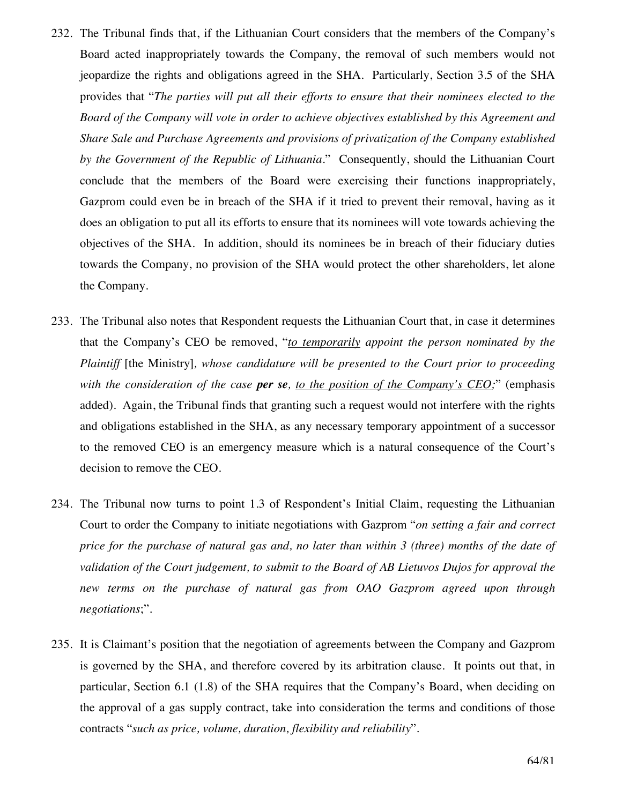- 232. The Tribunal finds that, if the Lithuanian Court considers that the members of the Company's Board acted inappropriately towards the Company, the removal of such members would not jeopardize the rights and obligations agreed in the SHA. Particularly, Section 3.5 of the SHA provides that "*The parties will put all their efforts to ensure that their nominees elected to the Board of the Company will vote in order to achieve objectives established by this Agreement and Share Sale and Purchase Agreements and provisions of privatization of the Company established by the Government of the Republic of Lithuania*." Consequently, should the Lithuanian Court conclude that the members of the Board were exercising their functions inappropriately, Gazprom could even be in breach of the SHA if it tried to prevent their removal, having as it does an obligation to put all its efforts to ensure that its nominees will vote towards achieving the objectives of the SHA. In addition, should its nominees be in breach of their fiduciary duties towards the Company, no provision of the SHA would protect the other shareholders, let alone the Company.
- 233. The Tribunal also notes that Respondent requests the Lithuanian Court that, in case it determines that the Company's CEO be removed, "*to temporarily appoint the person nominated by the Plaintiff* [the Ministry]*, whose candidature will be presented to the Court prior to proceeding with the consideration of the case per se, to the position of the Company's CEO;*" (emphasis added)*.* Again, the Tribunal finds that granting such a request would not interfere with the rights and obligations established in the SHA, as any necessary temporary appointment of a successor to the removed CEO is an emergency measure which is a natural consequence of the Court's decision to remove the CEO.
- 234. The Tribunal now turns to point 1.3 of Respondent's Initial Claim, requesting the Lithuanian Court to order the Company to initiate negotiations with Gazprom "*on setting a fair and correct price for the purchase of natural gas and, no later than within 3 (three) months of the date of validation of the Court judgement, to submit to the Board of AB Lietuvos Dujos for approval the new terms on the purchase of natural gas from OAO Gazprom agreed upon through negotiations*;".
- 235. It is Claimant's position that the negotiation of agreements between the Company and Gazprom is governed by the SHA, and therefore covered by its arbitration clause. It points out that, in particular, Section 6.1 (1.8) of the SHA requires that the Company's Board, when deciding on the approval of a gas supply contract, take into consideration the terms and conditions of those contracts "*such as price, volume, duration, flexibility and reliability*".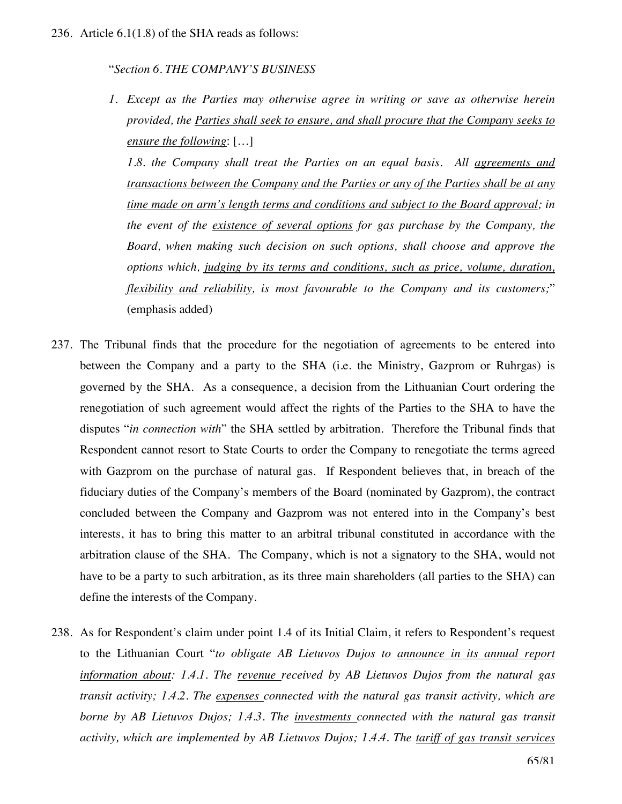#### "*Section 6. THE COMPANY'S BUSINESS*

*1. Except as the Parties may otherwise agree in writing or save as otherwise herein provided, the Parties shall seek to ensure, and shall procure that the Company seeks to ensure the following*: […]

*1.8*. *the Company shall treat the Parties on an equal basis. All agreements and transactions between the Company and the Parties or any of the Parties shall be at any time made on arm's length terms and conditions and subject to the Board approval; in the event of the existence of several options for gas purchase by the Company, the Board, when making such decision on such options, shall choose and approve the options which, judging by its terms and conditions, such as price, volume, duration, flexibility and reliability, is most favourable to the Company and its customers;*" (emphasis added)

- 237. The Tribunal finds that the procedure for the negotiation of agreements to be entered into between the Company and a party to the SHA (i.e. the Ministry, Gazprom or Ruhrgas) is governed by the SHA. As a consequence, a decision from the Lithuanian Court ordering the renegotiation of such agreement would affect the rights of the Parties to the SHA to have the disputes "*in connection with*" the SHA settled by arbitration. Therefore the Tribunal finds that Respondent cannot resort to State Courts to order the Company to renegotiate the terms agreed with Gazprom on the purchase of natural gas. If Respondent believes that, in breach of the fiduciary duties of the Company's members of the Board (nominated by Gazprom), the contract concluded between the Company and Gazprom was not entered into in the Company's best interests, it has to bring this matter to an arbitral tribunal constituted in accordance with the arbitration clause of the SHA. The Company, which is not a signatory to the SHA, would not have to be a party to such arbitration, as its three main shareholders (all parties to the SHA) can define the interests of the Company.
- 238. As for Respondent's claim under point 1.4 of its Initial Claim, it refers to Respondent's request to the Lithuanian Court "*to obligate AB Lietuvos Dujos to announce in its annual report information about: 1.4.1. The revenue received by AB Lietuvos Dujos from the natural gas transit activity; 1.4.2. The expenses connected with the natural gas transit activity, which are borne by AB Lietuvos Dujos; 1.4.3. The investments connected with the natural gas transit activity, which are implemented by AB Lietuvos Dujos; 1.4.4. The tariff of gas transit services*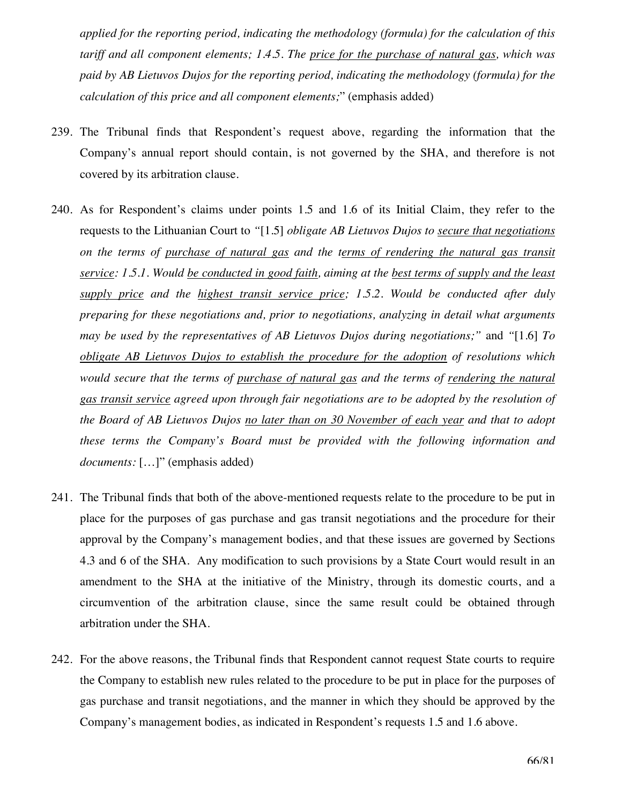*applied for the reporting period, indicating the methodology (formula) for the calculation of this tariff and all component elements; 1.4.5. The price for the purchase of natural gas, which was paid by AB Lietuvos Dujos for the reporting period, indicating the methodology (formula) for the calculation of this price and all component elements;*" (emphasis added)

- 239. The Tribunal finds that Respondent's request above, regarding the information that the Company's annual report should contain, is not governed by the SHA, and therefore is not covered by its arbitration clause.
- 240. As for Respondent's claims under points 1.5 and 1.6 of its Initial Claim, they refer to the requests to the Lithuanian Court to *"*[1.5] *obligate AB Lietuvos Dujos to secure that negotiations on the terms of purchase of natural gas and the terms of rendering the natural gas transit service: 1.5.1. Would be conducted in good faith, aiming at the best terms of supply and the least supply price and the highest transit service price; 1.5.2. Would be conducted after duly preparing for these negotiations and, prior to negotiations, analyzing in detail what arguments may be used by the representatives of AB Lietuvos Dujos during negotiations;"* and *"*[1.6] *To obligate AB Lietuvos Dujos to establish the procedure for the adoption of resolutions which would secure that the terms of purchase of natural gas and the terms of rendering the natural gas transit service agreed upon through fair negotiations are to be adopted by the resolution of the Board of AB Lietuvos Dujos no later than on 30 November of each year and that to adopt these terms the Company's Board must be provided with the following information and documents:* […]" (emphasis added)
- 241. The Tribunal finds that both of the above-mentioned requests relate to the procedure to be put in place for the purposes of gas purchase and gas transit negotiations and the procedure for their approval by the Company's management bodies, and that these issues are governed by Sections 4.3 and 6 of the SHA. Any modification to such provisions by a State Court would result in an amendment to the SHA at the initiative of the Ministry, through its domestic courts, and a circumvention of the arbitration clause, since the same result could be obtained through arbitration under the SHA.
- 242. For the above reasons, the Tribunal finds that Respondent cannot request State courts to require the Company to establish new rules related to the procedure to be put in place for the purposes of gas purchase and transit negotiations, and the manner in which they should be approved by the Company's management bodies, as indicated in Respondent's requests 1.5 and 1.6 above.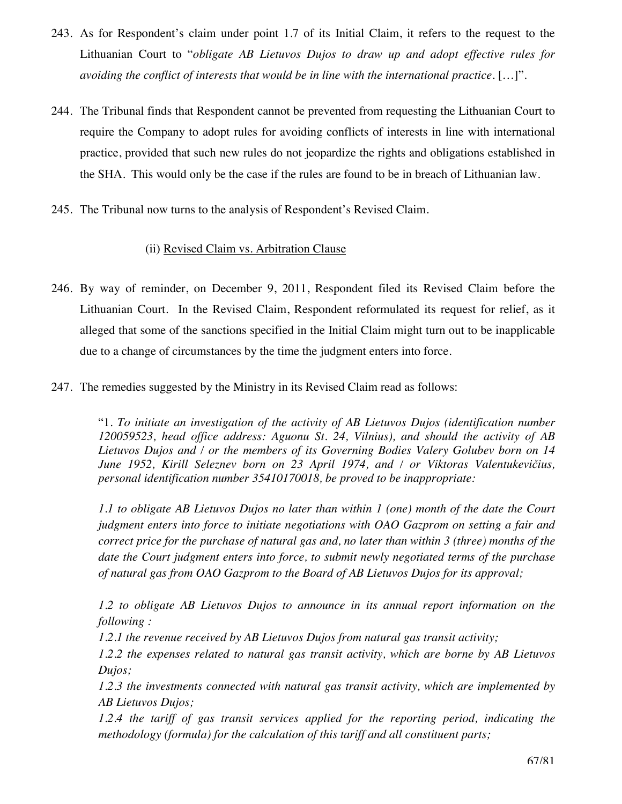- 243. As for Respondent's claim under point 1.7 of its Initial Claim, it refers to the request to the Lithuanian Court to "*obligate AB Lietuvos Dujos to draw up and adopt effective rules for avoiding the conflict of interests that would be in line with the international practice.* […]".
- 244. The Tribunal finds that Respondent cannot be prevented from requesting the Lithuanian Court to require the Company to adopt rules for avoiding conflicts of interests in line with international practice, provided that such new rules do not jeopardize the rights and obligations established in the SHA. This would only be the case if the rules are found to be in breach of Lithuanian law.
- 245. The Tribunal now turns to the analysis of Respondent's Revised Claim.

## (ii) Revised Claim vs. Arbitration Clause

- 246. By way of reminder, on December 9, 2011, Respondent filed its Revised Claim before the Lithuanian Court. In the Revised Claim, Respondent reformulated its request for relief, as it alleged that some of the sanctions specified in the Initial Claim might turn out to be inapplicable due to a change of circumstances by the time the judgment enters into force.
- 247. The remedies suggested by the Ministry in its Revised Claim read as follows:

"1. *To initiate an investigation of the activity of AB Lietuvos Dujos (identification number 120059523, head office address: Aguonu St. 24, Vilnius), and should the activity of AB Lietuvos Dujos and / or the members of its Governing Bodies Valery Golubev born on 14 June 1952, Kirill Seleznev born on 23 April 1974, and / or Viktoras Valentukevičius, personal identification number 35410170018, be proved to be inappropriate:*

*1.1 to obligate AB Lietuvos Dujos no later than within 1 (one) month of the date the Court judgment enters into force to initiate negotiations with OAO Gazprom on setting a fair and correct price for the purchase of natural gas and, no later than within 3 (three) months of the date the Court judgment enters into force, to submit newly negotiated terms of the purchase of natural gas from OAO Gazprom to the Board of AB Lietuvos Dujos for its approval;* 

*1.2 to obligate AB Lietuvos Dujos to announce in its annual report information on the following :* 

*1.2.1 the revenue received by AB Lietuvos Dujos from natural gas transit activity;* 

*1.2.2 the expenses related to natural gas transit activity, which are borne by AB Lietuvos Dujos;* 

*1.2.3 the investments connected with natural gas transit activity, which are implemented by AB Lietuvos Dujos;* 

*1.2.4 the tariff of gas transit services applied for the reporting period, indicating the methodology (formula) for the calculation of this tariff and all constituent parts;*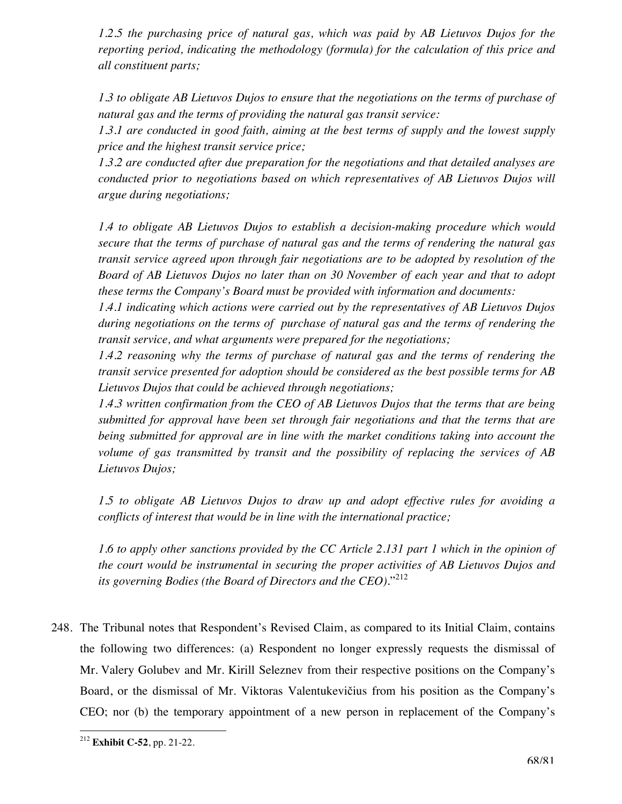*1.2.5 the purchasing price of natural gas, which was paid by AB Lietuvos Dujos for the reporting period, indicating the methodology (formula) for the calculation of this price and all constituent parts;* 

*1.3 to obligate AB Lietuvos Dujos to ensure that the negotiations on the terms of purchase of natural gas and the terms of providing the natural gas transit service:* 

*1.3.1 are conducted in good faith, aiming at the best terms of supply and the lowest supply price and the highest transit service price;* 

*1.3.2 are conducted after due preparation for the negotiations and that detailed analyses are conducted prior to negotiations based on which representatives of AB Lietuvos Dujos will argue during negotiations;* 

*1.4 to obligate AB Lietuvos Dujos to establish a decision-making procedure which would secure that the terms of purchase of natural gas and the terms of rendering the natural gas transit service agreed upon through fair negotiations are to be adopted by resolution of the Board of AB Lietuvos Dujos no later than on 30 November of each year and that to adopt these terms the Company's Board must be provided with information and documents:* 

*1.4.1 indicating which actions were carried out by the representatives of AB Lietuvos Dujos during negotiations on the terms of purchase of natural gas and the terms of rendering the transit service, and what arguments were prepared for the negotiations;* 

*1.4.2 reasoning why the terms of purchase of natural gas and the terms of rendering the transit service presented for adoption should be considered as the best possible terms for AB Lietuvos Dujos that could be achieved through negotiations;* 

*1.4.3 written confirmation from the CEO of AB Lietuvos Dujos that the terms that are being submitted for approval have been set through fair negotiations and that the terms that are being submitted for approval are in line with the market conditions taking into account the volume of gas transmitted by transit and the possibility of replacing the services of AB Lietuvos Dujos;* 

*1.5 to obligate AB Lietuvos Dujos to draw up and adopt effective rules for avoiding a conflicts of interest that would be in line with the international practice;* 

*1.6 to apply other sanctions provided by the CC Article 2.131 part 1 which in the opinion of the court would be instrumental in securing the proper activities of AB Lietuvos Dujos and its governing Bodies (the Board of Directors and the CEO).*" 212

248. The Tribunal notes that Respondent's Revised Claim, as compared to its Initial Claim, contains the following two differences: (a) Respondent no longer expressly requests the dismissal of Mr. Valery Golubev and Mr. Kirill Seleznev from their respective positions on the Company's Board, or the dismissal of Mr. Viktoras Valentukevičius from his position as the Company's CEO; nor (b) the temporary appointment of a new person in replacement of the Company's

 $\overline{a}$ <sup>212</sup> **Exhibit C-52**, pp. 21-22.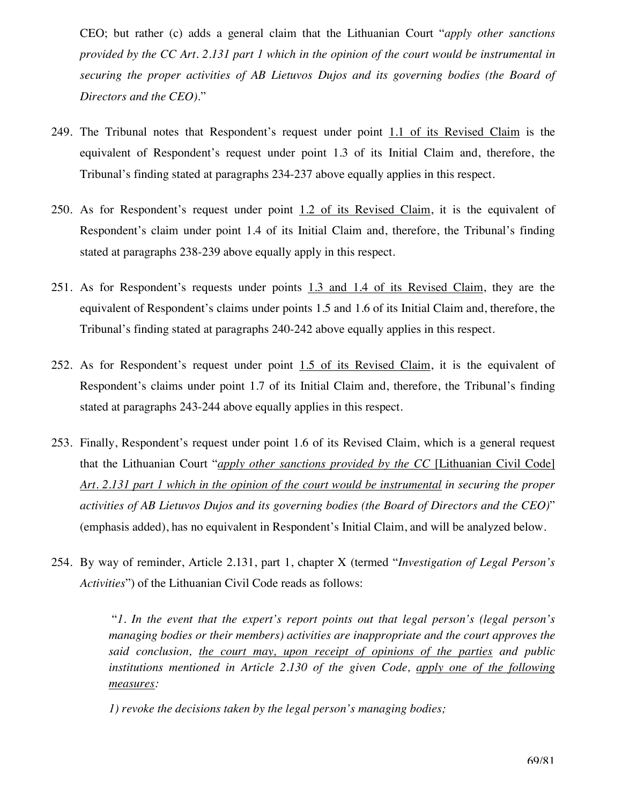CEO; but rather (c) adds a general claim that the Lithuanian Court "*apply other sanctions provided by the CC Art. 2.131 part 1 which in the opinion of the court would be instrumental in securing the proper activities of AB Lietuvos Dujos and its governing bodies (the Board of Directors and the CEO)*."

- 249. The Tribunal notes that Respondent's request under point 1.1 of its Revised Claim is the equivalent of Respondent's request under point 1.3 of its Initial Claim and, therefore, the Tribunal's finding stated at paragraphs 234-237 above equally applies in this respect.
- 250. As for Respondent's request under point 1.2 of its Revised Claim, it is the equivalent of Respondent's claim under point 1.4 of its Initial Claim and, therefore, the Tribunal's finding stated at paragraphs 238-239 above equally apply in this respect.
- 251. As for Respondent's requests under points 1.3 and 1.4 of its Revised Claim, they are the equivalent of Respondent's claims under points 1.5 and 1.6 of its Initial Claim and, therefore, the Tribunal's finding stated at paragraphs 240-242 above equally applies in this respect.
- 252. As for Respondent's request under point 1.5 of its Revised Claim, it is the equivalent of Respondent's claims under point 1.7 of its Initial Claim and, therefore, the Tribunal's finding stated at paragraphs 243-244 above equally applies in this respect.
- 253. Finally, Respondent's request under point 1.6 of its Revised Claim, which is a general request that the Lithuanian Court "*apply other sanctions provided by the CC* [Lithuanian Civil Code] *Art. 2.131 part 1 which in the opinion of the court would be instrumental in securing the proper activities of AB Lietuvos Dujos and its governing bodies (the Board of Directors and the CEO)*" (emphasis added), has no equivalent in Respondent's Initial Claim, and will be analyzed below.
- 254. By way of reminder, Article 2.131, part 1, chapter X (termed "*Investigation of Legal Person's Activities*") of the Lithuanian Civil Code reads as follows:

 "*1. In the event that the expert's report points out that legal person's (legal person's managing bodies or their members) activities are inappropriate and the court approves the said conclusion, the court may, upon receipt of opinions of the parties and public institutions mentioned in Article 2.130 of the given Code, apply one of the following measures:*

*1) revoke the decisions taken by the legal person's managing bodies;*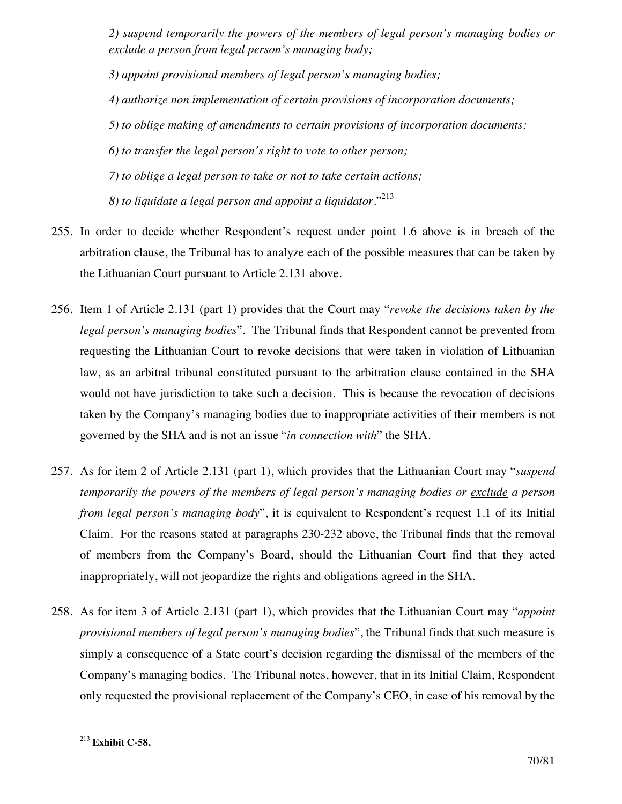*2) suspend temporarily the powers of the members of legal person's managing bodies or exclude a person from legal person's managing body;* 

*3) appoint provisional members of legal person's managing bodies;* 

*4) authorize non implementation of certain provisions of incorporation documents;* 

*5) to oblige making of amendments to certain provisions of incorporation documents;* 

*6) to transfer the legal person's right to vote to other person;* 

*7) to oblige a legal person to take or not to take certain actions;* 

*8) to liquidate a legal person and appoint a liquidator*."213

- 255. In order to decide whether Respondent's request under point 1.6 above is in breach of the arbitration clause, the Tribunal has to analyze each of the possible measures that can be taken by the Lithuanian Court pursuant to Article 2.131 above.
- 256. Item 1 of Article 2.131 (part 1) provides that the Court may "*revoke the decisions taken by the legal person's managing bodies*"*.* The Tribunal finds that Respondent cannot be prevented from requesting the Lithuanian Court to revoke decisions that were taken in violation of Lithuanian law, as an arbitral tribunal constituted pursuant to the arbitration clause contained in the SHA would not have jurisdiction to take such a decision. This is because the revocation of decisions taken by the Company's managing bodies due to inappropriate activities of their members is not governed by the SHA and is not an issue "*in connection with*" the SHA.
- 257. As for item 2 of Article 2.131 (part 1), which provides that the Lithuanian Court may "*suspend temporarily the powers of the members of legal person's managing bodies or exclude a person from legal person's managing body*", it is equivalent to Respondent's request 1.1 of its Initial Claim. For the reasons stated at paragraphs 230-232 above, the Tribunal finds that the removal of members from the Company's Board, should the Lithuanian Court find that they acted inappropriately, will not jeopardize the rights and obligations agreed in the SHA.
- 258. As for item 3 of Article 2.131 (part 1), which provides that the Lithuanian Court may "*appoint provisional members of legal person's managing bodies*", the Tribunal finds that such measure is simply a consequence of a State court's decision regarding the dismissal of the members of the Company's managing bodies. The Tribunal notes, however, that in its Initial Claim, Respondent only requested the provisional replacement of the Company's CEO, in case of his removal by the

 $\overline{a}$ <sup>213</sup> **Exhibit C-58.**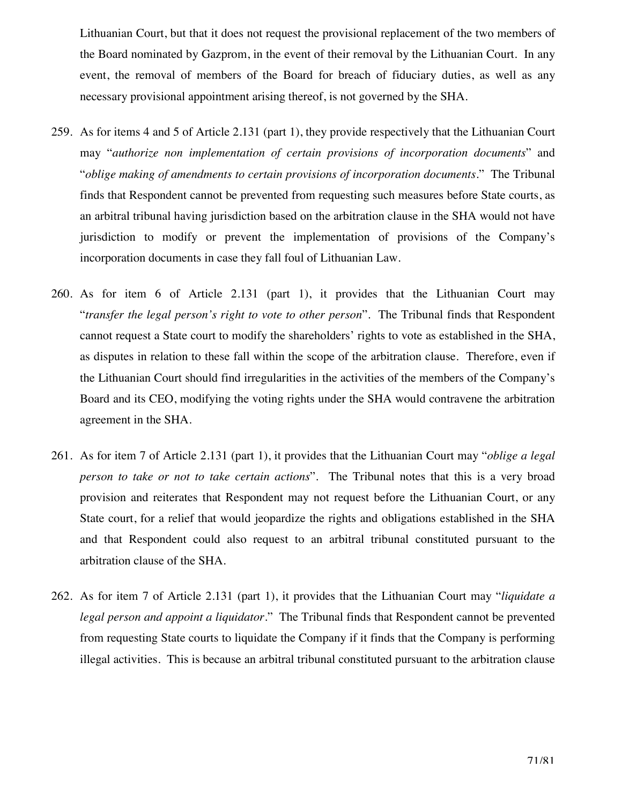Lithuanian Court, but that it does not request the provisional replacement of the two members of the Board nominated by Gazprom, in the event of their removal by the Lithuanian Court. In any event, the removal of members of the Board for breach of fiduciary duties, as well as any necessary provisional appointment arising thereof, is not governed by the SHA.

- 259. As for items 4 and 5 of Article 2.131 (part 1), they provide respectively that the Lithuanian Court may "*authorize non implementation of certain provisions of incorporation documents*" and "*oblige making of amendments to certain provisions of incorporation documents.*" The Tribunal finds that Respondent cannot be prevented from requesting such measures before State courts, as an arbitral tribunal having jurisdiction based on the arbitration clause in the SHA would not have jurisdiction to modify or prevent the implementation of provisions of the Company's incorporation documents in case they fall foul of Lithuanian Law.
- 260. As for item 6 of Article 2.131 (part 1), it provides that the Lithuanian Court may "*transfer the legal person's right to vote to other person*". The Tribunal finds that Respondent cannot request a State court to modify the shareholders' rights to vote as established in the SHA, as disputes in relation to these fall within the scope of the arbitration clause. Therefore, even if the Lithuanian Court should find irregularities in the activities of the members of the Company's Board and its CEO, modifying the voting rights under the SHA would contravene the arbitration agreement in the SHA.
- 261. As for item 7 of Article 2.131 (part 1), it provides that the Lithuanian Court may "*oblige a legal person to take or not to take certain actions*". The Tribunal notes that this is a very broad provision and reiterates that Respondent may not request before the Lithuanian Court, or any State court, for a relief that would jeopardize the rights and obligations established in the SHA and that Respondent could also request to an arbitral tribunal constituted pursuant to the arbitration clause of the SHA.
- 262. As for item 7 of Article 2.131 (part 1), it provides that the Lithuanian Court may "*liquidate a legal person and appoint a liquidator*." The Tribunal finds that Respondent cannot be prevented from requesting State courts to liquidate the Company if it finds that the Company is performing illegal activities. This is because an arbitral tribunal constituted pursuant to the arbitration clause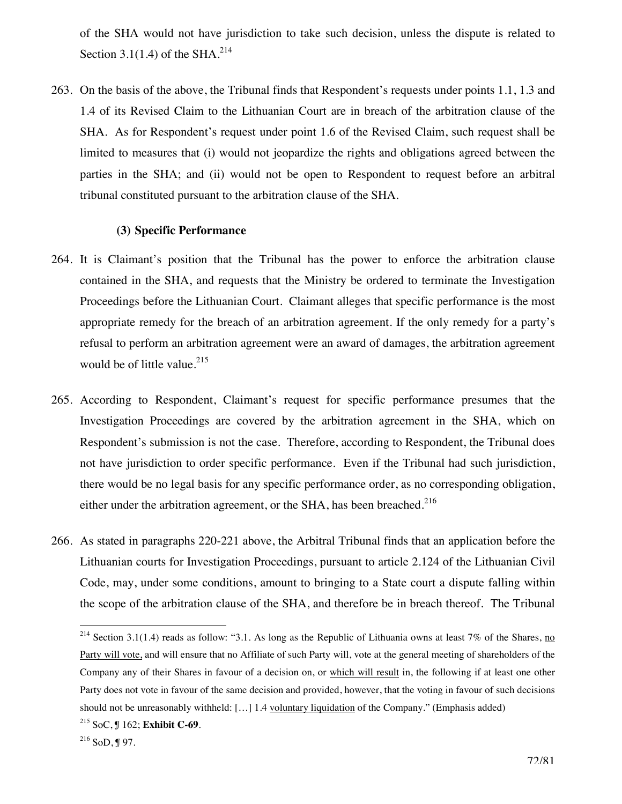of the SHA would not have jurisdiction to take such decision, unless the dispute is related to Section 3.1(1.4) of the SHA.<sup>214</sup>

263. On the basis of the above, the Tribunal finds that Respondent's requests under points 1.1, 1.3 and 1.4 of its Revised Claim to the Lithuanian Court are in breach of the arbitration clause of the SHA. As for Respondent's request under point 1.6 of the Revised Claim, such request shall be limited to measures that (i) would not jeopardize the rights and obligations agreed between the parties in the SHA; and (ii) would not be open to Respondent to request before an arbitral tribunal constituted pursuant to the arbitration clause of the SHA.

#### **(3) Specific Performance**

- 264. It is Claimant's position that the Tribunal has the power to enforce the arbitration clause contained in the SHA, and requests that the Ministry be ordered to terminate the Investigation Proceedings before the Lithuanian Court. Claimant alleges that specific performance is the most appropriate remedy for the breach of an arbitration agreement. If the only remedy for a party's refusal to perform an arbitration agreement were an award of damages, the arbitration agreement would be of little value.<sup>215</sup>
- 265. According to Respondent, Claimant's request for specific performance presumes that the Investigation Proceedings are covered by the arbitration agreement in the SHA, which on Respondent's submission is not the case. Therefore, according to Respondent, the Tribunal does not have jurisdiction to order specific performance. Even if the Tribunal had such jurisdiction, there would be no legal basis for any specific performance order, as no corresponding obligation, either under the arbitration agreement, or the SHA, has been breached.<sup>216</sup>
- 266. As stated in paragraphs 220-221 above, the Arbitral Tribunal finds that an application before the Lithuanian courts for Investigation Proceedings, pursuant to article 2.124 of the Lithuanian Civil Code, may, under some conditions, amount to bringing to a State court a dispute falling within the scope of the arbitration clause of the SHA, and therefore be in breach thereof. The Tribunal

<sup>&</sup>lt;sup>214</sup> Section 3.1(1.4) reads as follow: "3.1. As long as the Republic of Lithuania owns at least 7% of the Shares, no Party will vote, and will ensure that no Affiliate of such Party will, vote at the general meeting of shareholders of the Company any of their Shares in favour of a decision on, or which will result in, the following if at least one other Party does not vote in favour of the same decision and provided, however, that the voting in favour of such decisions should not be unreasonably withheld: [...] 1.4 voluntary liquidation of the Company." (Emphasis added)

<sup>215</sup> SoC, ¶ 162; **Exhibit C-69**.

 $216$  SoD, ¶ 97.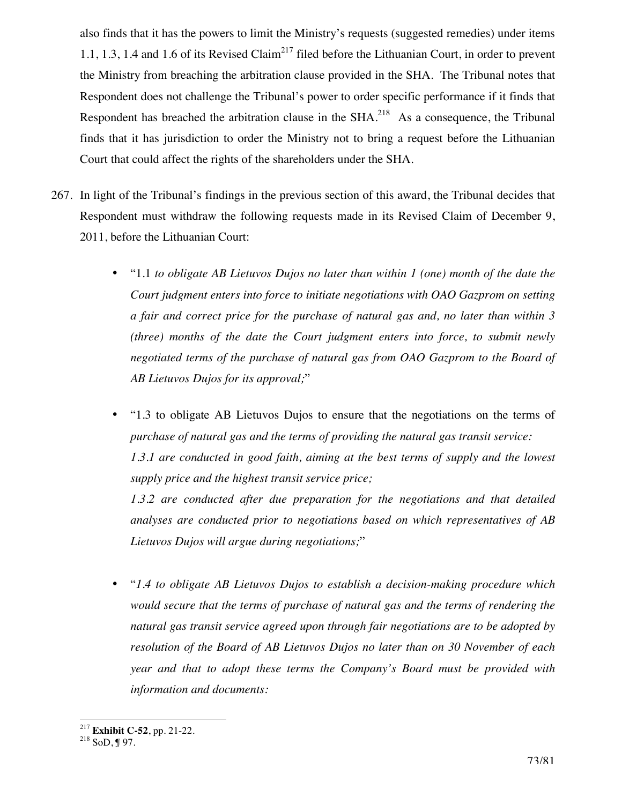also finds that it has the powers to limit the Ministry's requests (suggested remedies) under items 1.1, 1.3, 1.4 and 1.6 of its Revised Claim<sup>217</sup> filed before the Lithuanian Court, in order to prevent the Ministry from breaching the arbitration clause provided in the SHA. The Tribunal notes that Respondent does not challenge the Tribunal's power to order specific performance if it finds that Respondent has breached the arbitration clause in the  $SHA<sup>218</sup>$  As a consequence, the Tribunal finds that it has jurisdiction to order the Ministry not to bring a request before the Lithuanian Court that could affect the rights of the shareholders under the SHA.

- 267. In light of the Tribunal's findings in the previous section of this award, the Tribunal decides that Respondent must withdraw the following requests made in its Revised Claim of December 9, 2011, before the Lithuanian Court:
	- "1.1 *to obligate AB Lietuvos Dujos no later than within 1 (one) month of the date the Court judgment enters into force to initiate negotiations with OAO Gazprom on setting a fair and correct price for the purchase of natural gas and, no later than within 3 (three) months of the date the Court judgment enters into force, to submit newly*  negotiated terms of the purchase of natural gas from OAO Gazprom to the Board of *AB Lietuvos Dujos for its approval;*"
	- "1.3 to obligate AB Lietuvos Dujos to ensure that the negotiations on the terms of *purchase of natural gas and the terms of providing the natural gas transit service: 1.3.1 are conducted in good faith, aiming at the best terms of supply and the lowest supply price and the highest transit service price;*

 *1.3.2 are conducted after due preparation for the negotiations and that detailed analyses are conducted prior to negotiations based on which representatives of AB Lietuvos Dujos will argue during negotiations;*"

• "*1.4 to obligate AB Lietuvos Dujos to establish a decision-making procedure which would secure that the terms of purchase of natural gas and the terms of rendering the natural gas transit service agreed upon through fair negotiations are to be adopted by resolution of the Board of AB Lietuvos Dujos no later than on 30 November of each year and that to adopt these terms the Company's Board must be provided with information and documents:*

 $\overline{a}$ 

<sup>&</sup>lt;sup>217</sup> **Exhibit C-52**, pp. 21-22.<br><sup>218</sup> SoD, ¶ 97.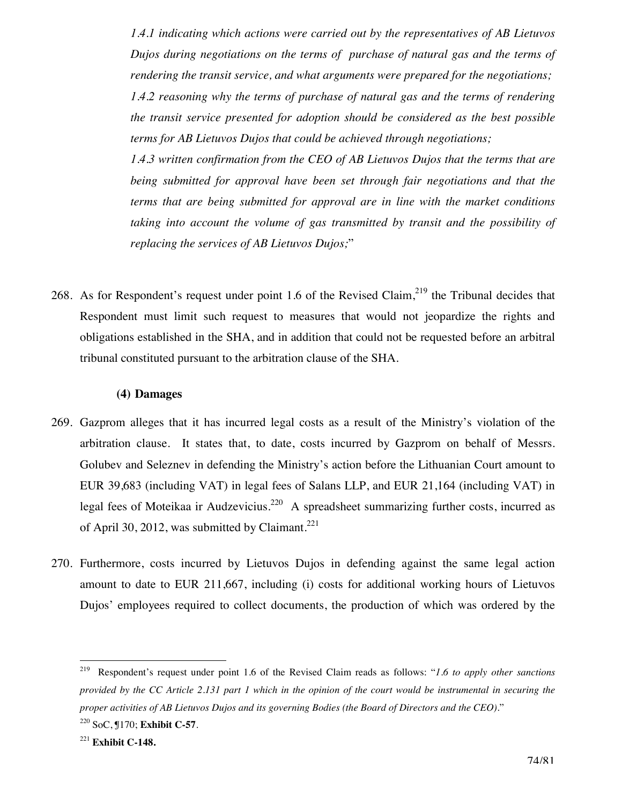*1.4.1 indicating which actions were carried out by the representatives of AB Lietuvos Dujos during negotiations on the terms of purchase of natural gas and the terms of rendering the transit service, and what arguments were prepared for the negotiations; 1.4.2 reasoning why the terms of purchase of natural gas and the terms of rendering the transit service presented for adoption should be considered as the best possible terms for AB Lietuvos Dujos that could be achieved through negotiations;* 

*1.4.3 written confirmation from the CEO of AB Lietuvos Dujos that the terms that are being submitted for approval have been set through fair negotiations and that the terms that are being submitted for approval are in line with the market conditions taking into account the volume of gas transmitted by transit and the possibility of replacing the services of AB Lietuvos Dujos;*"

268. As for Respondent's request under point 1.6 of the Revised Claim,  $2^{19}$  the Tribunal decides that Respondent must limit such request to measures that would not jeopardize the rights and obligations established in the SHA, and in addition that could not be requested before an arbitral tribunal constituted pursuant to the arbitration clause of the SHA.

#### **(4) Damages**

- 269. Gazprom alleges that it has incurred legal costs as a result of the Ministry's violation of the arbitration clause. It states that, to date, costs incurred by Gazprom on behalf of Messrs. Golubev and Seleznev in defending the Ministry's action before the Lithuanian Court amount to EUR 39,683 (including VAT) in legal fees of Salans LLP, and EUR 21,164 (including VAT) in legal fees of Moteikaa ir Audzevicius.<sup>220</sup> A spreadsheet summarizing further costs, incurred as of April 30, 2012, was submitted by Claimant.<sup>221</sup>
- 270. Furthermore, costs incurred by Lietuvos Dujos in defending against the same legal action amount to date to EUR 211,667, including (i) costs for additional working hours of Lietuvos Dujos' employees required to collect documents, the production of which was ordered by the

<sup>219</sup> 219 Respondent's request under point 1.6 of the Revised Claim reads as follows: "*1.6 to apply other sanctions provided by the CC Article 2.131 part 1 which in the opinion of the court would be instrumental in securing the proper activities of AB Lietuvos Dujos and its governing Bodies (the Board of Directors and the CEO).*" 220 SoC, ¶170; **Exhibit C-57**.

<sup>221</sup> **Exhibit C-148.**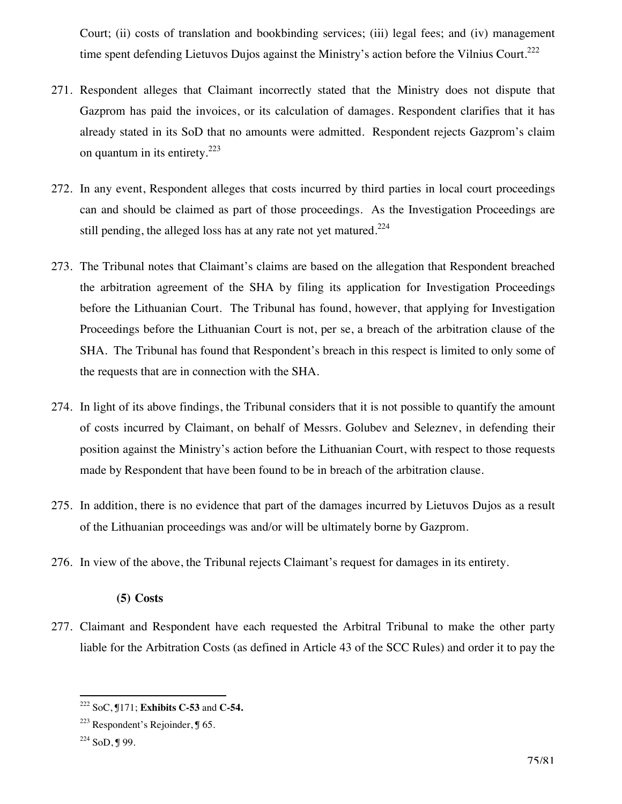Court; (ii) costs of translation and bookbinding services; (iii) legal fees; and (iv) management time spent defending Lietuvos Dujos against the Ministry's action before the Vilnius Court.<sup>222</sup>

- 271. Respondent alleges that Claimant incorrectly stated that the Ministry does not dispute that Gazprom has paid the invoices, or its calculation of damages. Respondent clarifies that it has already stated in its SoD that no amounts were admitted. Respondent rejects Gazprom's claim on quantum in its entirety. $223$
- 272. In any event, Respondent alleges that costs incurred by third parties in local court proceedings can and should be claimed as part of those proceedings. As the Investigation Proceedings are still pending, the alleged loss has at any rate not yet matured. $224$
- 273. The Tribunal notes that Claimant's claims are based on the allegation that Respondent breached the arbitration agreement of the SHA by filing its application for Investigation Proceedings before the Lithuanian Court. The Tribunal has found, however, that applying for Investigation Proceedings before the Lithuanian Court is not, per se, a breach of the arbitration clause of the SHA. The Tribunal has found that Respondent's breach in this respect is limited to only some of the requests that are in connection with the SHA.
- 274. In light of its above findings, the Tribunal considers that it is not possible to quantify the amount of costs incurred by Claimant, on behalf of Messrs. Golubev and Seleznev, in defending their position against the Ministry's action before the Lithuanian Court, with respect to those requests made by Respondent that have been found to be in breach of the arbitration clause.
- 275. In addition, there is no evidence that part of the damages incurred by Lietuvos Dujos as a result of the Lithuanian proceedings was and/or will be ultimately borne by Gazprom.
- 276. In view of the above, the Tribunal rejects Claimant's request for damages in its entirety.

### **(5) Costs**

277. Claimant and Respondent have each requested the Arbitral Tribunal to make the other party liable for the Arbitration Costs (as defined in Article 43 of the SCC Rules) and order it to pay the

 $\overline{a}$ 222 SoC, ¶171; **Exhibits C-53** and **C-54.**

 $223$  Respondent's Rejoinder, ¶ 65.

<sup>224</sup> SoD, ¶ 99.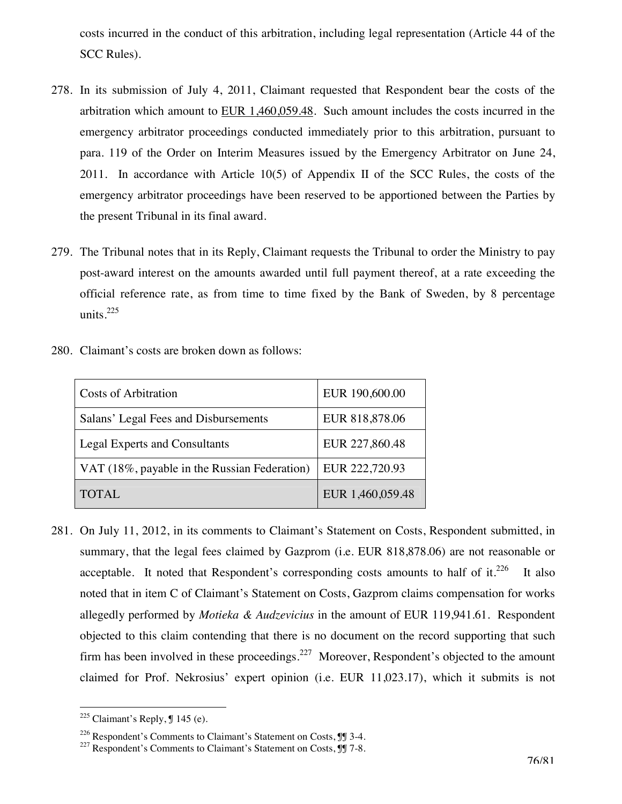costs incurred in the conduct of this arbitration, including legal representation (Article 44 of the SCC Rules).

- 278. In its submission of July 4, 2011, Claimant requested that Respondent bear the costs of the arbitration which amount to  $EUR$  1,460,059.48. Such amount includes the costs incurred in the emergency arbitrator proceedings conducted immediately prior to this arbitration, pursuant to para. 119 of the Order on Interim Measures issued by the Emergency Arbitrator on June 24, 2011. In accordance with Article 10(5) of Appendix II of the SCC Rules, the costs of the emergency arbitrator proceedings have been reserved to be apportioned between the Parties by the present Tribunal in its final award.
- 279. The Tribunal notes that in its Reply, Claimant requests the Tribunal to order the Ministry to pay post-award interest on the amounts awarded until full payment thereof, at a rate exceeding the official reference rate, as from time to time fixed by the Bank of Sweden, by 8 percentage units.225

| <b>Costs of Arbitration</b>                  | EUR 190,600.00   |
|----------------------------------------------|------------------|
| Salans' Legal Fees and Disbursements         | EUR 818,878.06   |
| <b>Legal Experts and Consultants</b>         | EUR 227,860.48   |
| VAT (18%, payable in the Russian Federation) | EUR 222,720.93   |
| <b>TOTAL</b>                                 | EUR 1,460,059.48 |

280. Claimant's costs are broken down as follows:

281. On July 11, 2012, in its comments to Claimant's Statement on Costs, Respondent submitted, in summary, that the legal fees claimed by Gazprom (i.e. EUR 818,878.06) are not reasonable or acceptable. It noted that Respondent's corresponding costs amounts to half of it. $^{226}$  It also noted that in item C of Claimant's Statement on Costs, Gazprom claims compensation for works allegedly performed by *Motieka & Audzevicius* in the amount of EUR 119,941.61. Respondent objected to this claim contending that there is no document on the record supporting that such firm has been involved in these proceedings.<sup>227</sup> Moreover, Respondent's objected to the amount claimed for Prof. Nekrosius' expert opinion (i.e. EUR 11,023.17), which it submits is not

 $\overline{a}$ 

 $225$  Claimant's Reply,  $\text{\textsterling} 145$  (e).

<sup>&</sup>lt;sup>226</sup> Respondent's Comments to Claimant's Statement on Costs,  $\mathbb{J}$  3-4. <sup>227</sup> Respondent's Comments to Claimant's Statement on Costs,  $\mathbb{J}$  7-8.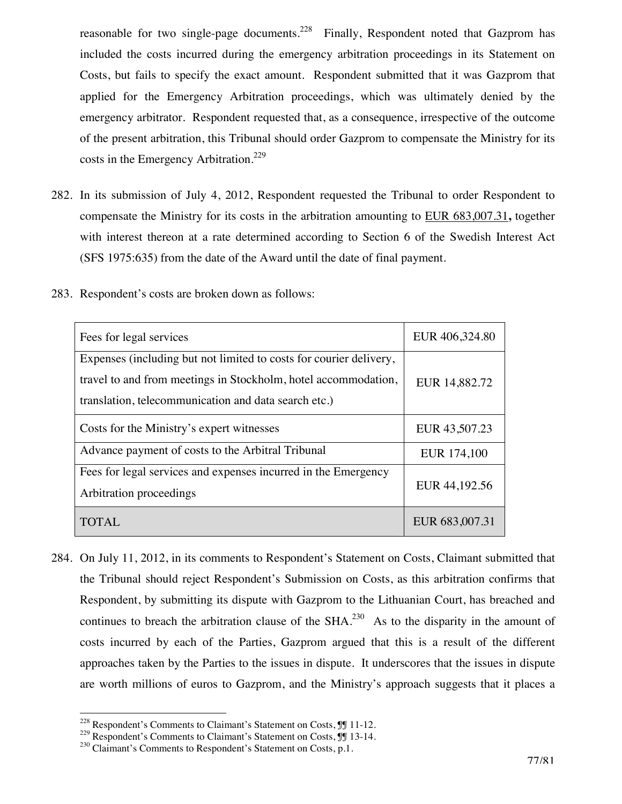reasonable for two single-page documents.<sup>228</sup> Finally, Respondent noted that Gazprom has included the costs incurred during the emergency arbitration proceedings in its Statement on Costs, but fails to specify the exact amount. Respondent submitted that it was Gazprom that applied for the Emergency Arbitration proceedings, which was ultimately denied by the emergency arbitrator. Respondent requested that, as a consequence, irrespective of the outcome of the present arbitration, this Tribunal should order Gazprom to compensate the Ministry for its costs in the Emergency Arbitration.<sup>229</sup>

282. In its submission of July 4, 2012, Respondent requested the Tribunal to order Respondent to compensate the Ministry for its costs in the arbitration amounting to EUR 683,007.31**,** together with interest thereon at a rate determined according to Section 6 of the Swedish Interest Act (SFS 1975:635) from the date of the Award until the date of final payment.

| Fees for legal services                                                                                                                                                                      | EUR 406,324.80 |
|----------------------------------------------------------------------------------------------------------------------------------------------------------------------------------------------|----------------|
| Expenses (including but not limited to costs for courier delivery,<br>travel to and from meetings in Stockholm, hotel accommodation,<br>translation, telecommunication and data search etc.) | EUR 14,882.72  |
| Costs for the Ministry's expert witnesses                                                                                                                                                    | EUR 43,507.23  |
| Advance payment of costs to the Arbitral Tribunal                                                                                                                                            | EUR 174,100    |
| Fees for legal services and expenses incurred in the Emergency<br>Arbitration proceedings                                                                                                    | EUR 44,192.56  |
| TOTAL.                                                                                                                                                                                       | EUR 683,007.31 |

283. Respondent's costs are broken down as follows:

284. On July 11, 2012, in its comments to Respondent's Statement on Costs, Claimant submitted that the Tribunal should reject Respondent's Submission on Costs, as this arbitration confirms that Respondent, by submitting its dispute with Gazprom to the Lithuanian Court, has breached and continues to breach the arbitration clause of the  $SHA$ <sup>230</sup> As to the disparity in the amount of costs incurred by each of the Parties, Gazprom argued that this is a result of the different approaches taken by the Parties to the issues in dispute. It underscores that the issues in dispute are worth millions of euros to Gazprom, and the Ministry's approach suggests that it places a

 $\overline{a}$ 

 $228$  Respondent's Comments to Claimant's Statement on Costs,  $\mathbb{J}$  11-12.

<sup>&</sup>lt;sup>229</sup> Respondent's Comments to Claimant's Statement on Costs,  $\P$  13-14.<br><sup>230</sup> Claimant's Comments to Respondent's Statement on Costs, p.1.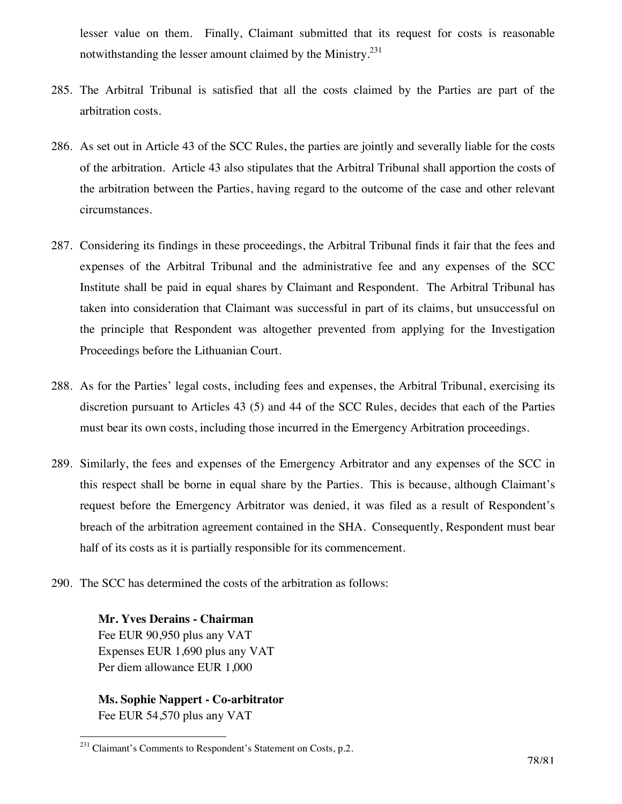lesser value on them. Finally, Claimant submitted that its request for costs is reasonable notwithstanding the lesser amount claimed by the Ministry.<sup>231</sup>

- 285. The Arbitral Tribunal is satisfied that all the costs claimed by the Parties are part of the arbitration costs.
- 286. As set out in Article 43 of the SCC Rules, the parties are jointly and severally liable for the costs of the arbitration. Article 43 also stipulates that the Arbitral Tribunal shall apportion the costs of the arbitration between the Parties, having regard to the outcome of the case and other relevant circumstances.
- 287. Considering its findings in these proceedings, the Arbitral Tribunal finds it fair that the fees and expenses of the Arbitral Tribunal and the administrative fee and any expenses of the SCC Institute shall be paid in equal shares by Claimant and Respondent. The Arbitral Tribunal has taken into consideration that Claimant was successful in part of its claims, but unsuccessful on the principle that Respondent was altogether prevented from applying for the Investigation Proceedings before the Lithuanian Court.
- 288. As for the Parties' legal costs, including fees and expenses, the Arbitral Tribunal, exercising its discretion pursuant to Articles 43 (5) and 44 of the SCC Rules, decides that each of the Parties must bear its own costs, including those incurred in the Emergency Arbitration proceedings.
- 289. Similarly, the fees and expenses of the Emergency Arbitrator and any expenses of the SCC in this respect shall be borne in equal share by the Parties. This is because, although Claimant's request before the Emergency Arbitrator was denied, it was filed as a result of Respondent's breach of the arbitration agreement contained in the SHA. Consequently, Respondent must bear half of its costs as it is partially responsible for its commencement.
- 290. The SCC has determined the costs of the arbitration as follows:

**Mr. Yves Derains - Chairman**  Fee EUR 90,950 plus any VAT Expenses EUR 1,690 plus any VAT Per diem allowance EUR 1,000

**Ms. Sophie Nappert - Co-arbitrator**  Fee EUR 54,570 plus any VAT

 $\overline{a}$  $^{231}$  Claimant's Comments to Respondent's Statement on Costs, p.2.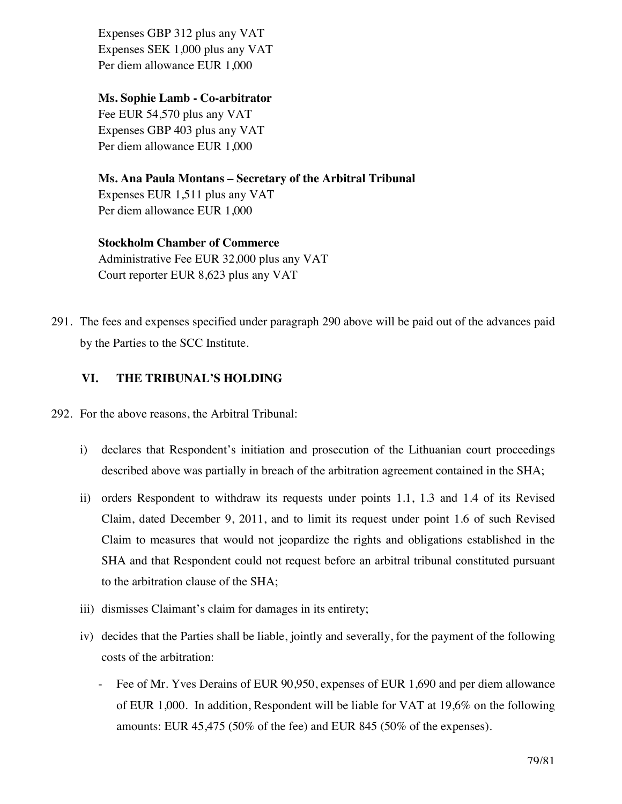Expenses GBP 312 plus any VAT Expenses SEK 1,000 plus any VAT Per diem allowance EUR 1,000

## **Ms. Sophie Lamb - Co-arbitrator**

Fee EUR 54,570 plus any VAT Expenses GBP 403 plus any VAT Per diem allowance EUR 1,000

**Ms. Ana Paula Montans – Secretary of the Arbitral Tribunal**  Expenses EUR 1,511 plus any VAT Per diem allowance EUR 1,000

# **Stockholm Chamber of Commerce**

Administrative Fee EUR 32,000 plus any VAT Court reporter EUR 8,623 plus any VAT

291. The fees and expenses specified under paragraph 290 above will be paid out of the advances paid by the Parties to the SCC Institute.

## **VI. THE TRIBUNAL'S HOLDING**

- 292. For the above reasons, the Arbitral Tribunal:
	- i) declares that Respondent's initiation and prosecution of the Lithuanian court proceedings described above was partially in breach of the arbitration agreement contained in the SHA;
	- ii) orders Respondent to withdraw its requests under points 1.1, 1.3 and 1.4 of its Revised Claim, dated December 9, 2011, and to limit its request under point 1.6 of such Revised Claim to measures that would not jeopardize the rights and obligations established in the SHA and that Respondent could not request before an arbitral tribunal constituted pursuant to the arbitration clause of the SHA;
	- iii) dismisses Claimant's claim for damages in its entirety;
	- iv) decides that the Parties shall be liable, jointly and severally, for the payment of the following costs of the arbitration:
		- Fee of Mr. Yves Derains of EUR 90,950, expenses of EUR 1,690 and per diem allowance of EUR 1,000. In addition, Respondent will be liable for VAT at 19,6% on the following amounts: EUR 45,475 (50% of the fee) and EUR 845 (50% of the expenses).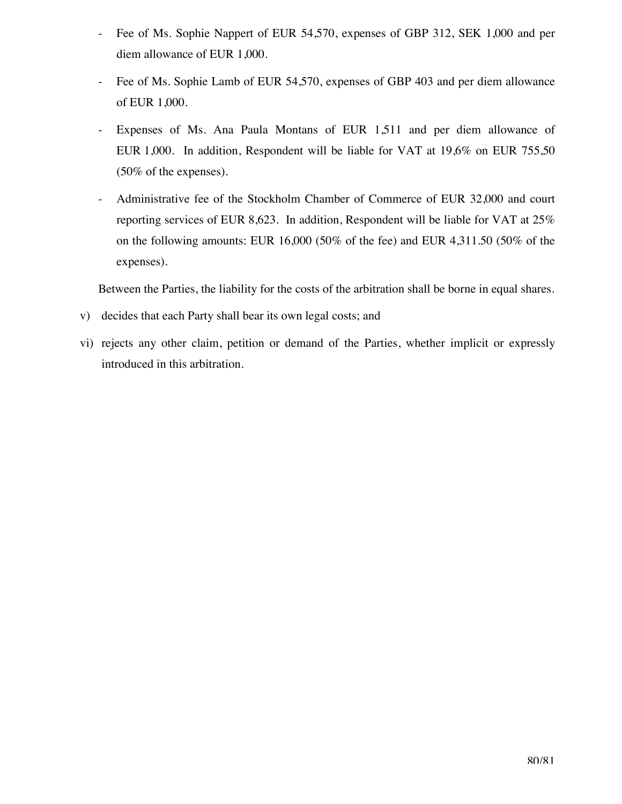- Fee of Ms. Sophie Nappert of EUR 54,570, expenses of GBP 312, SEK 1,000 and per diem allowance of EUR 1,000.
- Fee of Ms. Sophie Lamb of EUR 54,570, expenses of GBP 403 and per diem allowance of EUR 1,000.
- Expenses of Ms. Ana Paula Montans of EUR 1,511 and per diem allowance of EUR 1,000. In addition, Respondent will be liable for VAT at 19,6% on EUR 755,50 (50% of the expenses).
- Administrative fee of the Stockholm Chamber of Commerce of EUR 32,000 and court reporting services of EUR 8,623. In addition, Respondent will be liable for VAT at 25% on the following amounts: EUR 16,000 (50% of the fee) and EUR 4,311.50 (50% of the expenses).

Between the Parties, the liability for the costs of the arbitration shall be borne in equal shares.

- v) decides that each Party shall bear its own legal costs; and
- vi) rejects any other claim, petition or demand of the Parties, whether implicit or expressly introduced in this arbitration.